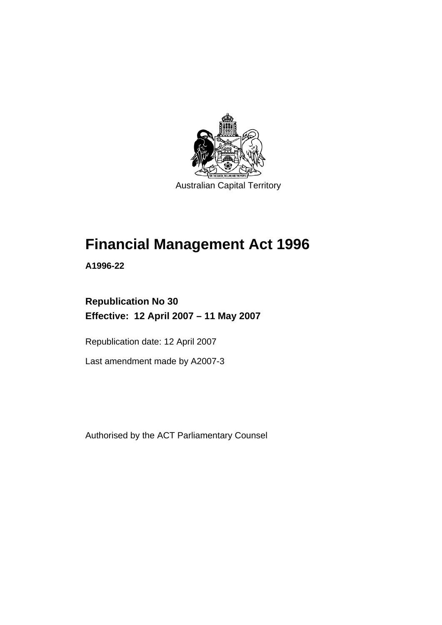

# **Financial Management Act 1996**

**A1996-22** 

# **Republication No 30 Effective: 12 April 2007 – 11 May 2007**

Republication date: 12 April 2007

Last amendment made by A2007-3

Authorised by the ACT Parliamentary Counsel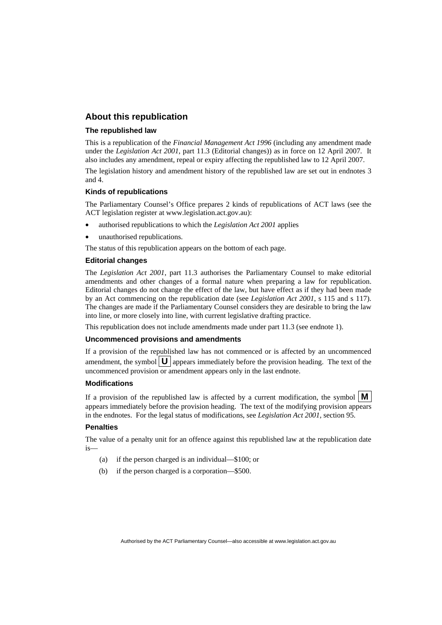#### **About this republication**

#### **The republished law**

This is a republication of the *Financial Management Act 1996* (including any amendment made under the *Legislation Act 2001*, part 11.3 (Editorial changes)) as in force on 12 April 2007*.* It also includes any amendment, repeal or expiry affecting the republished law to 12 April 2007.

The legislation history and amendment history of the republished law are set out in endnotes 3 and 4.

#### **Kinds of republications**

The Parliamentary Counsel's Office prepares 2 kinds of republications of ACT laws (see the ACT legislation register at www.legislation.act.gov.au):

- authorised republications to which the *Legislation Act 2001* applies
- unauthorised republications.

The status of this republication appears on the bottom of each page.

#### **Editorial changes**

The *Legislation Act 2001*, part 11.3 authorises the Parliamentary Counsel to make editorial amendments and other changes of a formal nature when preparing a law for republication. Editorial changes do not change the effect of the law, but have effect as if they had been made by an Act commencing on the republication date (see *Legislation Act 2001*, s 115 and s 117). The changes are made if the Parliamentary Counsel considers they are desirable to bring the law into line, or more closely into line, with current legislative drafting practice.

This republication does not include amendments made under part 11.3 (see endnote 1).

#### **Uncommenced provisions and amendments**

If a provision of the republished law has not commenced or is affected by an uncommenced amendment, the symbol  $\mathbf{U}$  appears immediately before the provision heading. The text of the uncommenced provision or amendment appears only in the last endnote.

#### **Modifications**

If a provision of the republished law is affected by a current modification, the symbol  $\mathbf{M}$ appears immediately before the provision heading. The text of the modifying provision appears in the endnotes. For the legal status of modifications, see *Legislation Act 2001*, section 95.

#### **Penalties**

The value of a penalty unit for an offence against this republished law at the republication date is—

- (a) if the person charged is an individual—\$100; or
- (b) if the person charged is a corporation—\$500.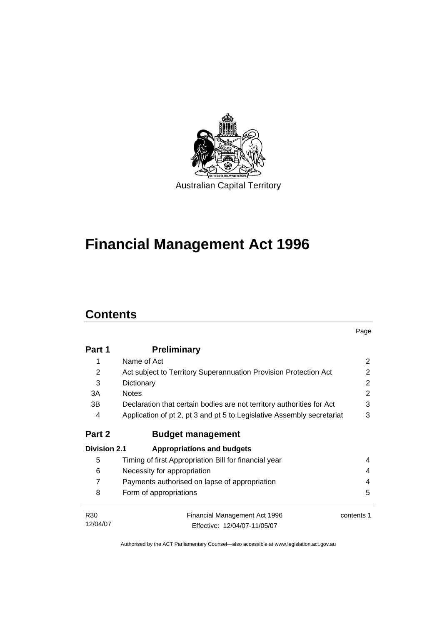

# **Financial Management Act 1996**

### **Contents**

|                     |                                                                        | Page       |
|---------------------|------------------------------------------------------------------------|------------|
| Part 1              | <b>Preliminary</b>                                                     |            |
| 1                   | Name of Act                                                            | 2          |
| 2                   | Act subject to Territory Superannuation Provision Protection Act       | 2          |
| 3                   | Dictionary                                                             | 2          |
| 3A                  | <b>Notes</b>                                                           | 2          |
| 3B                  | Declaration that certain bodies are not territory authorities for Act  | 3          |
| 4                   | Application of pt 2, pt 3 and pt 5 to Legislative Assembly secretariat | 3          |
| Part 2              | <b>Budget management</b>                                               |            |
| <b>Division 2.1</b> | <b>Appropriations and budgets</b>                                      |            |
| 5                   | Timing of first Appropriation Bill for financial year                  | 4          |
| 6                   | Necessity for appropriation                                            | 4          |
| $\overline{7}$      | Payments authorised on lapse of appropriation                          | 4          |
| 8                   | Form of appropriations                                                 | 5          |
| R <sub>30</sub>     | Financial Management Act 1996                                          | contents 1 |
| 12/04/07            | Effective: 12/04/07-11/05/07                                           |            |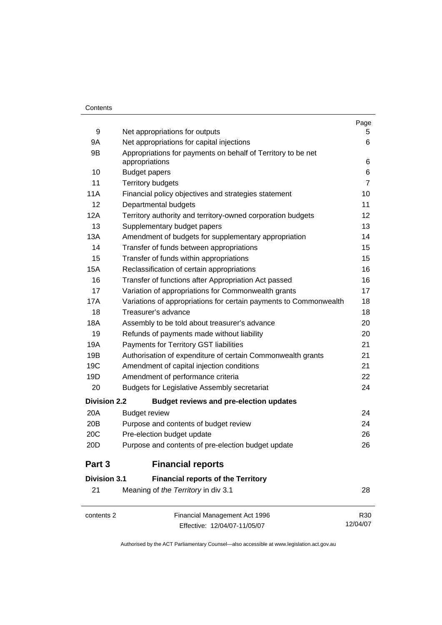#### **Contents**

|                     |                                                                                | Page           |
|---------------------|--------------------------------------------------------------------------------|----------------|
| 9                   | Net appropriations for outputs                                                 | 5              |
| 9A                  | Net appropriations for capital injections                                      | 6              |
| 9B                  | Appropriations for payments on behalf of Territory to be net<br>appropriations | 6              |
| 10                  | <b>Budget papers</b>                                                           | 6              |
| 11                  | <b>Territory budgets</b>                                                       | $\overline{7}$ |
| 11A                 | Financial policy objectives and strategies statement                           | 10             |
| 12                  | Departmental budgets                                                           | 11             |
| 12A                 | Territory authority and territory-owned corporation budgets                    | 12             |
| 13                  | Supplementary budget papers                                                    | 13             |
| 13A                 | Amendment of budgets for supplementary appropriation                           | 14             |
| 14                  | Transfer of funds between appropriations                                       | 15             |
| 15                  | Transfer of funds within appropriations                                        | 15             |
| 15A                 | Reclassification of certain appropriations                                     | 16             |
| 16                  | Transfer of functions after Appropriation Act passed                           | 16             |
| 17                  | Variation of appropriations for Commonwealth grants                            | 17             |
| 17A                 | Variations of appropriations for certain payments to Commonwealth              | 18             |
| 18                  | Treasurer's advance                                                            | 18             |
| 18A                 | Assembly to be told about treasurer's advance                                  | 20             |
| 19                  | Refunds of payments made without liability                                     | 20             |
| 19A                 | Payments for Territory GST liabilities                                         | 21             |
| 19B                 | Authorisation of expenditure of certain Commonwealth grants                    | 21             |
| 19C                 | Amendment of capital injection conditions                                      | 21             |
| 19D                 | Amendment of performance criteria                                              | 22             |
| 20                  | <b>Budgets for Legislative Assembly secretariat</b>                            | 24             |
| <b>Division 2.2</b> | <b>Budget reviews and pre-election updates</b>                                 |                |
| 20A                 | <b>Budget review</b>                                                           | 24             |
| 20 <sub>B</sub>     | Purpose and contents of budget review                                          | 24             |
| 20C                 | Pre-election budget update                                                     | 26             |
| 20D                 | Purpose and contents of pre-election budget update                             | 26             |
| Part 3              | <b>Financial reports</b>                                                       |                |
| <b>Division 3.1</b> | <b>Financial reports of the Territory</b>                                      |                |
| 21                  | Meaning of the Territory in div 3.1                                            | 28             |
| contents 2          | Financial Management Act 1996                                                  | R30            |
|                     | Effective: 12/04/07-11/05/07                                                   | 12/04/07       |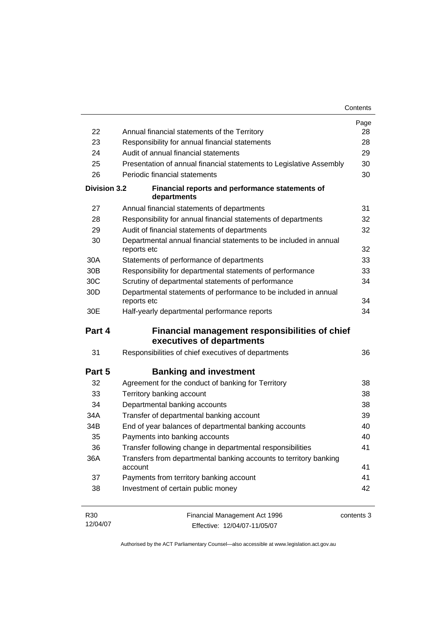| 22                  | Annual financial statements of the Territory                                       | Page<br>28 |
|---------------------|------------------------------------------------------------------------------------|------------|
| 23                  | Responsibility for annual financial statements                                     | 28         |
| 24                  | Audit of annual financial statements                                               | 29         |
| 25                  | Presentation of annual financial statements to Legislative Assembly                | 30         |
| 26                  | Periodic financial statements                                                      | 30         |
| <b>Division 3.2</b> | Financial reports and performance statements of<br>departments                     |            |
| 27                  | Annual financial statements of departments                                         | 31         |
| 28                  | Responsibility for annual financial statements of departments                      | 32         |
| 29                  | Audit of financial statements of departments                                       | 32         |
| 30                  | Departmental annual financial statements to be included in annual<br>reports etc   | 32         |
| 30A                 | Statements of performance of departments                                           | 33         |
| 30 <sub>B</sub>     | Responsibility for departmental statements of performance                          | 33         |
| 30C                 | Scrutiny of departmental statements of performance                                 | 34         |
| 30D                 | Departmental statements of performance to be included in annual<br>reports etc     | 34         |
| 30E                 | Half-yearly departmental performance reports                                       | 34         |
| Part 4              | <b>Financial management responsibilities of chief</b><br>executives of departments |            |
| 31                  | Responsibilities of chief executives of departments                                | 36         |
| Part 5              | <b>Banking and investment</b>                                                      |            |
| 32                  | Agreement for the conduct of banking for Territory                                 | 38         |
| 33                  | Territory banking account                                                          | 38         |
| 34                  | Departmental banking accounts                                                      | 38         |
| 34A                 | Transfer of departmental banking account                                           | 39         |
| 34B                 | End of year balances of departmental banking accounts                              | 40         |
| 35                  | Payments into banking accounts                                                     | 40         |
|                     | Transfer following change in departmental responsibilities                         | 41         |
| 36                  |                                                                                    |            |
| 36A                 | Transfers from departmental banking accounts to territory banking<br>account       | 41         |
| 37                  | Payments from territory banking account                                            | 41         |

| R30      | Financial Management Act 1996 | contents 3 |
|----------|-------------------------------|------------|
| 12/04/07 | Effective: 12/04/07-11/05/07  |            |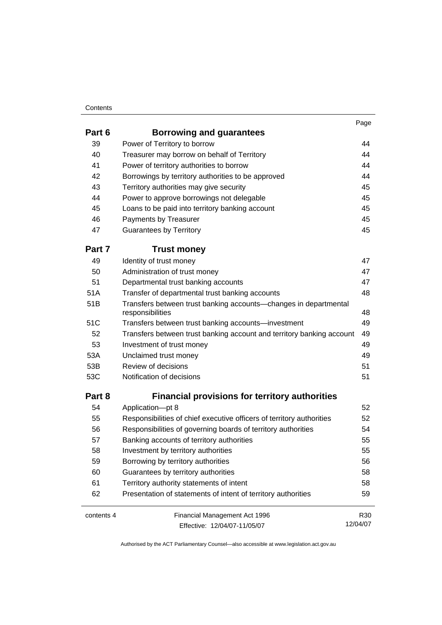#### **Contents**

| Part 6     | Borrowing and guarantees                                                             |          |
|------------|--------------------------------------------------------------------------------------|----------|
| 39         | Power of Territory to borrow                                                         | 44       |
| 40         | Treasurer may borrow on behalf of Territory                                          | 44       |
| 41         | Power of territory authorities to borrow                                             | 44       |
| 42         | Borrowings by territory authorities to be approved                                   | 44       |
| 43         | Territory authorities may give security                                              | 45       |
| 44         | Power to approve borrowings not delegable                                            | 45       |
| 45         | Loans to be paid into territory banking account                                      | 45       |
| 46         | Payments by Treasurer                                                                | 45       |
| 47         | <b>Guarantees by Territory</b>                                                       | 45       |
| Part 7     | <b>Trust money</b>                                                                   |          |
| 49         | Identity of trust money                                                              | 47       |
| 50         | Administration of trust money                                                        | 47       |
| 51         | Departmental trust banking accounts                                                  | 47       |
| 51A        | Transfer of departmental trust banking accounts                                      | 48       |
| 51B        | Transfers between trust banking accounts-changes in departmental<br>responsibilities | 48       |
| 51C        | Transfers between trust banking accounts-investment                                  | 49       |
| 52         | Transfers between trust banking account and territory banking account                | 49       |
| 53         | Investment of trust money                                                            | 49       |
| 53A        | Unclaimed trust money                                                                | 49       |
| 53B        | Review of decisions                                                                  | 51       |
| 53C        | Notification of decisions                                                            | 51       |
| Part 8     | <b>Financial provisions for territory authorities</b>                                |          |
| 54         | Application-pt 8                                                                     | 52       |
| 55         | Responsibilities of chief executive officers of territory authorities                | 52       |
| 56         | Responsibilities of governing boards of territory authorities                        | 54       |
| 57         | Banking accounts of territory authorities                                            | 55       |
| 58         | Investment by territory authorities                                                  | 55       |
| 59         | Borrowing by territory authorities                                                   | 56       |
| 60         | Guarantees by territory authorities                                                  | 58       |
| 61         | Territory authority statements of intent                                             | 58       |
| 62         | Presentation of statements of intent of territory authorities                        | 59       |
| contents 4 | Financial Management Act 1996                                                        | R30      |
|            | Effective: 12/04/07-11/05/07                                                         | 12/04/07 |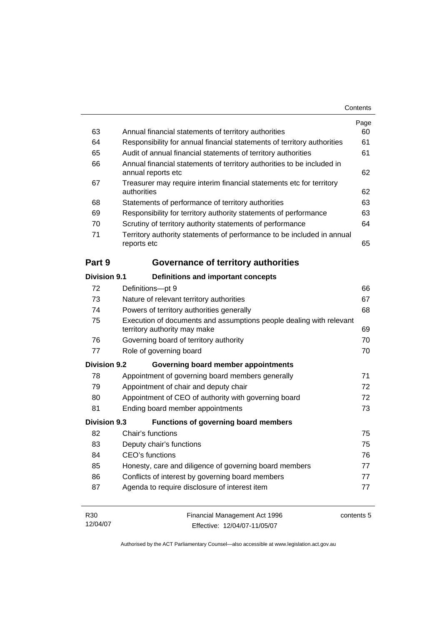|                     |                                                                                                     | Page |
|---------------------|-----------------------------------------------------------------------------------------------------|------|
| 63                  | Annual financial statements of territory authorities                                                | 60   |
| 64                  | Responsibility for annual financial statements of territory authorities                             | 61   |
| 65                  | Audit of annual financial statements of territory authorities                                       | 61   |
| 66                  | Annual financial statements of territory authorities to be included in<br>annual reports etc        | 62   |
| 67                  | Treasurer may require interim financial statements etc for territory<br>authorities                 | 62   |
| 68                  | Statements of performance of territory authorities                                                  | 63   |
| 69                  | Responsibility for territory authority statements of performance                                    | 63   |
| 70                  | Scrutiny of territory authority statements of performance                                           | 64   |
| 71                  | Territory authority statements of performance to be included in annual<br>reports etc               | 65   |
| Part 9              | <b>Governance of territory authorities</b>                                                          |      |
| Division 9.1        | Definitions and important concepts                                                                  |      |
| 72                  | Definitions-pt 9                                                                                    | 66   |
| 73                  | Nature of relevant territory authorities                                                            | 67   |
| 74                  | Powers of territory authorities generally                                                           | 68   |
| 75                  | Execution of documents and assumptions people dealing with relevant<br>territory authority may make | 69   |
| 76                  | Governing board of territory authority                                                              | 70   |
| 77                  | Role of governing board                                                                             | 70   |
| <b>Division 9.2</b> | Governing board member appointments                                                                 |      |
| 78                  | Appointment of governing board members generally                                                    | 71   |
| 79                  | Appointment of chair and deputy chair                                                               | 72   |
| 80                  | Appointment of CEO of authority with governing board                                                | 72   |
| 81                  | Ending board member appointments                                                                    | 73   |
| <b>Division 9.3</b> | <b>Functions of governing board members</b>                                                         |      |
| 82                  | Chair's functions                                                                                   | 75   |
| 83                  | Deputy chair's functions                                                                            | 75   |
| 84                  | CEO's functions                                                                                     | 76   |
| 85                  | Honesty, care and diligence of governing board members                                              | 77   |
| 86                  | Conflicts of interest by governing board members                                                    | 77   |
| 87                  | Agenda to require disclosure of interest item                                                       | 77   |
|                     |                                                                                                     |      |

| R30      | Financial Management Act 1996 | contents 5 |
|----------|-------------------------------|------------|
| 12/04/07 | Effective: 12/04/07-11/05/07  |            |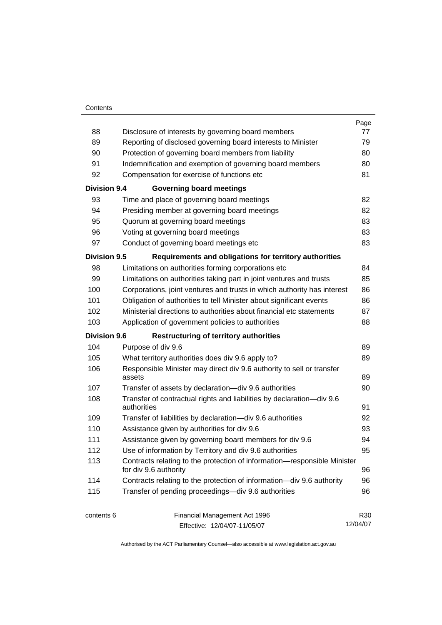#### **Contents**

|                     |                                                                                                   | Page            |
|---------------------|---------------------------------------------------------------------------------------------------|-----------------|
| 88                  | Disclosure of interests by governing board members                                                | 77              |
| 89                  | Reporting of disclosed governing board interests to Minister                                      | 79              |
| 90                  | Protection of governing board members from liability                                              | 80              |
| 91                  | Indemnification and exemption of governing board members                                          | 80              |
| 92                  | Compensation for exercise of functions etc                                                        | 81              |
| <b>Division 9.4</b> | <b>Governing board meetings</b>                                                                   |                 |
| 93                  | Time and place of governing board meetings                                                        | 82              |
| 94                  | Presiding member at governing board meetings                                                      | 82              |
| 95                  | Quorum at governing board meetings                                                                | 83              |
| 96                  | Voting at governing board meetings                                                                | 83              |
| 97                  | Conduct of governing board meetings etc                                                           | 83              |
| <b>Division 9.5</b> | Requirements and obligations for territory authorities                                            |                 |
| 98                  | Limitations on authorities forming corporations etc                                               | 84              |
| 99                  | Limitations on authorities taking part in joint ventures and trusts                               | 85              |
| 100                 | Corporations, joint ventures and trusts in which authority has interest                           | 86              |
| 101                 | Obligation of authorities to tell Minister about significant events                               | 86              |
| 102                 | Ministerial directions to authorities about financial etc statements                              | 87              |
| 103                 | Application of government policies to authorities                                                 | 88              |
| <b>Division 9.6</b> | <b>Restructuring of territory authorities</b>                                                     |                 |
| 104                 | Purpose of div 9.6                                                                                | 89              |
| 105                 | What territory authorities does div 9.6 apply to?                                                 | 89              |
| 106                 | Responsible Minister may direct div 9.6 authority to sell or transfer<br>assets                   | 89              |
| 107                 | Transfer of assets by declaration-div 9.6 authorities                                             | 90              |
| 108                 | Transfer of contractual rights and liabilities by declaration-div 9.6<br>authorities              | 91              |
| 109                 | Transfer of liabilities by declaration-div 9.6 authorities                                        | 92              |
| 110                 | Assistance given by authorities for div 9.6                                                       | 93              |
| 111                 | Assistance given by governing board members for div 9.6                                           | 94              |
| 112                 | Use of information by Territory and div 9.6 authorities                                           | 95              |
| 113                 | Contracts relating to the protection of information-responsible Minister<br>for div 9.6 authority | 96              |
| 114                 | Contracts relating to the protection of information-div 9.6 authority                             | 96              |
| 115                 | Transfer of pending proceedings-div 9.6 authorities                                               | 96              |
| contents 6          | Financial Management Act 1996                                                                     | R <sub>30</sub> |
|                     | Effective: 12/04/07-11/05/07                                                                      | 12/04/07        |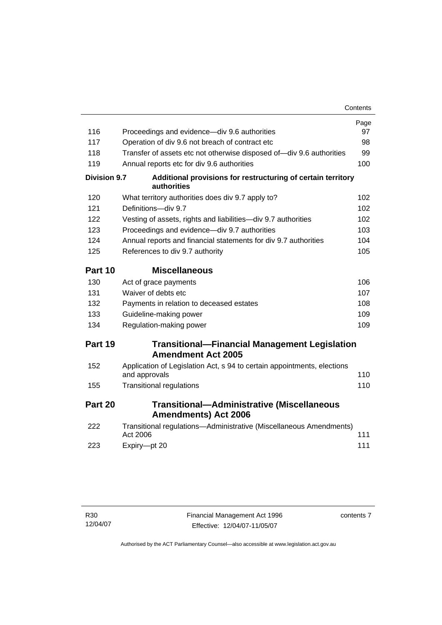|                     |                                                                                          | Contents |
|---------------------|------------------------------------------------------------------------------------------|----------|
|                     |                                                                                          | Page     |
| 116                 | Proceedings and evidence—div 9.6 authorities                                             | 97       |
| 117                 | Operation of div 9.6 not breach of contract etc                                          | 98       |
| 118                 | Transfer of assets etc not otherwise disposed of-div 9.6 authorities                     | 99       |
| 119                 | Annual reports etc for div 9.6 authorities                                               | 100      |
| <b>Division 9.7</b> | Additional provisions for restructuring of certain territory<br>authorities              |          |
| 120                 | What territory authorities does div 9.7 apply to?                                        | 102      |
| 121                 | Definitions-div 9.7                                                                      | 102      |
| 122                 | Vesting of assets, rights and liabilities-div 9.7 authorities                            | 102      |
| 123                 | Proceedings and evidence-div 9.7 authorities                                             | 103      |
| 124                 | Annual reports and financial statements for div 9.7 authorities                          | 104      |
| 125                 | References to div 9.7 authority                                                          | 105      |
| Part 10             | <b>Miscellaneous</b>                                                                     |          |
| 130                 | Act of grace payments                                                                    | 106      |
| 131                 | Waiver of debts etc                                                                      | 107      |
| 132                 | Payments in relation to deceased estates                                                 | 108      |
| 133                 | Guideline-making power                                                                   | 109      |
| 134                 | Regulation-making power                                                                  | 109      |
| Part 19             | <b>Transitional-Financial Management Legislation</b><br><b>Amendment Act 2005</b>        |          |
| 152                 | Application of Legislation Act, s 94 to certain appointments, elections<br>and approvals | 110      |
| 155                 | <b>Transitional regulations</b>                                                          | 110      |
| Part 20             | <b>Transitional-Administrative (Miscellaneous</b><br><b>Amendments) Act 2006</b>         |          |
| 222                 | Transitional regulations-Administrative (Miscellaneous Amendments)<br>Act 2006           | 111      |
| 223                 | Expiry-pt 20                                                                             | 111      |

contents 7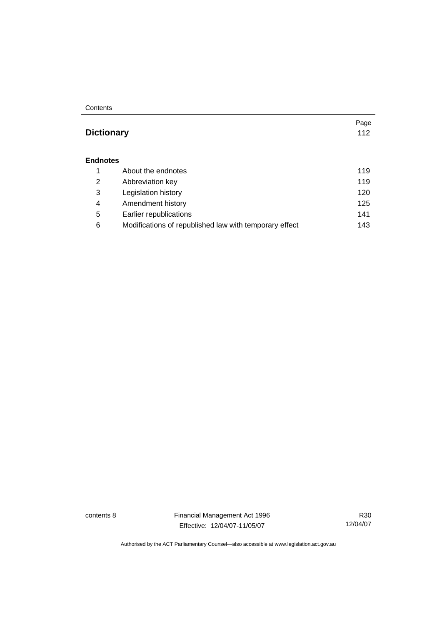**Contents** 

#### **Dictionary** 112

#### **Endnotes**

|   | About the endnotes                                     | 119 |
|---|--------------------------------------------------------|-----|
| 2 | Abbreviation key                                       | 119 |
| 3 | Legislation history                                    | 120 |
| 4 | Amendment history                                      | 125 |
| 5 | Earlier republications                                 | 141 |
| 6 | Modifications of republished law with temporary effect | 143 |

contents 8 Financial Management Act 1996 Effective: 12/04/07-11/05/07

R30 12/04/07

Page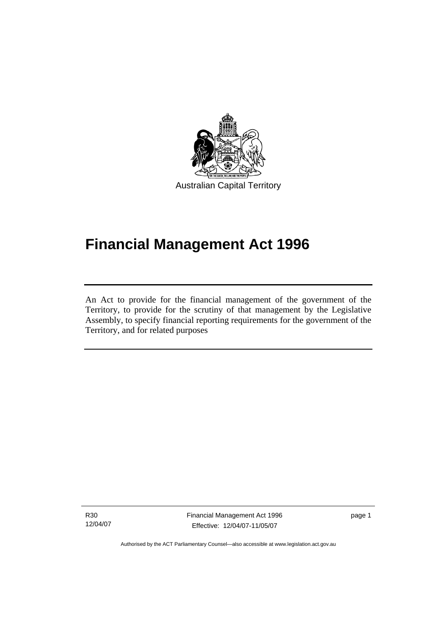

# **Financial Management Act 1996**

An Act to provide for the financial management of the government of the Territory, to provide for the scrutiny of that management by the Legislative Assembly, to specify financial reporting requirements for the government of the Territory, and for related purposes

R30 12/04/07

l

Financial Management Act 1996 Effective: 12/04/07-11/05/07

page 1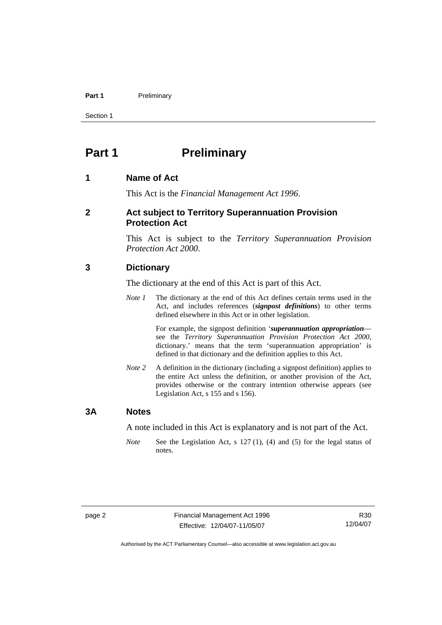#### Part 1 **Preliminary**

Section 1

### **Part 1** Preliminary

#### **1 Name of Act**

This Act is the *Financial Management Act 1996*.

#### **2 Act subject to Territory Superannuation Provision Protection Act**

This Act is subject to the *Territory Superannuation Provision Protection Act 2000*.

#### **3 Dictionary**

The dictionary at the end of this Act is part of this Act.

*Note 1* The dictionary at the end of this Act defines certain terms used in the Act, and includes references (*signpost definitions*) to other terms defined elsewhere in this Act or in other legislation.

> For example, the signpost definition '*superannuation appropriation* see the *Territory Superannuation Provision Protection Act 2000*, dictionary.' means that the term 'superannuation appropriation' is defined in that dictionary and the definition applies to this Act.

*Note 2* A definition in the dictionary (including a signpost definition) applies to the entire Act unless the definition, or another provision of the Act, provides otherwise or the contrary intention otherwise appears (see Legislation Act, s 155 and s 156).

#### **3A Notes**

A note included in this Act is explanatory and is not part of the Act.

*Note* See the Legislation Act, s 127 (1), (4) and (5) for the legal status of notes.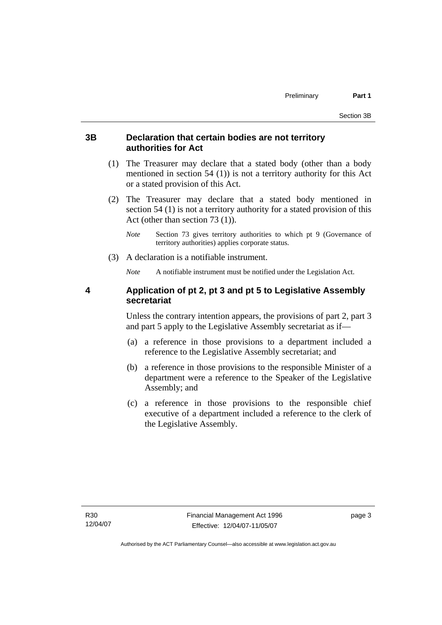#### **3B Declaration that certain bodies are not territory authorities for Act**

- (1) The Treasurer may declare that a stated body (other than a body mentioned in section 54 (1)) is not a territory authority for this Act or a stated provision of this Act.
- (2) The Treasurer may declare that a stated body mentioned in section 54 (1) is not a territory authority for a stated provision of this Act (other than section 73 (1)).
	- *Note* Section 73 gives territory authorities to which pt 9 (Governance of territory authorities) applies corporate status.
- (3) A declaration is a notifiable instrument.

*Note* A notifiable instrument must be notified under the Legislation Act.

#### **4 Application of pt 2, pt 3 and pt 5 to Legislative Assembly secretariat**

Unless the contrary intention appears, the provisions of part 2, part 3 and part 5 apply to the Legislative Assembly secretariat as if—

- (a) a reference in those provisions to a department included a reference to the Legislative Assembly secretariat; and
- (b) a reference in those provisions to the responsible Minister of a department were a reference to the Speaker of the Legislative Assembly; and
- (c) a reference in those provisions to the responsible chief executive of a department included a reference to the clerk of the Legislative Assembly.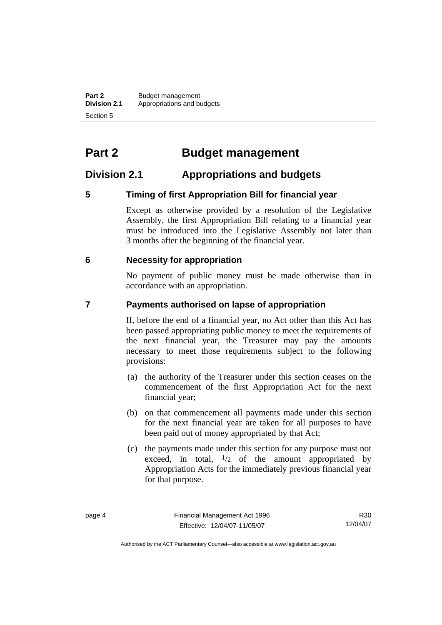**Part 2** Budget management<br>**Division 2.1** Appropriations and be **Division 2.1** Appropriations and budgets Section 5

# **Part 2 Budget management**

#### **Division 2.1 Appropriations and budgets**

#### **5 Timing of first Appropriation Bill for financial year**

Except as otherwise provided by a resolution of the Legislative Assembly, the first Appropriation Bill relating to a financial year must be introduced into the Legislative Assembly not later than 3 months after the beginning of the financial year.

#### **6 Necessity for appropriation**

No payment of public money must be made otherwise than in accordance with an appropriation.

#### **7 Payments authorised on lapse of appropriation**

If, before the end of a financial year, no Act other than this Act has been passed appropriating public money to meet the requirements of the next financial year, the Treasurer may pay the amounts necessary to meet those requirements subject to the following provisions:

- (a) the authority of the Treasurer under this section ceases on the commencement of the first Appropriation Act for the next financial year;
- (b) on that commencement all payments made under this section for the next financial year are taken for all purposes to have been paid out of money appropriated by that Act;
- (c) the payments made under this section for any purpose must not exceed, in total,  $\frac{1}{2}$  of the amount appropriated by Appropriation Acts for the immediately previous financial year for that purpose.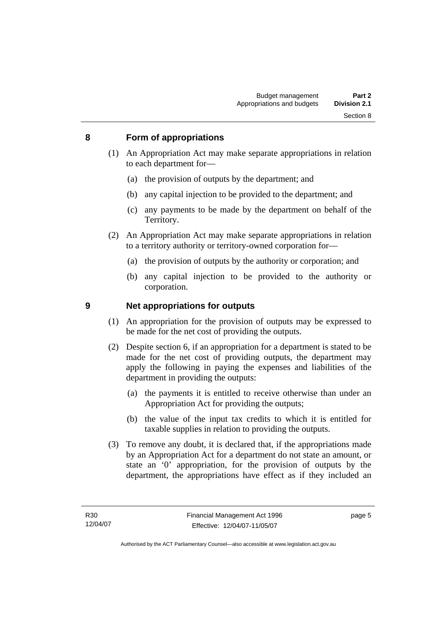#### **8 Form of appropriations**

- (1) An Appropriation Act may make separate appropriations in relation to each department for—
	- (a) the provision of outputs by the department; and
	- (b) any capital injection to be provided to the department; and
	- (c) any payments to be made by the department on behalf of the Territory.
- (2) An Appropriation Act may make separate appropriations in relation to a territory authority or territory-owned corporation for—
	- (a) the provision of outputs by the authority or corporation; and
	- (b) any capital injection to be provided to the authority or corporation.

#### **9 Net appropriations for outputs**

- (1) An appropriation for the provision of outputs may be expressed to be made for the net cost of providing the outputs.
- (2) Despite section 6, if an appropriation for a department is stated to be made for the net cost of providing outputs, the department may apply the following in paying the expenses and liabilities of the department in providing the outputs:
	- (a) the payments it is entitled to receive otherwise than under an Appropriation Act for providing the outputs;
	- (b) the value of the input tax credits to which it is entitled for taxable supplies in relation to providing the outputs.
- (3) To remove any doubt, it is declared that, if the appropriations made by an Appropriation Act for a department do not state an amount, or state an '0' appropriation, for the provision of outputs by the department, the appropriations have effect as if they included an

page 5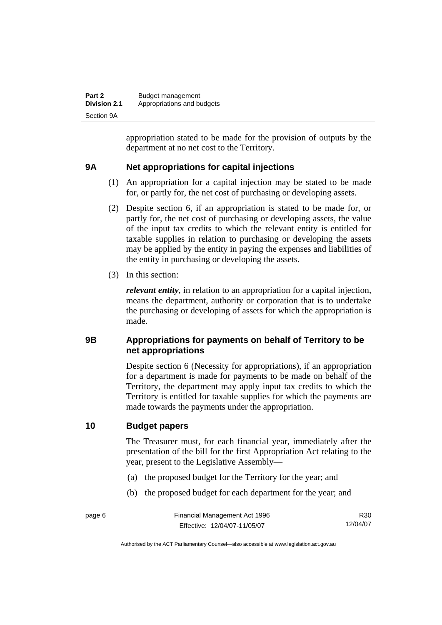| Part 2              | Budget management          |
|---------------------|----------------------------|
| <b>Division 2.1</b> | Appropriations and budgets |
| Section 9A          |                            |

appropriation stated to be made for the provision of outputs by the department at no net cost to the Territory.

#### **9A Net appropriations for capital injections**

- (1) An appropriation for a capital injection may be stated to be made for, or partly for, the net cost of purchasing or developing assets.
- (2) Despite section 6, if an appropriation is stated to be made for, or partly for, the net cost of purchasing or developing assets, the value of the input tax credits to which the relevant entity is entitled for taxable supplies in relation to purchasing or developing the assets may be applied by the entity in paying the expenses and liabilities of the entity in purchasing or developing the assets.
- (3) In this section:

*relevant entity*, in relation to an appropriation for a capital injection, means the department, authority or corporation that is to undertake the purchasing or developing of assets for which the appropriation is made.

#### **9B Appropriations for payments on behalf of Territory to be net appropriations**

Despite section 6 (Necessity for appropriations), if an appropriation for a department is made for payments to be made on behalf of the Territory, the department may apply input tax credits to which the Territory is entitled for taxable supplies for which the payments are made towards the payments under the appropriation.

#### **10 Budget papers**

The Treasurer must, for each financial year, immediately after the presentation of the bill for the first Appropriation Act relating to the year, present to the Legislative Assembly—

- (a) the proposed budget for the Territory for the year; and
- (b) the proposed budget for each department for the year; and

R30 12/04/07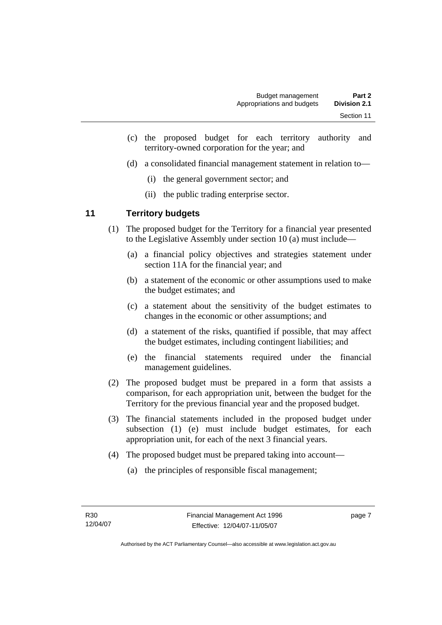- (c) the proposed budget for each territory authority and territory-owned corporation for the year; and
- (d) a consolidated financial management statement in relation to—
	- (i) the general government sector; and
	- (ii) the public trading enterprise sector.

#### **11 Territory budgets**

- (1) The proposed budget for the Territory for a financial year presented to the Legislative Assembly under section 10 (a) must include—
	- (a) a financial policy objectives and strategies statement under section 11A for the financial year; and
	- (b) a statement of the economic or other assumptions used to make the budget estimates; and
	- (c) a statement about the sensitivity of the budget estimates to changes in the economic or other assumptions; and
	- (d) a statement of the risks, quantified if possible, that may affect the budget estimates, including contingent liabilities; and
	- (e) the financial statements required under the financial management guidelines.
- (2) The proposed budget must be prepared in a form that assists a comparison, for each appropriation unit, between the budget for the Territory for the previous financial year and the proposed budget.
- (3) The financial statements included in the proposed budget under subsection (1) (e) must include budget estimates, for each appropriation unit, for each of the next 3 financial years.
- (4) The proposed budget must be prepared taking into account—
	- (a) the principles of responsible fiscal management;

page 7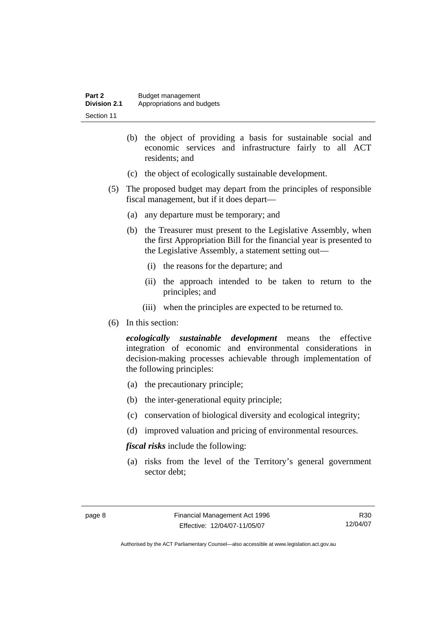| Part 2              | Budget management          |
|---------------------|----------------------------|
| <b>Division 2.1</b> | Appropriations and budgets |
| Section 11          |                            |

- (b) the object of providing a basis for sustainable social and economic services and infrastructure fairly to all ACT residents; and
- (c) the object of ecologically sustainable development.
- (5) The proposed budget may depart from the principles of responsible fiscal management, but if it does depart—
	- (a) any departure must be temporary; and
	- (b) the Treasurer must present to the Legislative Assembly, when the first Appropriation Bill for the financial year is presented to the Legislative Assembly, a statement setting out—
		- (i) the reasons for the departure; and
		- (ii) the approach intended to be taken to return to the principles; and
		- (iii) when the principles are expected to be returned to.
- (6) In this section:

*ecologically sustainable development* means the effective integration of economic and environmental considerations in decision-making processes achievable through implementation of the following principles:

- (a) the precautionary principle;
- (b) the inter-generational equity principle;
- (c) conservation of biological diversity and ecological integrity;
- (d) improved valuation and pricing of environmental resources.

*fiscal risks* include the following:

 (a) risks from the level of the Territory's general government sector debt;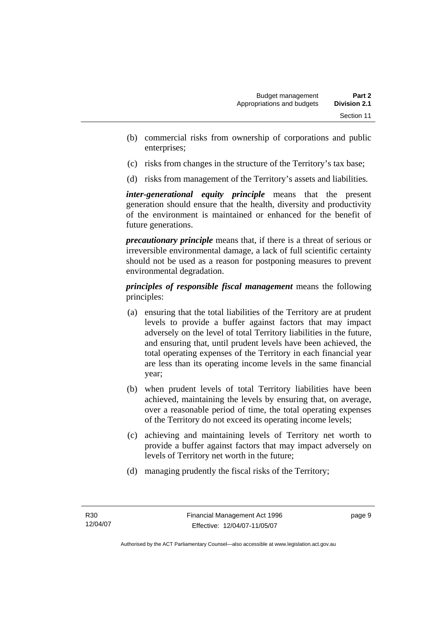- (b) commercial risks from ownership of corporations and public enterprises;
- (c) risks from changes in the structure of the Territory's tax base;
- (d) risks from management of the Territory's assets and liabilities.

*inter-generational equity principle* means that the present generation should ensure that the health, diversity and productivity of the environment is maintained or enhanced for the benefit of future generations.

*precautionary principle* means that, if there is a threat of serious or irreversible environmental damage, a lack of full scientific certainty should not be used as a reason for postponing measures to prevent environmental degradation.

*principles of responsible fiscal management* means the following principles:

- (a) ensuring that the total liabilities of the Territory are at prudent levels to provide a buffer against factors that may impact adversely on the level of total Territory liabilities in the future, and ensuring that, until prudent levels have been achieved, the total operating expenses of the Territory in each financial year are less than its operating income levels in the same financial year;
- (b) when prudent levels of total Territory liabilities have been achieved, maintaining the levels by ensuring that, on average, over a reasonable period of time, the total operating expenses of the Territory do not exceed its operating income levels;
- (c) achieving and maintaining levels of Territory net worth to provide a buffer against factors that may impact adversely on levels of Territory net worth in the future;
- (d) managing prudently the fiscal risks of the Territory;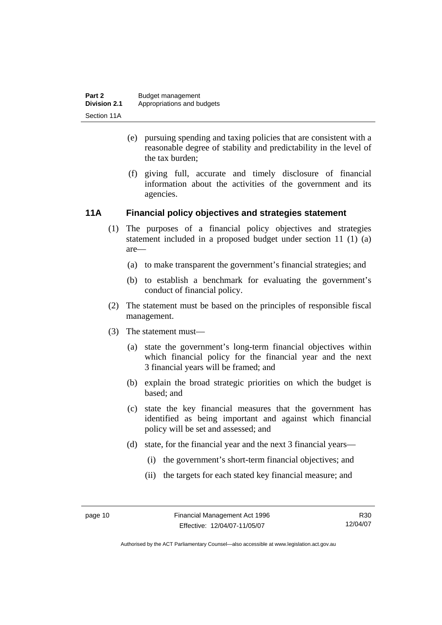- (e) pursuing spending and taxing policies that are consistent with a reasonable degree of stability and predictability in the level of the tax burden;
- (f) giving full, accurate and timely disclosure of financial information about the activities of the government and its agencies.

#### **11A Financial policy objectives and strategies statement**

- (1) The purposes of a financial policy objectives and strategies statement included in a proposed budget under section 11 (1) (a) are—
	- (a) to make transparent the government's financial strategies; and
	- (b) to establish a benchmark for evaluating the government's conduct of financial policy.
- (2) The statement must be based on the principles of responsible fiscal management.
- (3) The statement must—
	- (a) state the government's long-term financial objectives within which financial policy for the financial year and the next 3 financial years will be framed; and
	- (b) explain the broad strategic priorities on which the budget is based; and
	- (c) state the key financial measures that the government has identified as being important and against which financial policy will be set and assessed; and
	- (d) state, for the financial year and the next 3 financial years—
		- (i) the government's short-term financial objectives; and
		- (ii) the targets for each stated key financial measure; and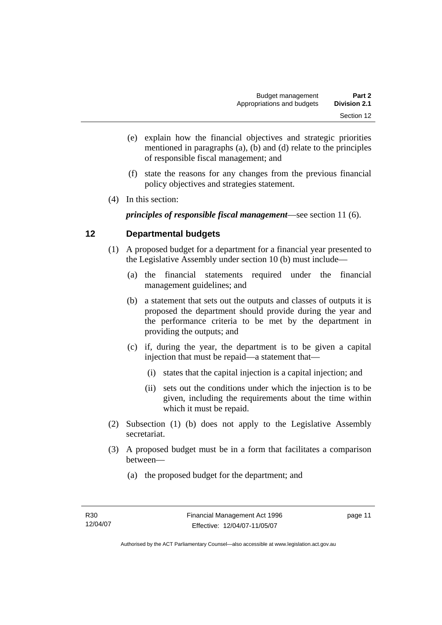- (e) explain how the financial objectives and strategic priorities mentioned in paragraphs (a), (b) and (d) relate to the principles of responsible fiscal management; and
- (f) state the reasons for any changes from the previous financial policy objectives and strategies statement.
- (4) In this section:

*principles of responsible fiscal management*—see section 11 (6).

#### **12 Departmental budgets**

- (1) A proposed budget for a department for a financial year presented to the Legislative Assembly under section 10 (b) must include—
	- (a) the financial statements required under the financial management guidelines; and
	- (b) a statement that sets out the outputs and classes of outputs it is proposed the department should provide during the year and the performance criteria to be met by the department in providing the outputs; and
	- (c) if, during the year, the department is to be given a capital injection that must be repaid—a statement that—
		- (i) states that the capital injection is a capital injection; and
		- (ii) sets out the conditions under which the injection is to be given, including the requirements about the time within which it must be repaid.
- (2) Subsection (1) (b) does not apply to the Legislative Assembly secretariat.
- (3) A proposed budget must be in a form that facilitates a comparison between—
	- (a) the proposed budget for the department; and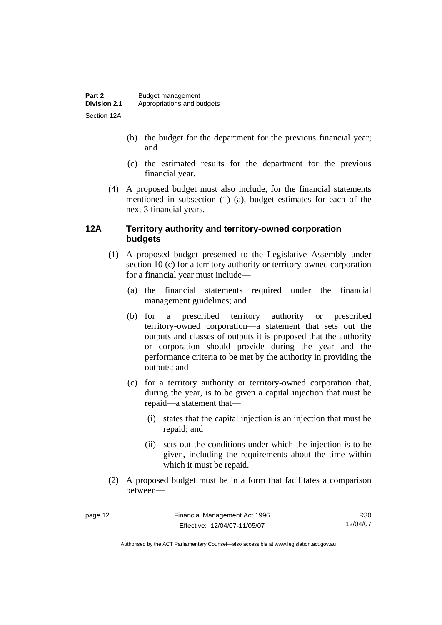- (b) the budget for the department for the previous financial year; and
- (c) the estimated results for the department for the previous financial year.
- (4) A proposed budget must also include, for the financial statements mentioned in subsection (1) (a), budget estimates for each of the next 3 financial years.

#### **12A Territory authority and territory-owned corporation budgets**

- (1) A proposed budget presented to the Legislative Assembly under section 10 (c) for a territory authority or territory-owned corporation for a financial year must include—
	- (a) the financial statements required under the financial management guidelines; and
	- (b) for a prescribed territory authority or prescribed territory-owned corporation—a statement that sets out the outputs and classes of outputs it is proposed that the authority or corporation should provide during the year and the performance criteria to be met by the authority in providing the outputs; and
	- (c) for a territory authority or territory-owned corporation that, during the year, is to be given a capital injection that must be repaid—a statement that—
		- (i) states that the capital injection is an injection that must be repaid; and
		- (ii) sets out the conditions under which the injection is to be given, including the requirements about the time within which it must be repaid.
- (2) A proposed budget must be in a form that facilitates a comparison between—

R30 12/04/07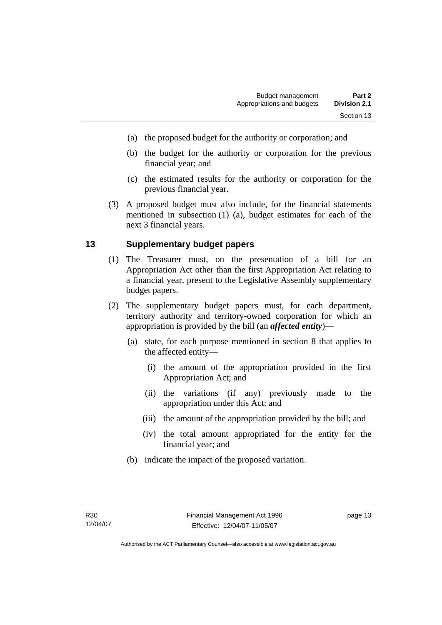- (a) the proposed budget for the authority or corporation; and
- (b) the budget for the authority or corporation for the previous financial year; and
- (c) the estimated results for the authority or corporation for the previous financial year.
- (3) A proposed budget must also include, for the financial statements mentioned in subsection (1) (a), budget estimates for each of the next 3 financial years.

#### **13 Supplementary budget papers**

- (1) The Treasurer must, on the presentation of a bill for an Appropriation Act other than the first Appropriation Act relating to a financial year, present to the Legislative Assembly supplementary budget papers.
- (2) The supplementary budget papers must, for each department, territory authority and territory-owned corporation for which an appropriation is provided by the bill (an *affected entity*)—
	- (a) state, for each purpose mentioned in section 8 that applies to the affected entity—
		- (i) the amount of the appropriation provided in the first Appropriation Act; and
		- (ii) the variations (if any) previously made to the appropriation under this Act; and
		- (iii) the amount of the appropriation provided by the bill; and
		- (iv) the total amount appropriated for the entity for the financial year; and
	- (b) indicate the impact of the proposed variation.

page 13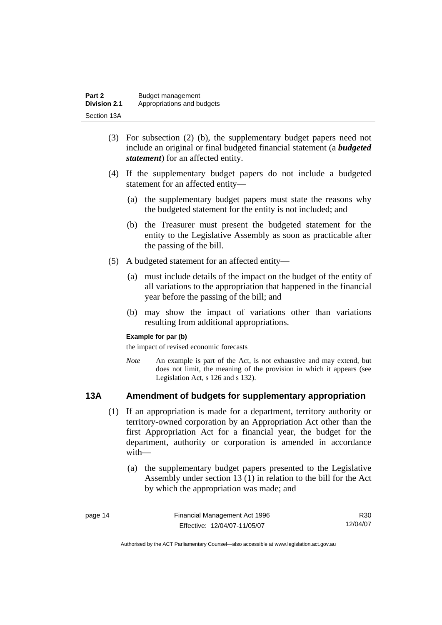| Part 2              | Budget management          |
|---------------------|----------------------------|
| <b>Division 2.1</b> | Appropriations and budgets |
| Section 13A         |                            |

- (3) For subsection (2) (b), the supplementary budget papers need not include an original or final budgeted financial statement (a *budgeted statement*) for an affected entity.
- (4) If the supplementary budget papers do not include a budgeted statement for an affected entity—
	- (a) the supplementary budget papers must state the reasons why the budgeted statement for the entity is not included; and
	- (b) the Treasurer must present the budgeted statement for the entity to the Legislative Assembly as soon as practicable after the passing of the bill.
- (5) A budgeted statement for an affected entity—
	- (a) must include details of the impact on the budget of the entity of all variations to the appropriation that happened in the financial year before the passing of the bill; and
	- (b) may show the impact of variations other than variations resulting from additional appropriations.

#### **Example for par (b)**

the impact of revised economic forecasts

*Note* An example is part of the Act, is not exhaustive and may extend, but does not limit, the meaning of the provision in which it appears (see Legislation Act, s 126 and s 132).

#### **13A Amendment of budgets for supplementary appropriation**

- (1) If an appropriation is made for a department, territory authority or territory-owned corporation by an Appropriation Act other than the first Appropriation Act for a financial year, the budget for the department, authority or corporation is amended in accordance with—
	- (a) the supplementary budget papers presented to the Legislative Assembly under section 13 (1) in relation to the bill for the Act by which the appropriation was made; and

| page 14 | Financial Management Act 1996 | R30      |
|---------|-------------------------------|----------|
|         | Effective: 12/04/07-11/05/07  | 12/04/07 |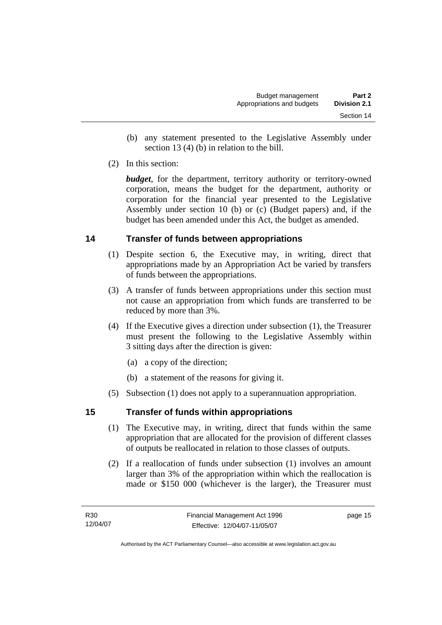- (b) any statement presented to the Legislative Assembly under section 13 (4) (b) in relation to the bill.
- (2) In this section:

*budget*, for the department, territory authority or territory-owned corporation, means the budget for the department, authority or corporation for the financial year presented to the Legislative Assembly under section 10 (b) or (c) (Budget papers) and, if the budget has been amended under this Act, the budget as amended.

#### **14 Transfer of funds between appropriations**

- (1) Despite section 6, the Executive may, in writing, direct that appropriations made by an Appropriation Act be varied by transfers of funds between the appropriations.
- (3) A transfer of funds between appropriations under this section must not cause an appropriation from which funds are transferred to be reduced by more than 3%.
- (4) If the Executive gives a direction under subsection (1), the Treasurer must present the following to the Legislative Assembly within 3 sitting days after the direction is given:
	- (a) a copy of the direction;
	- (b) a statement of the reasons for giving it.
- (5) Subsection (1) does not apply to a superannuation appropriation.

#### **15 Transfer of funds within appropriations**

- (1) The Executive may, in writing, direct that funds within the same appropriation that are allocated for the provision of different classes of outputs be reallocated in relation to those classes of outputs.
- (2) If a reallocation of funds under subsection (1) involves an amount larger than 3% of the appropriation within which the reallocation is made or \$150 000 (whichever is the larger), the Treasurer must

page 15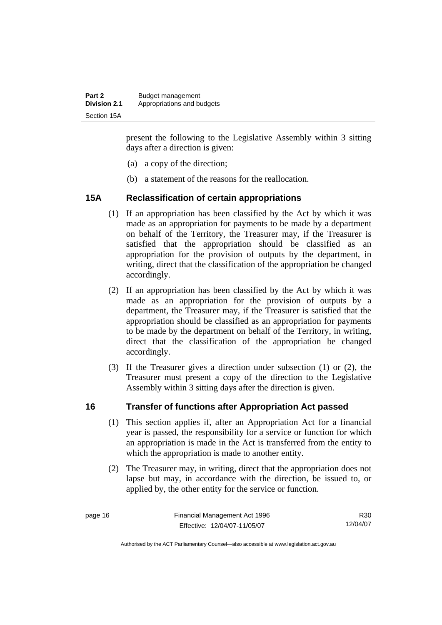| Part 2              | Budget management          |
|---------------------|----------------------------|
| <b>Division 2.1</b> | Appropriations and budgets |
| Section 15A         |                            |

present the following to the Legislative Assembly within 3 sitting days after a direction is given:

- (a) a copy of the direction;
- (b) a statement of the reasons for the reallocation.

#### **15A Reclassification of certain appropriations**

- (1) If an appropriation has been classified by the Act by which it was made as an appropriation for payments to be made by a department on behalf of the Territory, the Treasurer may, if the Treasurer is satisfied that the appropriation should be classified as an appropriation for the provision of outputs by the department, in writing, direct that the classification of the appropriation be changed accordingly.
- (2) If an appropriation has been classified by the Act by which it was made as an appropriation for the provision of outputs by a department, the Treasurer may, if the Treasurer is satisfied that the appropriation should be classified as an appropriation for payments to be made by the department on behalf of the Territory, in writing, direct that the classification of the appropriation be changed accordingly.
- (3) If the Treasurer gives a direction under subsection (1) or (2), the Treasurer must present a copy of the direction to the Legislative Assembly within 3 sitting days after the direction is given.

#### **16 Transfer of functions after Appropriation Act passed**

- (1) This section applies if, after an Appropriation Act for a financial year is passed, the responsibility for a service or function for which an appropriation is made in the Act is transferred from the entity to which the appropriation is made to another entity.
- (2) The Treasurer may, in writing, direct that the appropriation does not lapse but may, in accordance with the direction, be issued to, or applied by, the other entity for the service or function.

R30 12/04/07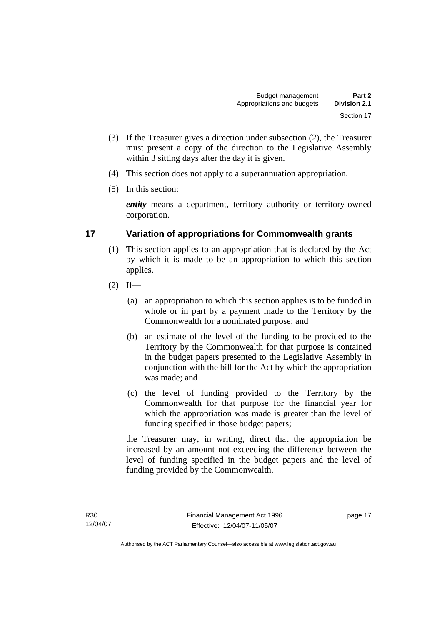- (3) If the Treasurer gives a direction under subsection (2), the Treasurer must present a copy of the direction to the Legislative Assembly within 3 sitting days after the day it is given.
- (4) This section does not apply to a superannuation appropriation.
- (5) In this section:

*entity* means a department, territory authority or territory-owned corporation.

#### **17 Variation of appropriations for Commonwealth grants**

- (1) This section applies to an appropriation that is declared by the Act by which it is made to be an appropriation to which this section applies.
- $(2)$  If—
	- (a) an appropriation to which this section applies is to be funded in whole or in part by a payment made to the Territory by the Commonwealth for a nominated purpose; and
	- (b) an estimate of the level of the funding to be provided to the Territory by the Commonwealth for that purpose is contained in the budget papers presented to the Legislative Assembly in conjunction with the bill for the Act by which the appropriation was made; and
	- (c) the level of funding provided to the Territory by the Commonwealth for that purpose for the financial year for which the appropriation was made is greater than the level of funding specified in those budget papers;

the Treasurer may, in writing, direct that the appropriation be increased by an amount not exceeding the difference between the level of funding specified in the budget papers and the level of funding provided by the Commonwealth.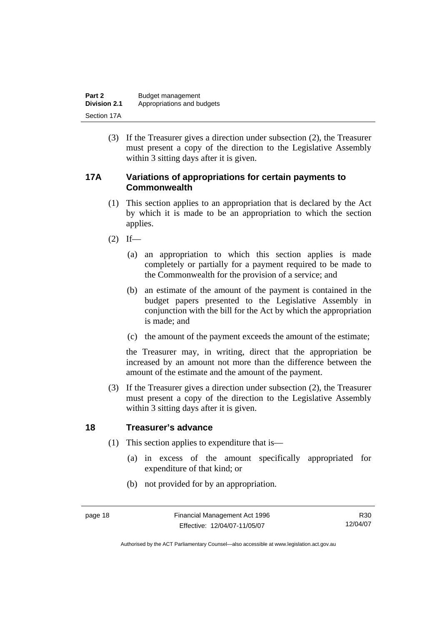| Part 2              | Budget management          |
|---------------------|----------------------------|
| <b>Division 2.1</b> | Appropriations and budgets |
| Section 17A         |                            |

 (3) If the Treasurer gives a direction under subsection (2), the Treasurer must present a copy of the direction to the Legislative Assembly within 3 sitting days after it is given.

#### **17A Variations of appropriations for certain payments to Commonwealth**

- (1) This section applies to an appropriation that is declared by the Act by which it is made to be an appropriation to which the section applies.
- $(2)$  If—
	- (a) an appropriation to which this section applies is made completely or partially for a payment required to be made to the Commonwealth for the provision of a service; and
	- (b) an estimate of the amount of the payment is contained in the budget papers presented to the Legislative Assembly in conjunction with the bill for the Act by which the appropriation is made; and
	- (c) the amount of the payment exceeds the amount of the estimate;

the Treasurer may, in writing, direct that the appropriation be increased by an amount not more than the difference between the amount of the estimate and the amount of the payment.

 (3) If the Treasurer gives a direction under subsection (2), the Treasurer must present a copy of the direction to the Legislative Assembly within 3 sitting days after it is given.

#### **18 Treasurer's advance**

- (1) This section applies to expenditure that is—
	- (a) in excess of the amount specifically appropriated for expenditure of that kind; or
	- (b) not provided for by an appropriation.

R30 12/04/07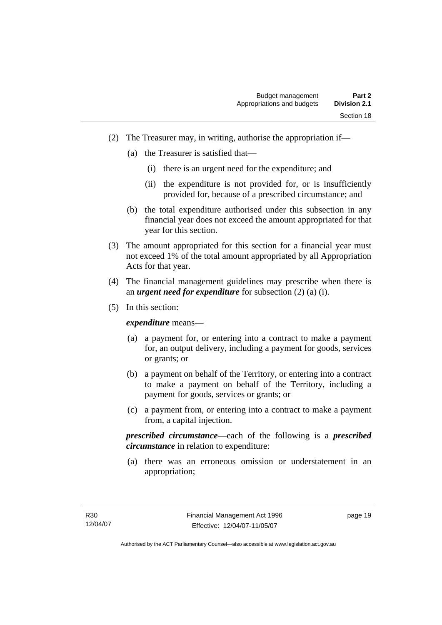- (2) The Treasurer may, in writing, authorise the appropriation if—
	- (a) the Treasurer is satisfied that—
		- (i) there is an urgent need for the expenditure; and
		- (ii) the expenditure is not provided for, or is insufficiently provided for, because of a prescribed circumstance; and
	- (b) the total expenditure authorised under this subsection in any financial year does not exceed the amount appropriated for that year for this section.
- (3) The amount appropriated for this section for a financial year must not exceed 1% of the total amount appropriated by all Appropriation Acts for that year.
- (4) The financial management guidelines may prescribe when there is an *urgent need for expenditure* for subsection (2) (a) (i).
- (5) In this section:

*expenditure* means—

- (a) a payment for, or entering into a contract to make a payment for, an output delivery, including a payment for goods, services or grants; or
- (b) a payment on behalf of the Territory, or entering into a contract to make a payment on behalf of the Territory, including a payment for goods, services or grants; or
- (c) a payment from, or entering into a contract to make a payment from, a capital injection.

*prescribed circumstance*—each of the following is a *prescribed circumstance* in relation to expenditure:

 (a) there was an erroneous omission or understatement in an appropriation;

page 19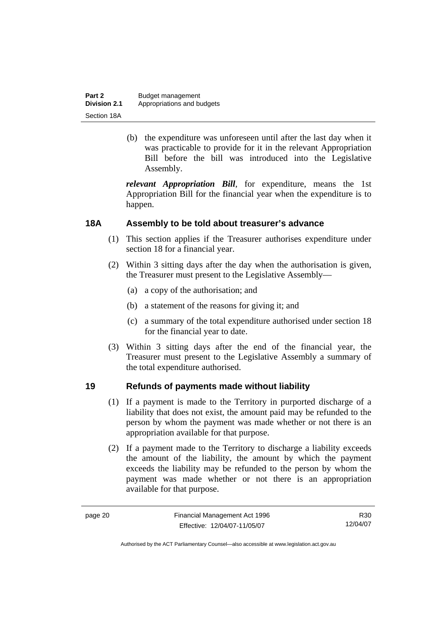| Part 2              | Budget management          |
|---------------------|----------------------------|
| <b>Division 2.1</b> | Appropriations and budgets |
| Section 18A         |                            |

 (b) the expenditure was unforeseen until after the last day when it was practicable to provide for it in the relevant Appropriation Bill before the bill was introduced into the Legislative Assembly.

*relevant Appropriation Bill*, for expenditure, means the 1st Appropriation Bill for the financial year when the expenditure is to happen.

#### **18A Assembly to be told about treasurer's advance**

- (1) This section applies if the Treasurer authorises expenditure under section 18 for a financial year.
- (2) Within 3 sitting days after the day when the authorisation is given, the Treasurer must present to the Legislative Assembly—
	- (a) a copy of the authorisation; and
	- (b) a statement of the reasons for giving it; and
	- (c) a summary of the total expenditure authorised under section 18 for the financial year to date.
- (3) Within 3 sitting days after the end of the financial year, the Treasurer must present to the Legislative Assembly a summary of the total expenditure authorised.

#### **19 Refunds of payments made without liability**

- (1) If a payment is made to the Territory in purported discharge of a liability that does not exist, the amount paid may be refunded to the person by whom the payment was made whether or not there is an appropriation available for that purpose.
- (2) If a payment made to the Territory to discharge a liability exceeds the amount of the liability, the amount by which the payment exceeds the liability may be refunded to the person by whom the payment was made whether or not there is an appropriation available for that purpose.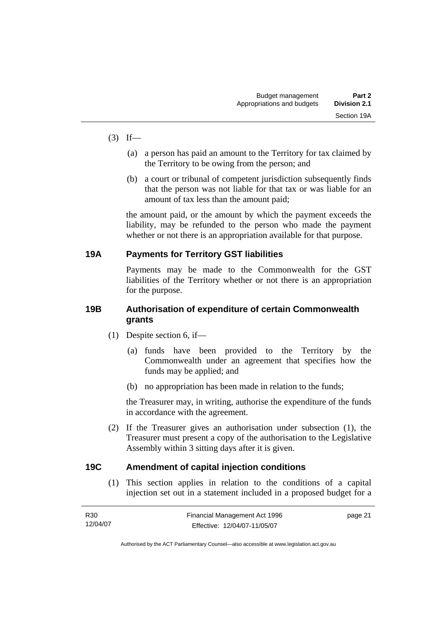- $(3)$  If—
	- (a) a person has paid an amount to the Territory for tax claimed by the Territory to be owing from the person; and
	- (b) a court or tribunal of competent jurisdiction subsequently finds that the person was not liable for that tax or was liable for an amount of tax less than the amount paid;

the amount paid, or the amount by which the payment exceeds the liability, may be refunded to the person who made the payment whether or not there is an appropriation available for that purpose.

#### **19A Payments for Territory GST liabilities**

Payments may be made to the Commonwealth for the GST liabilities of the Territory whether or not there is an appropriation for the purpose.

#### **19B Authorisation of expenditure of certain Commonwealth grants**

- (1) Despite section 6, if—
	- (a) funds have been provided to the Territory by the Commonwealth under an agreement that specifies how the funds may be applied; and
	- (b) no appropriation has been made in relation to the funds;

the Treasurer may, in writing, authorise the expenditure of the funds in accordance with the agreement.

 (2) If the Treasurer gives an authorisation under subsection (1), the Treasurer must present a copy of the authorisation to the Legislative Assembly within 3 sitting days after it is given.

#### **19C Amendment of capital injection conditions**

 (1) This section applies in relation to the conditions of a capital injection set out in a statement included in a proposed budget for a

| R30      | Financial Management Act 1996 | page 21 |
|----------|-------------------------------|---------|
| 12/04/07 | Effective: 12/04/07-11/05/07  |         |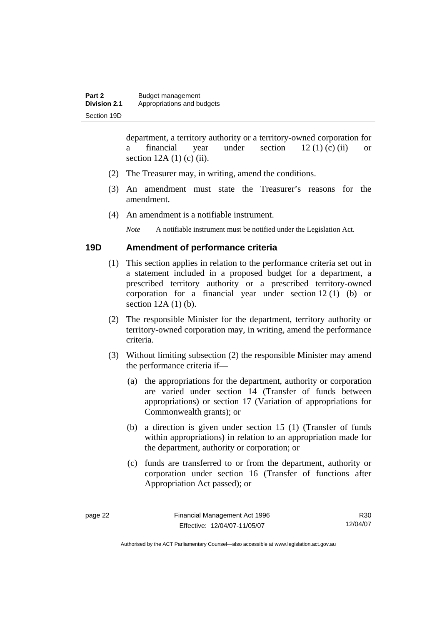department, a territory authority or a territory-owned corporation for a financial year under section  $12 (1) (c) (ii)$  or section  $12A(1)$  (c) (ii).

- (2) The Treasurer may, in writing, amend the conditions.
- (3) An amendment must state the Treasurer's reasons for the amendment.
- (4) An amendment is a notifiable instrument.

*Note* A notifiable instrument must be notified under the Legislation Act.

#### **19D Amendment of performance criteria**

- (1) This section applies in relation to the performance criteria set out in a statement included in a proposed budget for a department, a prescribed territory authority or a prescribed territory-owned corporation for a financial year under section 12 (1) (b) or section 12A (1) (b).
- (2) The responsible Minister for the department, territory authority or territory-owned corporation may, in writing, amend the performance criteria.
- (3) Without limiting subsection (2) the responsible Minister may amend the performance criteria if—
	- (a) the appropriations for the department, authority or corporation are varied under section 14 (Transfer of funds between appropriations) or section 17 (Variation of appropriations for Commonwealth grants); or
	- (b) a direction is given under section 15 (1) (Transfer of funds within appropriations) in relation to an appropriation made for the department, authority or corporation; or
	- (c) funds are transferred to or from the department, authority or corporation under section 16 (Transfer of functions after Appropriation Act passed); or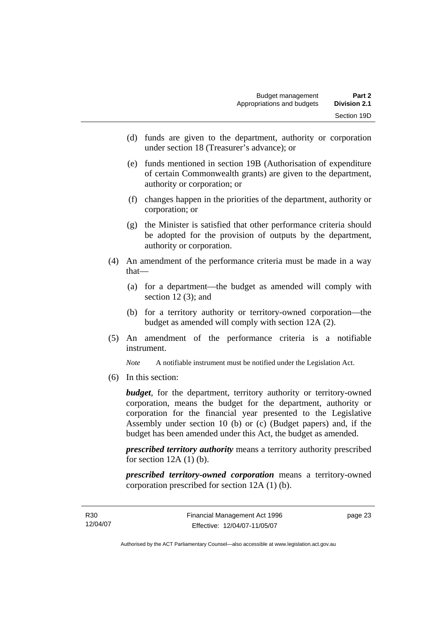- (d) funds are given to the department, authority or corporation under section 18 (Treasurer's advance); or
- (e) funds mentioned in section 19B (Authorisation of expenditure of certain Commonwealth grants) are given to the department, authority or corporation; or
- (f) changes happen in the priorities of the department, authority or corporation; or
- (g) the Minister is satisfied that other performance criteria should be adopted for the provision of outputs by the department, authority or corporation.
- (4) An amendment of the performance criteria must be made in a way that—
	- (a) for a department—the budget as amended will comply with section  $12(3)$ ; and
	- (b) for a territory authority or territory-owned corporation—the budget as amended will comply with section 12A (2).
- (5) An amendment of the performance criteria is a notifiable instrument.

*Note* A notifiable instrument must be notified under the Legislation Act.

(6) In this section:

*budget*, for the department, territory authority or territory-owned corporation, means the budget for the department, authority or corporation for the financial year presented to the Legislative Assembly under section 10 (b) or (c) (Budget papers) and, if the budget has been amended under this Act, the budget as amended.

*prescribed territory authority* means a territory authority prescribed for section  $12A(1)$  (b).

*prescribed territory-owned corporation* means a territory-owned corporation prescribed for section 12A (1) (b).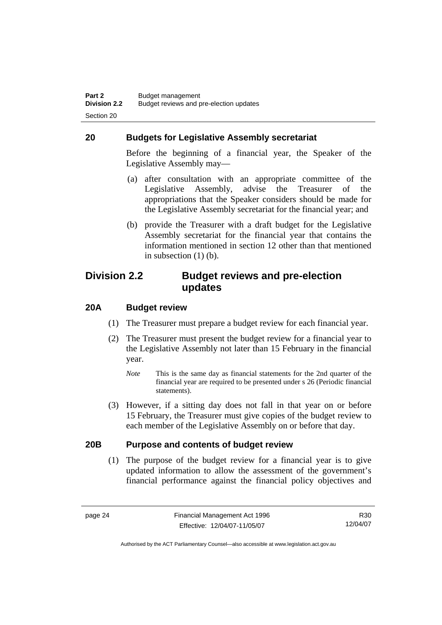#### **20 Budgets for Legislative Assembly secretariat**

Before the beginning of a financial year, the Speaker of the Legislative Assembly may—

- (a) after consultation with an appropriate committee of the Legislative Assembly, advise the Treasurer of the appropriations that the Speaker considers should be made for the Legislative Assembly secretariat for the financial year; and
- (b) provide the Treasurer with a draft budget for the Legislative Assembly secretariat for the financial year that contains the information mentioned in section 12 other than that mentioned in subsection (1) (b).

### **Division 2.2 Budget reviews and pre-election updates**

#### **20A Budget review**

- (1) The Treasurer must prepare a budget review for each financial year.
- (2) The Treasurer must present the budget review for a financial year to the Legislative Assembly not later than 15 February in the financial year.
	- *Note* This is the same day as financial statements for the 2nd quarter of the financial year are required to be presented under s 26 (Periodic financial statements).
- (3) However, if a sitting day does not fall in that year on or before 15 February, the Treasurer must give copies of the budget review to each member of the Legislative Assembly on or before that day.

#### **20B Purpose and contents of budget review**

 (1) The purpose of the budget review for a financial year is to give updated information to allow the assessment of the government's financial performance against the financial policy objectives and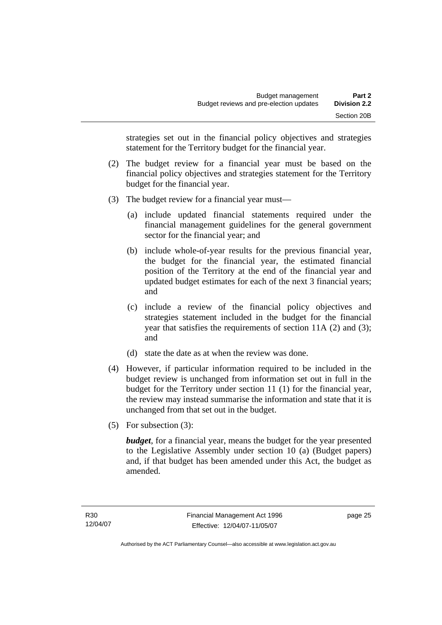strategies set out in the financial policy objectives and strategies statement for the Territory budget for the financial year.

- (2) The budget review for a financial year must be based on the financial policy objectives and strategies statement for the Territory budget for the financial year.
- (3) The budget review for a financial year must—
	- (a) include updated financial statements required under the financial management guidelines for the general government sector for the financial year; and
	- (b) include whole-of-year results for the previous financial year, the budget for the financial year, the estimated financial position of the Territory at the end of the financial year and updated budget estimates for each of the next 3 financial years; and
	- (c) include a review of the financial policy objectives and strategies statement included in the budget for the financial year that satisfies the requirements of section 11A (2) and (3); and
	- (d) state the date as at when the review was done.
- (4) However, if particular information required to be included in the budget review is unchanged from information set out in full in the budget for the Territory under section 11 (1) for the financial year, the review may instead summarise the information and state that it is unchanged from that set out in the budget.
- (5) For subsection (3):

*budget*, for a financial year, means the budget for the year presented to the Legislative Assembly under section 10 (a) (Budget papers) and, if that budget has been amended under this Act, the budget as amended.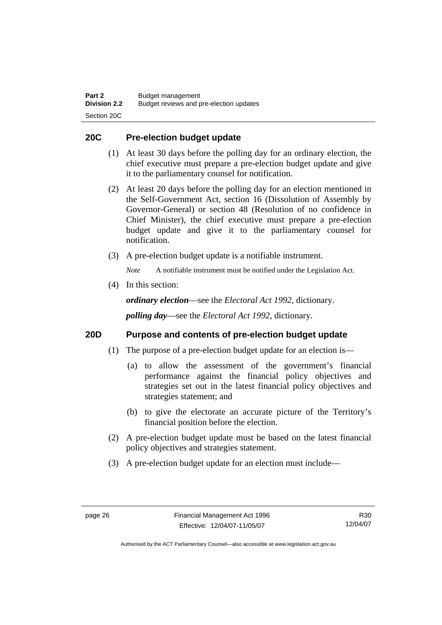#### **20C Pre-election budget update**

- (1) At least 30 days before the polling day for an ordinary election, the chief executive must prepare a pre-election budget update and give it to the parliamentary counsel for notification.
- (2) At least 20 days before the polling day for an election mentioned in the Self-Government Act, section 16 (Dissolution of Assembly by Governor-General) or section 48 (Resolution of no confidence in Chief Minister), the chief executive must prepare a pre-election budget update and give it to the parliamentary counsel for notification.
- (3) A pre-election budget update is a notifiable instrument.

*Note* A notifiable instrument must be notified under the Legislation Act.

(4) In this section:

*ordinary election*—see the *Electoral Act 1992*, dictionary.

*polling day*—see the *Electoral Act 1992*, dictionary.

#### **20D Purpose and contents of pre-election budget update**

- (1) The purpose of a pre-election budget update for an election is—
	- (a) to allow the assessment of the government's financial performance against the financial policy objectives and strategies set out in the latest financial policy objectives and strategies statement; and
	- (b) to give the electorate an accurate picture of the Territory's financial position before the election.
- (2) A pre-election budget update must be based on the latest financial policy objectives and strategies statement.
- (3) A pre-election budget update for an election must include—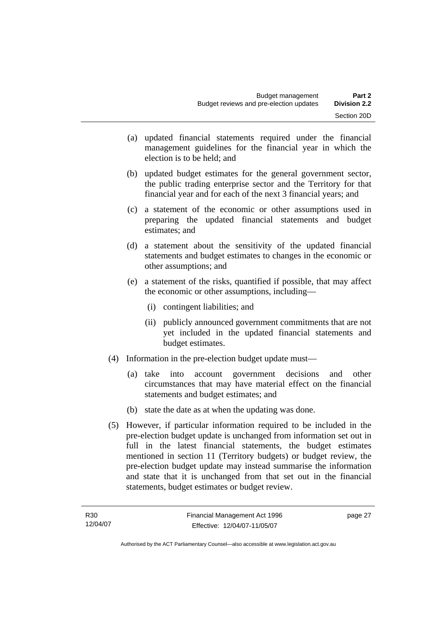- (a) updated financial statements required under the financial management guidelines for the financial year in which the election is to be held; and
- (b) updated budget estimates for the general government sector, the public trading enterprise sector and the Territory for that financial year and for each of the next 3 financial years; and
- (c) a statement of the economic or other assumptions used in preparing the updated financial statements and budget estimates; and
- (d) a statement about the sensitivity of the updated financial statements and budget estimates to changes in the economic or other assumptions; and
- (e) a statement of the risks, quantified if possible, that may affect the economic or other assumptions, including—
	- (i) contingent liabilities; and
	- (ii) publicly announced government commitments that are not yet included in the updated financial statements and budget estimates.
- (4) Information in the pre-election budget update must—
	- (a) take into account government decisions and other circumstances that may have material effect on the financial statements and budget estimates; and
	- (b) state the date as at when the updating was done.
- (5) However, if particular information required to be included in the pre-election budget update is unchanged from information set out in full in the latest financial statements, the budget estimates mentioned in section 11 (Territory budgets) or budget review, the pre-election budget update may instead summarise the information and state that it is unchanged from that set out in the financial statements, budget estimates or budget review.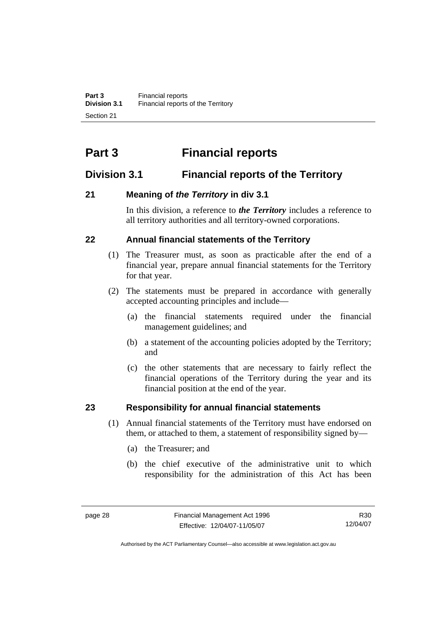# **Part 3 Financial reports**

# **Division 3.1 Financial reports of the Territory**

# **21 Meaning of** *the Territory* **in div 3.1**

In this division, a reference to *the Territory* includes a reference to all territory authorities and all territory-owned corporations.

## **22 Annual financial statements of the Territory**

- (1) The Treasurer must, as soon as practicable after the end of a financial year, prepare annual financial statements for the Territory for that year.
- (2) The statements must be prepared in accordance with generally accepted accounting principles and include—
	- (a) the financial statements required under the financial management guidelines; and
	- (b) a statement of the accounting policies adopted by the Territory; and
	- (c) the other statements that are necessary to fairly reflect the financial operations of the Territory during the year and its financial position at the end of the year.

# **23 Responsibility for annual financial statements**

- (1) Annual financial statements of the Territory must have endorsed on them, or attached to them, a statement of responsibility signed by—
	- (a) the Treasurer; and
	- (b) the chief executive of the administrative unit to which responsibility for the administration of this Act has been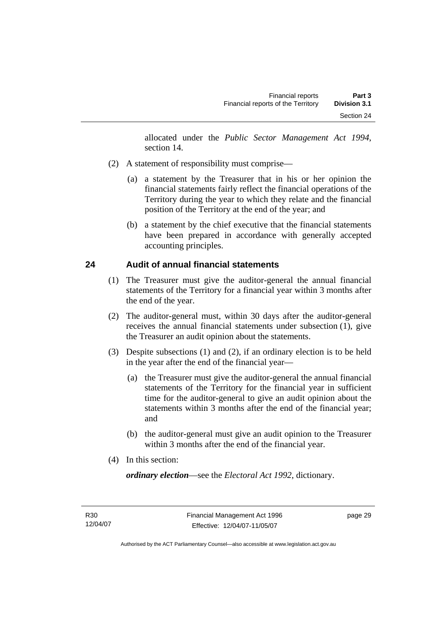allocated under the *Public Sector Management Act 1994*, section 14.

- (2) A statement of responsibility must comprise—
	- (a) a statement by the Treasurer that in his or her opinion the financial statements fairly reflect the financial operations of the Territory during the year to which they relate and the financial position of the Territory at the end of the year; and
	- (b) a statement by the chief executive that the financial statements have been prepared in accordance with generally accepted accounting principles.

## **24 Audit of annual financial statements**

- (1) The Treasurer must give the auditor-general the annual financial statements of the Territory for a financial year within 3 months after the end of the year.
- (2) The auditor-general must, within 30 days after the auditor-general receives the annual financial statements under subsection (1), give the Treasurer an audit opinion about the statements.
- (3) Despite subsections (1) and (2), if an ordinary election is to be held in the year after the end of the financial year—
	- (a) the Treasurer must give the auditor-general the annual financial statements of the Territory for the financial year in sufficient time for the auditor-general to give an audit opinion about the statements within 3 months after the end of the financial year; and
	- (b) the auditor-general must give an audit opinion to the Treasurer within 3 months after the end of the financial year.
- (4) In this section:

*ordinary election*—see the *Electoral Act 1992*, dictionary.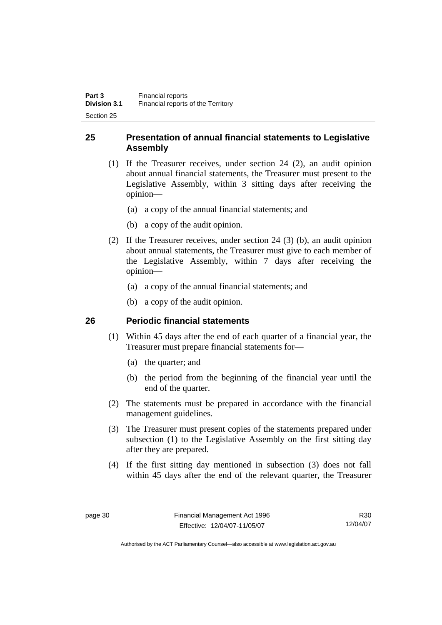## **25 Presentation of annual financial statements to Legislative Assembly**

- (1) If the Treasurer receives, under section 24 (2), an audit opinion about annual financial statements, the Treasurer must present to the Legislative Assembly, within 3 sitting days after receiving the opinion—
	- (a) a copy of the annual financial statements; and
	- (b) a copy of the audit opinion.
- (2) If the Treasurer receives, under section 24 (3) (b), an audit opinion about annual statements, the Treasurer must give to each member of the Legislative Assembly, within 7 days after receiving the opinion—
	- (a) a copy of the annual financial statements; and
	- (b) a copy of the audit opinion.

## **26 Periodic financial statements**

- (1) Within 45 days after the end of each quarter of a financial year, the Treasurer must prepare financial statements for—
	- (a) the quarter; and
	- (b) the period from the beginning of the financial year until the end of the quarter.
- (2) The statements must be prepared in accordance with the financial management guidelines.
- (3) The Treasurer must present copies of the statements prepared under subsection (1) to the Legislative Assembly on the first sitting day after they are prepared.
- (4) If the first sitting day mentioned in subsection (3) does not fall within 45 days after the end of the relevant quarter, the Treasurer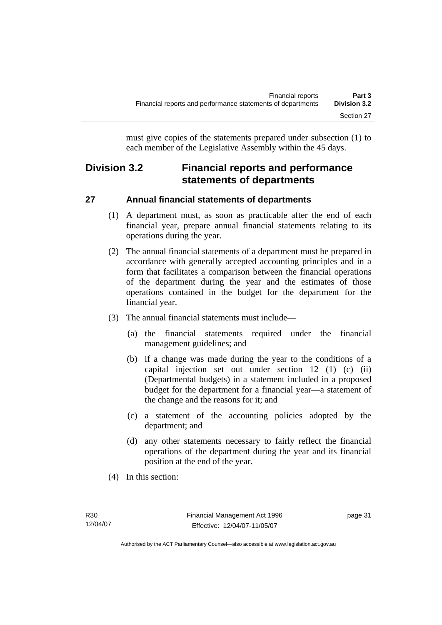must give copies of the statements prepared under subsection (1) to each member of the Legislative Assembly within the 45 days.

# **Division 3.2 Financial reports and performance statements of departments**

# **27 Annual financial statements of departments**

- (1) A department must, as soon as practicable after the end of each financial year, prepare annual financial statements relating to its operations during the year.
- (2) The annual financial statements of a department must be prepared in accordance with generally accepted accounting principles and in a form that facilitates a comparison between the financial operations of the department during the year and the estimates of those operations contained in the budget for the department for the financial year.
- (3) The annual financial statements must include—
	- (a) the financial statements required under the financial management guidelines; and
	- (b) if a change was made during the year to the conditions of a capital injection set out under section 12 (1) (c) (ii) (Departmental budgets) in a statement included in a proposed budget for the department for a financial year—a statement of the change and the reasons for it; and
	- (c) a statement of the accounting policies adopted by the department; and
	- (d) any other statements necessary to fairly reflect the financial operations of the department during the year and its financial position at the end of the year.
- (4) In this section: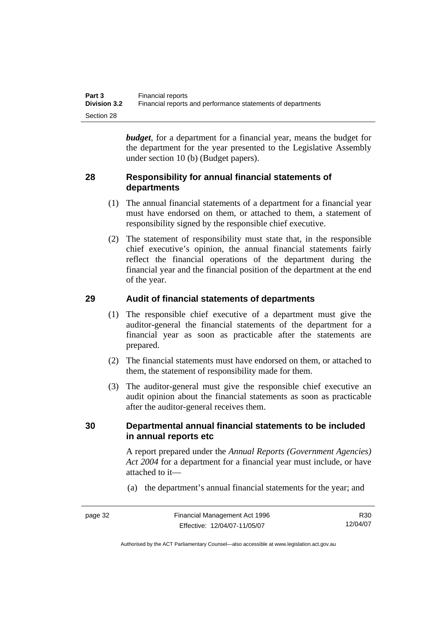| Part 3              | Financial reports                                           |
|---------------------|-------------------------------------------------------------|
| <b>Division 3.2</b> | Financial reports and performance statements of departments |
| Section 28          |                                                             |

*budget*, for a department for a financial year, means the budget for the department for the year presented to the Legislative Assembly under section 10 (b) (Budget papers).

#### **28 Responsibility for annual financial statements of departments**

- (1) The annual financial statements of a department for a financial year must have endorsed on them, or attached to them, a statement of responsibility signed by the responsible chief executive.
- (2) The statement of responsibility must state that, in the responsible chief executive's opinion, the annual financial statements fairly reflect the financial operations of the department during the financial year and the financial position of the department at the end of the year.

#### **29 Audit of financial statements of departments**

- (1) The responsible chief executive of a department must give the auditor-general the financial statements of the department for a financial year as soon as practicable after the statements are prepared.
- (2) The financial statements must have endorsed on them, or attached to them, the statement of responsibility made for them.
- (3) The auditor-general must give the responsible chief executive an audit opinion about the financial statements as soon as practicable after the auditor-general receives them.

#### **30 Departmental annual financial statements to be included in annual reports etc**

A report prepared under the *Annual Reports (Government Agencies) Act 2004* for a department for a financial year must include, or have attached to it—

(a) the department's annual financial statements for the year; and

page 32 Financial Management Act 1996 Effective: 12/04/07-11/05/07 R30 12/04/07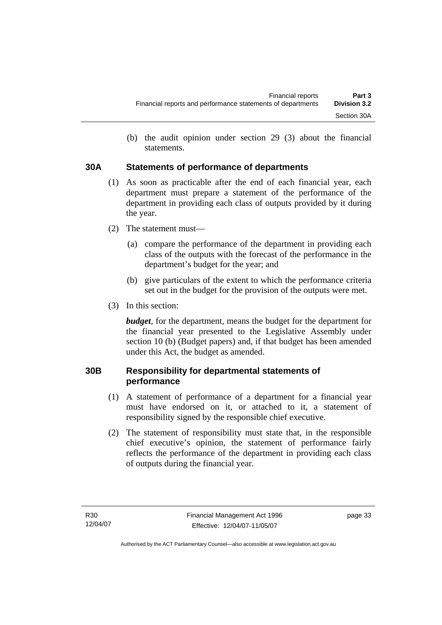(b) the audit opinion under section 29 (3) about the financial statements.

## **30A Statements of performance of departments**

- (1) As soon as practicable after the end of each financial year, each department must prepare a statement of the performance of the department in providing each class of outputs provided by it during the year.
- (2) The statement must—
	- (a) compare the performance of the department in providing each class of the outputs with the forecast of the performance in the department's budget for the year; and
	- (b) give particulars of the extent to which the performance criteria set out in the budget for the provision of the outputs were met.
- (3) In this section:

*budget*, for the department, means the budget for the department for the financial year presented to the Legislative Assembly under section 10 (b) (Budget papers) and, if that budget has been amended under this Act, the budget as amended.

## **30B Responsibility for departmental statements of performance**

- (1) A statement of performance of a department for a financial year must have endorsed on it, or attached to it, a statement of responsibility signed by the responsible chief executive.
- (2) The statement of responsibility must state that, in the responsible chief executive's opinion, the statement of performance fairly reflects the performance of the department in providing each class of outputs during the financial year.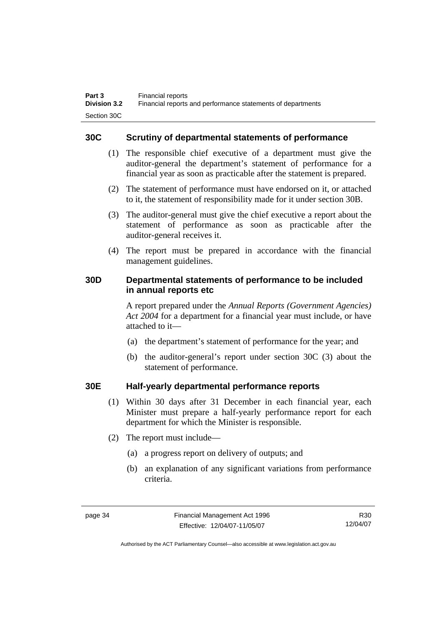#### **30C Scrutiny of departmental statements of performance**

- (1) The responsible chief executive of a department must give the auditor-general the department's statement of performance for a financial year as soon as practicable after the statement is prepared.
- (2) The statement of performance must have endorsed on it, or attached to it, the statement of responsibility made for it under section 30B.
- (3) The auditor-general must give the chief executive a report about the statement of performance as soon as practicable after the auditor-general receives it.
- (4) The report must be prepared in accordance with the financial management guidelines.

#### **30D Departmental statements of performance to be included in annual reports etc**

A report prepared under the *Annual Reports (Government Agencies) Act 2004* for a department for a financial year must include, or have attached to it—

- (a) the department's statement of performance for the year; and
- (b) the auditor-general's report under section 30C (3) about the statement of performance.

#### **30E Half-yearly departmental performance reports**

- (1) Within 30 days after 31 December in each financial year, each Minister must prepare a half-yearly performance report for each department for which the Minister is responsible.
- (2) The report must include—
	- (a) a progress report on delivery of outputs; and
	- (b) an explanation of any significant variations from performance criteria.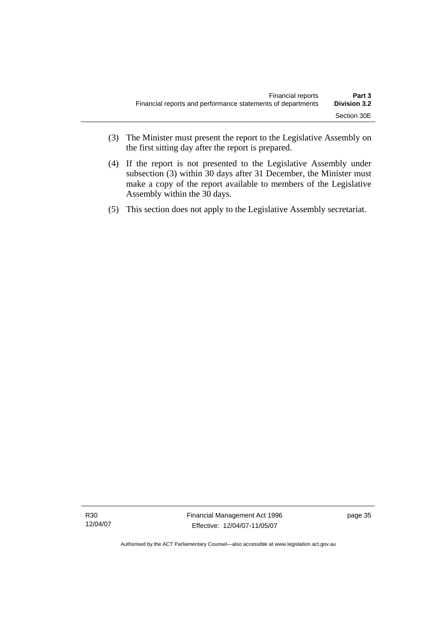- (3) The Minister must present the report to the Legislative Assembly on the first sitting day after the report is prepared.
- (4) If the report is not presented to the Legislative Assembly under subsection (3) within 30 days after 31 December, the Minister must make a copy of the report available to members of the Legislative Assembly within the 30 days.
- (5) This section does not apply to the Legislative Assembly secretariat.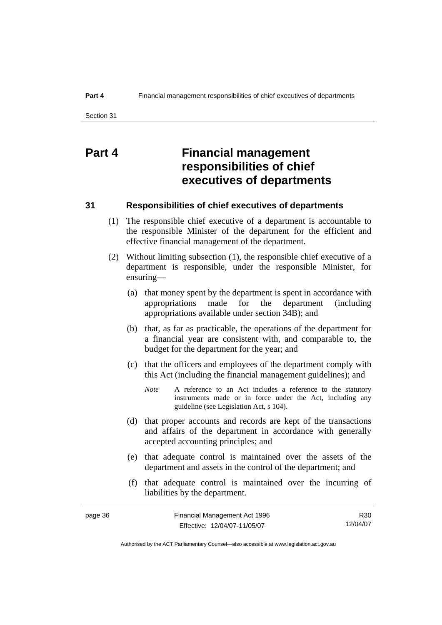# **Part 4 Financial management responsibilities of chief executives of departments**

#### **31 Responsibilities of chief executives of departments**

- (1) The responsible chief executive of a department is accountable to the responsible Minister of the department for the efficient and effective financial management of the department.
- (2) Without limiting subsection (1), the responsible chief executive of a department is responsible, under the responsible Minister, for ensuring—
	- (a) that money spent by the department is spent in accordance with appropriations made for the department (including appropriations available under section 34B); and
	- (b) that, as far as practicable, the operations of the department for a financial year are consistent with, and comparable to, the budget for the department for the year; and
	- (c) that the officers and employees of the department comply with this Act (including the financial management guidelines); and
		- *Note* A reference to an Act includes a reference to the statutory instruments made or in force under the Act, including any guideline (see Legislation Act, s 104).
	- (d) that proper accounts and records are kept of the transactions and affairs of the department in accordance with generally accepted accounting principles; and
	- (e) that adequate control is maintained over the assets of the department and assets in the control of the department; and
	- (f) that adequate control is maintained over the incurring of liabilities by the department.

| page 36 | Financial Management Act 1996 | R30      |
|---------|-------------------------------|----------|
|         | Effective: 12/04/07-11/05/07  | 12/04/07 |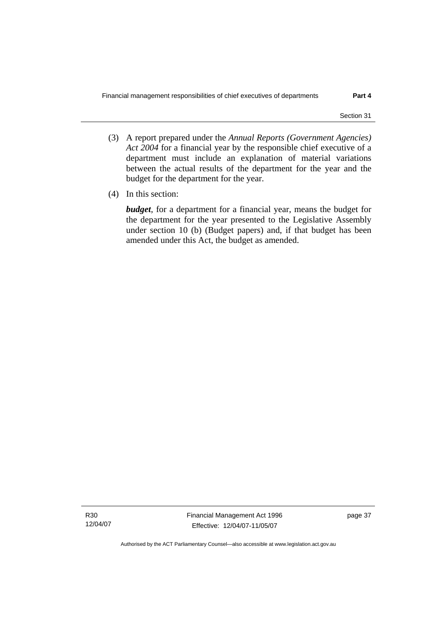- (3) A report prepared under the *Annual Reports (Government Agencies) Act 2004* for a financial year by the responsible chief executive of a department must include an explanation of material variations between the actual results of the department for the year and the budget for the department for the year.
- (4) In this section:

*budget*, for a department for a financial year, means the budget for the department for the year presented to the Legislative Assembly under section 10 (b) (Budget papers) and, if that budget has been amended under this Act, the budget as amended.

R30 12/04/07 Financial Management Act 1996 Effective: 12/04/07-11/05/07

page 37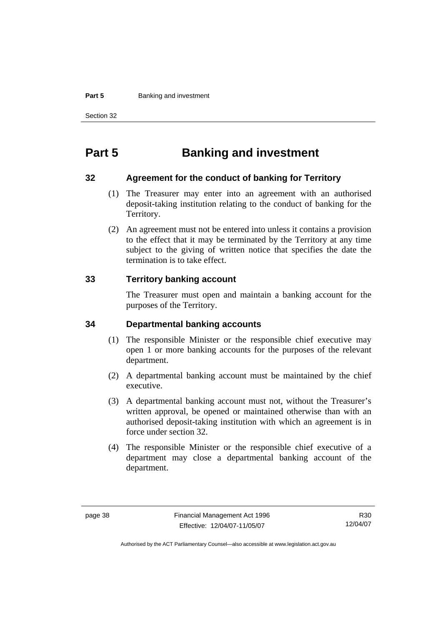#### **Part 5 Banking and investment**

Section 32

# **Part 5 Banking and investment**

#### **32 Agreement for the conduct of banking for Territory**

- (1) The Treasurer may enter into an agreement with an authorised deposit-taking institution relating to the conduct of banking for the Territory.
- (2) An agreement must not be entered into unless it contains a provision to the effect that it may be terminated by the Territory at any time subject to the giving of written notice that specifies the date the termination is to take effect.

#### **33 Territory banking account**

The Treasurer must open and maintain a banking account for the purposes of the Territory.

#### **34 Departmental banking accounts**

- (1) The responsible Minister or the responsible chief executive may open 1 or more banking accounts for the purposes of the relevant department.
- (2) A departmental banking account must be maintained by the chief executive.
- (3) A departmental banking account must not, without the Treasurer's written approval, be opened or maintained otherwise than with an authorised deposit-taking institution with which an agreement is in force under section 32.
- (4) The responsible Minister or the responsible chief executive of a department may close a departmental banking account of the department.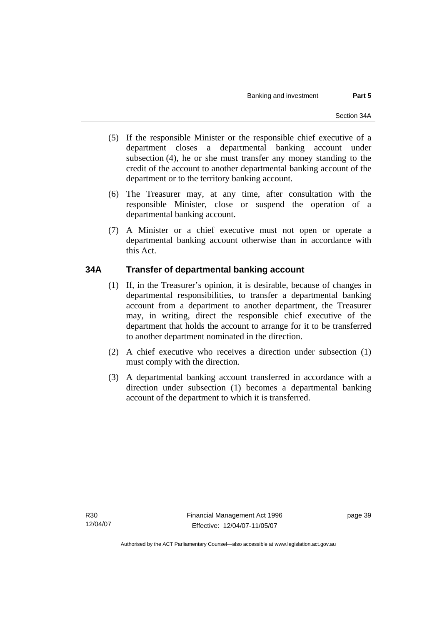- (5) If the responsible Minister or the responsible chief executive of a department closes a departmental banking account under subsection (4), he or she must transfer any money standing to the credit of the account to another departmental banking account of the department or to the territory banking account.
- (6) The Treasurer may, at any time, after consultation with the responsible Minister, close or suspend the operation of a departmental banking account.
- (7) A Minister or a chief executive must not open or operate a departmental banking account otherwise than in accordance with this Act.

## **34A Transfer of departmental banking account**

- (1) If, in the Treasurer's opinion, it is desirable, because of changes in departmental responsibilities, to transfer a departmental banking account from a department to another department, the Treasurer may, in writing, direct the responsible chief executive of the department that holds the account to arrange for it to be transferred to another department nominated in the direction.
- (2) A chief executive who receives a direction under subsection (1) must comply with the direction.
- (3) A departmental banking account transferred in accordance with a direction under subsection (1) becomes a departmental banking account of the department to which it is transferred.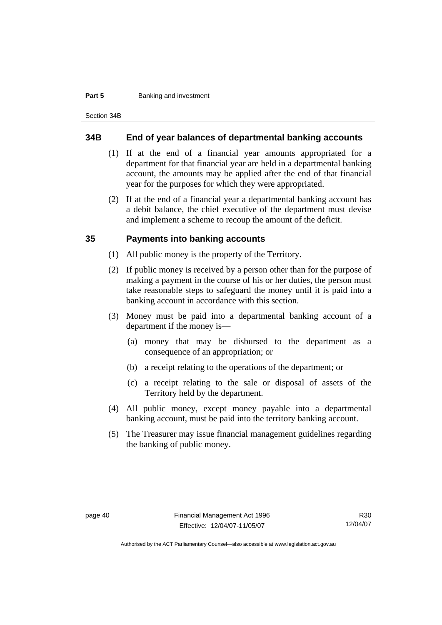#### **Part 5 Banking and investment**

Section 34B

#### **34B End of year balances of departmental banking accounts**

- (1) If at the end of a financial year amounts appropriated for a department for that financial year are held in a departmental banking account, the amounts may be applied after the end of that financial year for the purposes for which they were appropriated.
- (2) If at the end of a financial year a departmental banking account has a debit balance, the chief executive of the department must devise and implement a scheme to recoup the amount of the deficit.

#### **35 Payments into banking accounts**

- (1) All public money is the property of the Territory.
- (2) If public money is received by a person other than for the purpose of making a payment in the course of his or her duties, the person must take reasonable steps to safeguard the money until it is paid into a banking account in accordance with this section.
- (3) Money must be paid into a departmental banking account of a department if the money is—
	- (a) money that may be disbursed to the department as a consequence of an appropriation; or
	- (b) a receipt relating to the operations of the department; or
	- (c) a receipt relating to the sale or disposal of assets of the Territory held by the department.
- (4) All public money, except money payable into a departmental banking account, must be paid into the territory banking account.
- (5) The Treasurer may issue financial management guidelines regarding the banking of public money.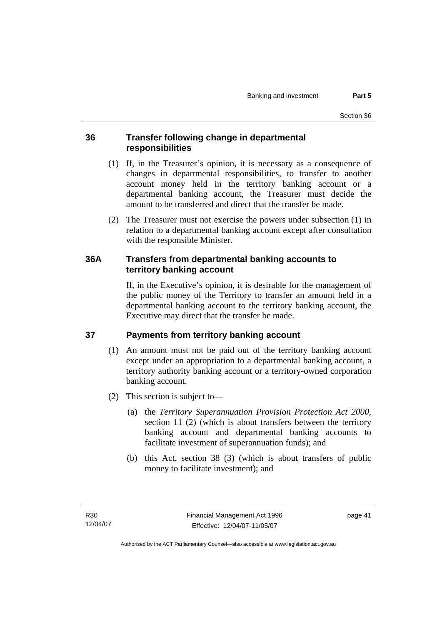#### **36 Transfer following change in departmental responsibilities**

- (1) If, in the Treasurer's opinion, it is necessary as a consequence of changes in departmental responsibilities, to transfer to another account money held in the territory banking account or a departmental banking account, the Treasurer must decide the amount to be transferred and direct that the transfer be made.
- (2) The Treasurer must not exercise the powers under subsection (1) in relation to a departmental banking account except after consultation with the responsible Minister.

#### **36A Transfers from departmental banking accounts to territory banking account**

If, in the Executive's opinion, it is desirable for the management of the public money of the Territory to transfer an amount held in a departmental banking account to the territory banking account, the Executive may direct that the transfer be made.

## **37 Payments from territory banking account**

- (1) An amount must not be paid out of the territory banking account except under an appropriation to a departmental banking account, a territory authority banking account or a territory-owned corporation banking account.
- (2) This section is subject to—
	- (a) the *Territory Superannuation Provision Protection Act 2000*, section 11 (2) (which is about transfers between the territory banking account and departmental banking accounts to facilitate investment of superannuation funds); and
	- (b) this Act, section 38 (3) (which is about transfers of public money to facilitate investment); and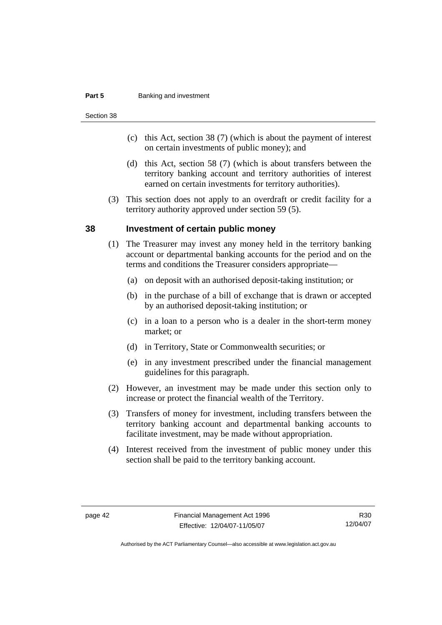#### **Part 5 Banking and investment**

Section 38

- (c) this Act, section 38 (7) (which is about the payment of interest on certain investments of public money); and
- (d) this Act, section 58 (7) (which is about transfers between the territory banking account and territory authorities of interest earned on certain investments for territory authorities).
- (3) This section does not apply to an overdraft or credit facility for a territory authority approved under section 59 (5).

#### **38 Investment of certain public money**

- (1) The Treasurer may invest any money held in the territory banking account or departmental banking accounts for the period and on the terms and conditions the Treasurer considers appropriate—
	- (a) on deposit with an authorised deposit-taking institution; or
	- (b) in the purchase of a bill of exchange that is drawn or accepted by an authorised deposit-taking institution; or
	- (c) in a loan to a person who is a dealer in the short-term money market; or
	- (d) in Territory, State or Commonwealth securities; or
	- (e) in any investment prescribed under the financial management guidelines for this paragraph.
- (2) However, an investment may be made under this section only to increase or protect the financial wealth of the Territory.
- (3) Transfers of money for investment, including transfers between the territory banking account and departmental banking accounts to facilitate investment, may be made without appropriation.
- (4) Interest received from the investment of public money under this section shall be paid to the territory banking account.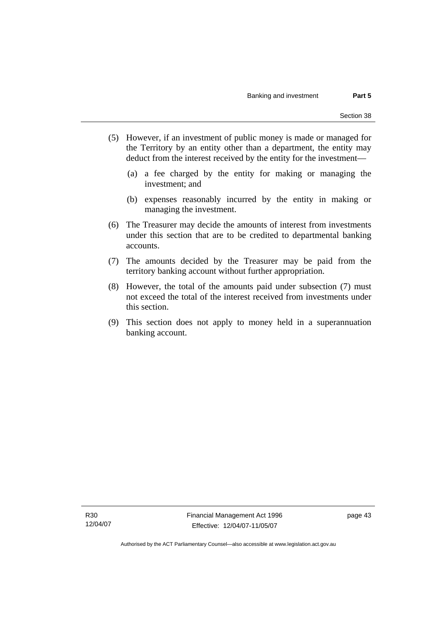- (5) However, if an investment of public money is made or managed for the Territory by an entity other than a department, the entity may deduct from the interest received by the entity for the investment—
	- (a) a fee charged by the entity for making or managing the investment; and
	- (b) expenses reasonably incurred by the entity in making or managing the investment.
- (6) The Treasurer may decide the amounts of interest from investments under this section that are to be credited to departmental banking accounts.
- (7) The amounts decided by the Treasurer may be paid from the territory banking account without further appropriation.
- (8) However, the total of the amounts paid under subsection (7) must not exceed the total of the interest received from investments under this section.
- (9) This section does not apply to money held in a superannuation banking account.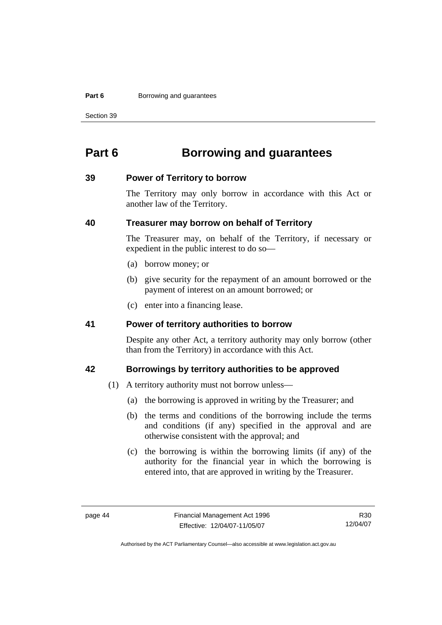#### **Part 6 Borrowing and guarantees**

Section 39

# **Part 6 Borrowing and guarantees**

#### **39 Power of Territory to borrow**

The Territory may only borrow in accordance with this Act or another law of the Territory.

#### **40 Treasurer may borrow on behalf of Territory**

The Treasurer may, on behalf of the Territory, if necessary or expedient in the public interest to do so—

- (a) borrow money; or
- (b) give security for the repayment of an amount borrowed or the payment of interest on an amount borrowed; or
- (c) enter into a financing lease.

#### **41 Power of territory authorities to borrow**

Despite any other Act, a territory authority may only borrow (other than from the Territory) in accordance with this Act.

#### **42 Borrowings by territory authorities to be approved**

- (1) A territory authority must not borrow unless—
	- (a) the borrowing is approved in writing by the Treasurer; and
	- (b) the terms and conditions of the borrowing include the terms and conditions (if any) specified in the approval and are otherwise consistent with the approval; and
	- (c) the borrowing is within the borrowing limits (if any) of the authority for the financial year in which the borrowing is entered into, that are approved in writing by the Treasurer.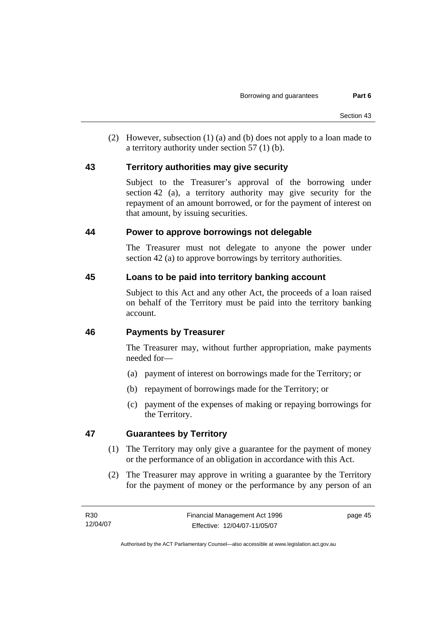(2) However, subsection (1) (a) and (b) does not apply to a loan made to a territory authority under section 57 (1) (b).

#### **43 Territory authorities may give security**

Subject to the Treasurer's approval of the borrowing under section 42 (a), a territory authority may give security for the repayment of an amount borrowed, or for the payment of interest on that amount, by issuing securities.

#### **44 Power to approve borrowings not delegable**

The Treasurer must not delegate to anyone the power under section 42 (a) to approve borrowings by territory authorities.

#### **45 Loans to be paid into territory banking account**

Subject to this Act and any other Act, the proceeds of a loan raised on behalf of the Territory must be paid into the territory banking account.

## **46 Payments by Treasurer**

The Treasurer may, without further appropriation, make payments needed for—

- (a) payment of interest on borrowings made for the Territory; or
- (b) repayment of borrowings made for the Territory; or
- (c) payment of the expenses of making or repaying borrowings for the Territory.

## **47 Guarantees by Territory**

- (1) The Territory may only give a guarantee for the payment of money or the performance of an obligation in accordance with this Act.
- (2) The Treasurer may approve in writing a guarantee by the Territory for the payment of money or the performance by any person of an

Authorised by the ACT Parliamentary Counsel—also accessible at www.legislation.act.gov.au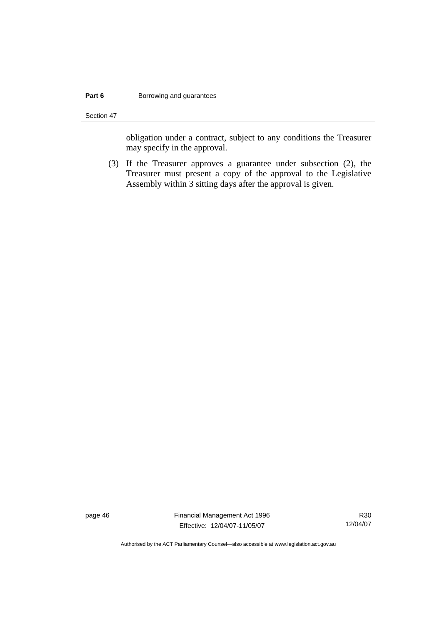#### **Part 6 Borrowing and guarantees**

Section 47

obligation under a contract, subject to any conditions the Treasurer may specify in the approval.

 (3) If the Treasurer approves a guarantee under subsection (2), the Treasurer must present a copy of the approval to the Legislative Assembly within 3 sitting days after the approval is given.

page 46 Financial Management Act 1996 Effective: 12/04/07-11/05/07

R30 12/04/07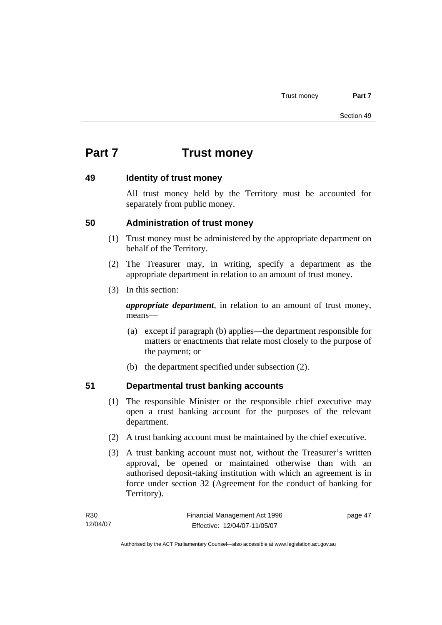# **Part 7 Trust money**

#### **49 Identity of trust money**

All trust money held by the Territory must be accounted for separately from public money.

#### **50 Administration of trust money**

- (1) Trust money must be administered by the appropriate department on behalf of the Territory.
- (2) The Treasurer may, in writing, specify a department as the appropriate department in relation to an amount of trust money.
- (3) In this section:

*appropriate department*, in relation to an amount of trust money, means—

- (a) except if paragraph (b) applies—the department responsible for matters or enactments that relate most closely to the purpose of the payment; or
- (b) the department specified under subsection (2).

## **51 Departmental trust banking accounts**

- (1) The responsible Minister or the responsible chief executive may open a trust banking account for the purposes of the relevant department.
- (2) A trust banking account must be maintained by the chief executive.
- (3) A trust banking account must not, without the Treasurer's written approval, be opened or maintained otherwise than with an authorised deposit-taking institution with which an agreement is in force under section 32 (Agreement for the conduct of banking for Territory).

| R30      | Financial Management Act 1996 | page 47 |
|----------|-------------------------------|---------|
| 12/04/07 | Effective: 12/04/07-11/05/07  |         |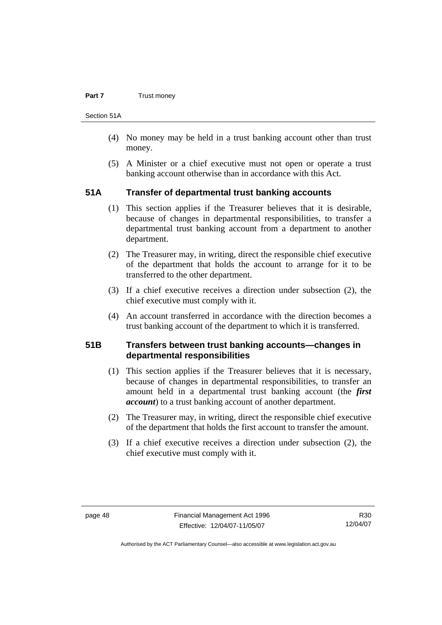#### **Part 7 Trust money**

Section 51A

- (4) No money may be held in a trust banking account other than trust money.
- (5) A Minister or a chief executive must not open or operate a trust banking account otherwise than in accordance with this Act.

#### **51A Transfer of departmental trust banking accounts**

- (1) This section applies if the Treasurer believes that it is desirable, because of changes in departmental responsibilities, to transfer a departmental trust banking account from a department to another department.
- (2) The Treasurer may, in writing, direct the responsible chief executive of the department that holds the account to arrange for it to be transferred to the other department.
- (3) If a chief executive receives a direction under subsection (2), the chief executive must comply with it.
- (4) An account transferred in accordance with the direction becomes a trust banking account of the department to which it is transferred.

#### **51B Transfers between trust banking accounts—changes in departmental responsibilities**

- (1) This section applies if the Treasurer believes that it is necessary, because of changes in departmental responsibilities, to transfer an amount held in a departmental trust banking account (the *first account*) to a trust banking account of another department.
- (2) The Treasurer may, in writing, direct the responsible chief executive of the department that holds the first account to transfer the amount.
- (3) If a chief executive receives a direction under subsection (2), the chief executive must comply with it.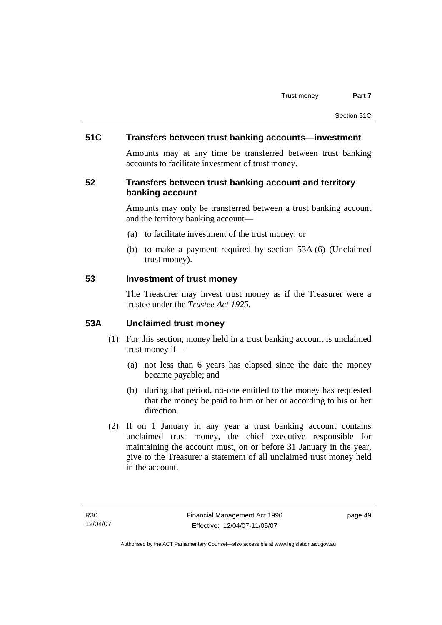#### **51C Transfers between trust banking accounts—investment**

Amounts may at any time be transferred between trust banking accounts to facilitate investment of trust money.

#### **52 Transfers between trust banking account and territory banking account**

Amounts may only be transferred between a trust banking account and the territory banking account—

- (a) to facilitate investment of the trust money; or
- (b) to make a payment required by section 53A (6) (Unclaimed trust money).

#### **53 Investment of trust money**

The Treasurer may invest trust money as if the Treasurer were a trustee under the *Trustee Act 1925.*

#### **53A Unclaimed trust money**

- (1) For this section, money held in a trust banking account is unclaimed trust money if—
	- (a) not less than 6 years has elapsed since the date the money became payable; and
	- (b) during that period, no-one entitled to the money has requested that the money be paid to him or her or according to his or her direction.
- (2) If on 1 January in any year a trust banking account contains unclaimed trust money, the chief executive responsible for maintaining the account must, on or before 31 January in the year, give to the Treasurer a statement of all unclaimed trust money held in the account.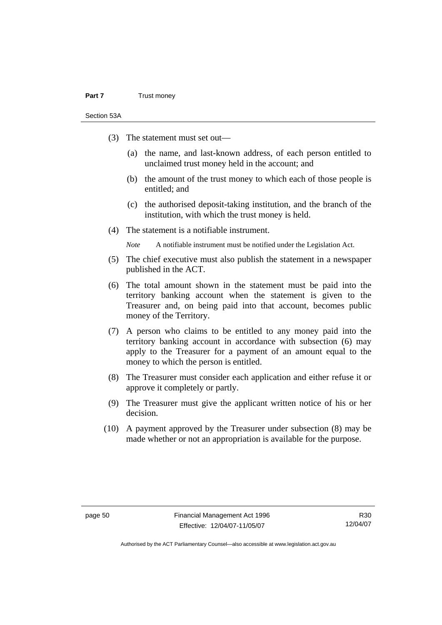#### **Part 7** Trust money

Section 53A

- (3) The statement must set out—
	- (a) the name, and last-known address, of each person entitled to unclaimed trust money held in the account; and
	- (b) the amount of the trust money to which each of those people is entitled; and
	- (c) the authorised deposit-taking institution, and the branch of the institution, with which the trust money is held.
- (4) The statement is a notifiable instrument.

*Note* A notifiable instrument must be notified under the Legislation Act.

- (5) The chief executive must also publish the statement in a newspaper published in the ACT.
- (6) The total amount shown in the statement must be paid into the territory banking account when the statement is given to the Treasurer and, on being paid into that account, becomes public money of the Territory.
- (7) A person who claims to be entitled to any money paid into the territory banking account in accordance with subsection (6) may apply to the Treasurer for a payment of an amount equal to the money to which the person is entitled.
- (8) The Treasurer must consider each application and either refuse it or approve it completely or partly.
- (9) The Treasurer must give the applicant written notice of his or her decision.
- (10) A payment approved by the Treasurer under subsection (8) may be made whether or not an appropriation is available for the purpose.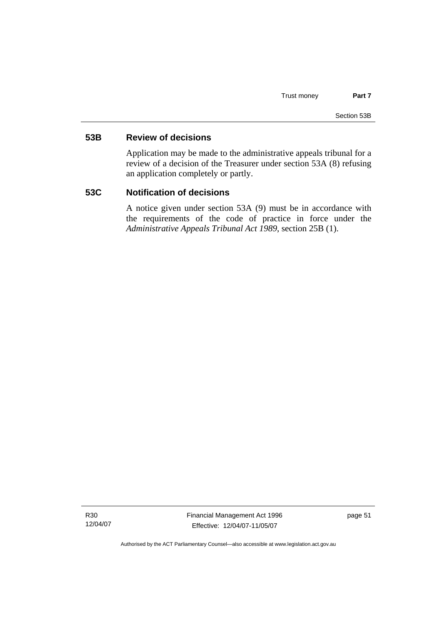#### **53B Review of decisions**

Application may be made to the administrative appeals tribunal for a review of a decision of the Treasurer under section 53A (8) refusing an application completely or partly.

#### **53C Notification of decisions**

A notice given under section 53A (9) must be in accordance with the requirements of the code of practice in force under the *Administrative Appeals Tribunal Act 1989*, section 25B (1).

R30 12/04/07 Financial Management Act 1996 Effective: 12/04/07-11/05/07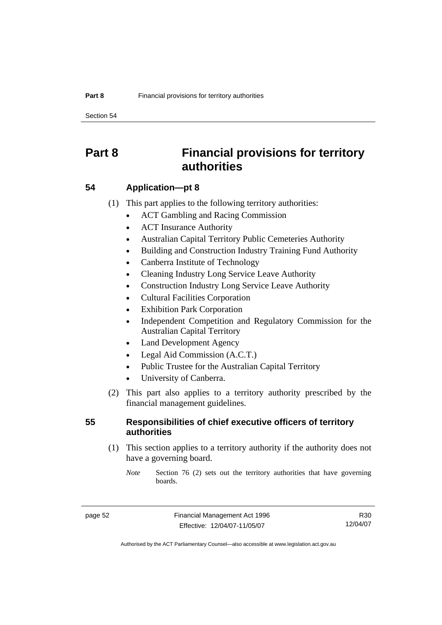Section 54

# **Part 8 Financial provisions for territory authorities**

#### **54 Application—pt 8**

(1) This part applies to the following territory authorities:

- ACT Gambling and Racing Commission
- ACT Insurance Authority
- Australian Capital Territory Public Cemeteries Authority
- Building and Construction Industry Training Fund Authority
- Canberra Institute of Technology
- Cleaning Industry Long Service Leave Authority
- Construction Industry Long Service Leave Authority
- Cultural Facilities Corporation
- **Exhibition Park Corporation**
- Independent Competition and Regulatory Commission for the Australian Capital Territory
- Land Development Agency
- Legal Aid Commission (A.C.T.)
- Public Trustee for the Australian Capital Territory
- University of Canberra.
- (2) This part also applies to a territory authority prescribed by the financial management guidelines.

#### **55 Responsibilities of chief executive officers of territory authorities**

 (1) This section applies to a territory authority if the authority does not have a governing board.

*Note* Section 76 (2) sets out the territory authorities that have governing boards.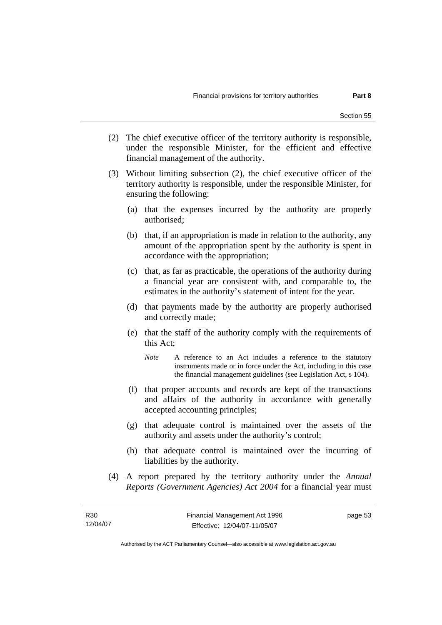- (2) The chief executive officer of the territory authority is responsible, under the responsible Minister, for the efficient and effective financial management of the authority.
- (3) Without limiting subsection (2), the chief executive officer of the territory authority is responsible, under the responsible Minister, for ensuring the following:
	- (a) that the expenses incurred by the authority are properly authorised;
	- (b) that, if an appropriation is made in relation to the authority, any amount of the appropriation spent by the authority is spent in accordance with the appropriation;
	- (c) that, as far as practicable, the operations of the authority during a financial year are consistent with, and comparable to, the estimates in the authority's statement of intent for the year.
	- (d) that payments made by the authority are properly authorised and correctly made;
	- (e) that the staff of the authority comply with the requirements of this Act;
		- *Note* A reference to an Act includes a reference to the statutory instruments made or in force under the Act, including in this case the financial management guidelines (see Legislation Act, s 104).
	- (f) that proper accounts and records are kept of the transactions and affairs of the authority in accordance with generally accepted accounting principles;
	- (g) that adequate control is maintained over the assets of the authority and assets under the authority's control;
	- (h) that adequate control is maintained over the incurring of liabilities by the authority.
- (4) A report prepared by the territory authority under the *Annual Reports (Government Agencies) Act 2004* for a financial year must

page 53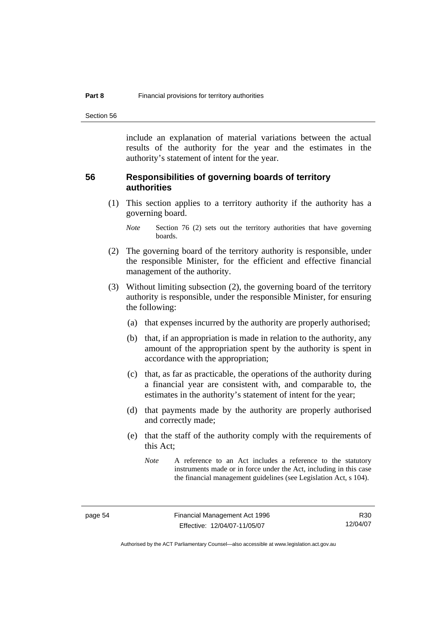Section 56

include an explanation of material variations between the actual results of the authority for the year and the estimates in the authority's statement of intent for the year.

#### **56 Responsibilities of governing boards of territory authorities**

 (1) This section applies to a territory authority if the authority has a governing board.

- (2) The governing board of the territory authority is responsible, under the responsible Minister, for the efficient and effective financial management of the authority.
- (3) Without limiting subsection (2), the governing board of the territory authority is responsible, under the responsible Minister, for ensuring the following:
	- (a) that expenses incurred by the authority are properly authorised;
	- (b) that, if an appropriation is made in relation to the authority, any amount of the appropriation spent by the authority is spent in accordance with the appropriation;
	- (c) that, as far as practicable, the operations of the authority during a financial year are consistent with, and comparable to, the estimates in the authority's statement of intent for the year;
	- (d) that payments made by the authority are properly authorised and correctly made;
	- (e) that the staff of the authority comply with the requirements of this Act;

*Note* Section 76 (2) sets out the territory authorities that have governing boards.

*Note* A reference to an Act includes a reference to the statutory instruments made or in force under the Act, including in this case the financial management guidelines (see Legislation Act, s 104).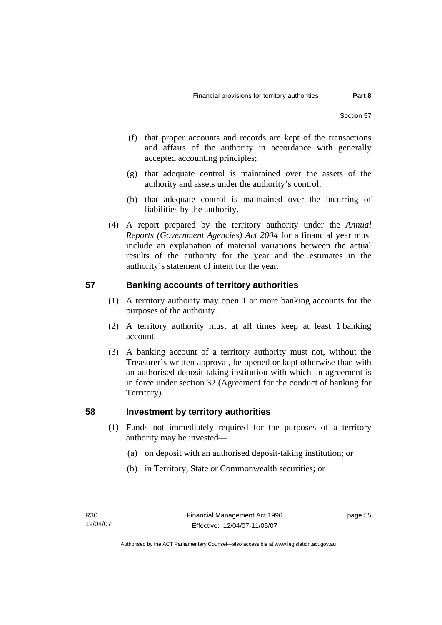- (f) that proper accounts and records are kept of the transactions and affairs of the authority in accordance with generally accepted accounting principles;
- (g) that adequate control is maintained over the assets of the authority and assets under the authority's control;
- (h) that adequate control is maintained over the incurring of liabilities by the authority.
- (4) A report prepared by the territory authority under the *Annual Reports (Government Agencies) Act 2004* for a financial year must include an explanation of material variations between the actual results of the authority for the year and the estimates in the authority's statement of intent for the year.

## **57 Banking accounts of territory authorities**

- (1) A territory authority may open 1 or more banking accounts for the purposes of the authority.
- (2) A territory authority must at all times keep at least 1 banking account.
- (3) A banking account of a territory authority must not, without the Treasurer's written approval, be opened or kept otherwise than with an authorised deposit-taking institution with which an agreement is in force under section 32 (Agreement for the conduct of banking for Territory).

#### **58 Investment by territory authorities**

- (1) Funds not immediately required for the purposes of a territory authority may be invested—
	- (a) on deposit with an authorised deposit-taking institution; or
	- (b) in Territory, State or Commonwealth securities; or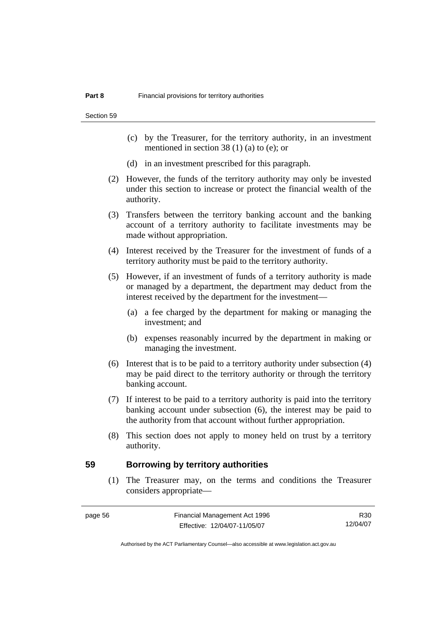Section 59

- (c) by the Treasurer, for the territory authority, in an investment mentioned in section 38 (1) (a) to (e); or
- (d) in an investment prescribed for this paragraph.
- (2) However, the funds of the territory authority may only be invested under this section to increase or protect the financial wealth of the authority.
- (3) Transfers between the territory banking account and the banking account of a territory authority to facilitate investments may be made without appropriation.
- (4) Interest received by the Treasurer for the investment of funds of a territory authority must be paid to the territory authority.
- (5) However, if an investment of funds of a territory authority is made or managed by a department, the department may deduct from the interest received by the department for the investment—
	- (a) a fee charged by the department for making or managing the investment; and
	- (b) expenses reasonably incurred by the department in making or managing the investment.
- (6) Interest that is to be paid to a territory authority under subsection (4) may be paid direct to the territory authority or through the territory banking account.
- (7) If interest to be paid to a territory authority is paid into the territory banking account under subsection (6), the interest may be paid to the authority from that account without further appropriation.
- (8) This section does not apply to money held on trust by a territory authority.

#### **59 Borrowing by territory authorities**

 (1) The Treasurer may, on the terms and conditions the Treasurer considers appropriate—

| e ca |  |
|------|--|
|------|--|

R30 12/04/07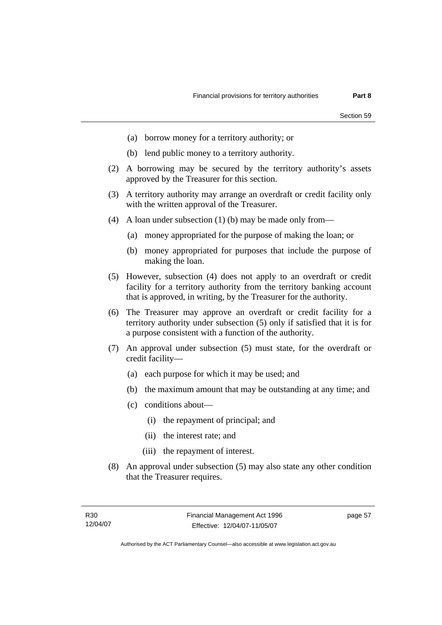- (a) borrow money for a territory authority; or
- (b) lend public money to a territory authority.
- (2) A borrowing may be secured by the territory authority's assets approved by the Treasurer for this section.
- (3) A territory authority may arrange an overdraft or credit facility only with the written approval of the Treasurer.
- (4) A loan under subsection (1) (b) may be made only from—
	- (a) money appropriated for the purpose of making the loan; or
	- (b) money appropriated for purposes that include the purpose of making the loan.
- (5) However, subsection (4) does not apply to an overdraft or credit facility for a territory authority from the territory banking account that is approved, in writing, by the Treasurer for the authority.
- (6) The Treasurer may approve an overdraft or credit facility for a territory authority under subsection (5) only if satisfied that it is for a purpose consistent with a function of the authority.
- (7) An approval under subsection (5) must state, for the overdraft or credit facility—
	- (a) each purpose for which it may be used; and
	- (b) the maximum amount that may be outstanding at any time; and
	- (c) conditions about—
		- (i) the repayment of principal; and
		- (ii) the interest rate; and
		- (iii) the repayment of interest.
- (8) An approval under subsection (5) may also state any other condition that the Treasurer requires.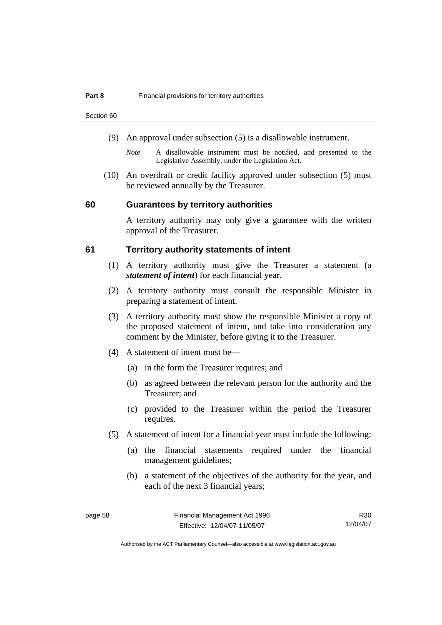Section 60

- (9) An approval under subsection (5) is a disallowable instrument.
	- *Note* A disallowable instrument must be notified, and presented to the Legislative Assembly, under the Legislation Act.
- (10) An overdraft or credit facility approved under subsection (5) must be reviewed annually by the Treasurer.

#### **60 Guarantees by territory authorities**

A territory authority may only give a guarantee with the written approval of the Treasurer.

#### **61 Territory authority statements of intent**

- (1) A territory authority must give the Treasurer a statement (a *statement of intent*) for each financial year.
- (2) A territory authority must consult the responsible Minister in preparing a statement of intent.
- (3) A territory authority must show the responsible Minister a copy of the proposed statement of intent, and take into consideration any comment by the Minister, before giving it to the Treasurer.
- (4) A statement of intent must be—
	- (a) in the form the Treasurer requires; and
	- (b) as agreed between the relevant person for the authority and the Treasurer; and
	- (c) provided to the Treasurer within the period the Treasurer requires.
- (5) A statement of intent for a financial year must include the following:
	- (a) the financial statements required under the financial management guidelines;
	- (b) a statement of the objectives of the authority for the year, and each of the next 3 financial years;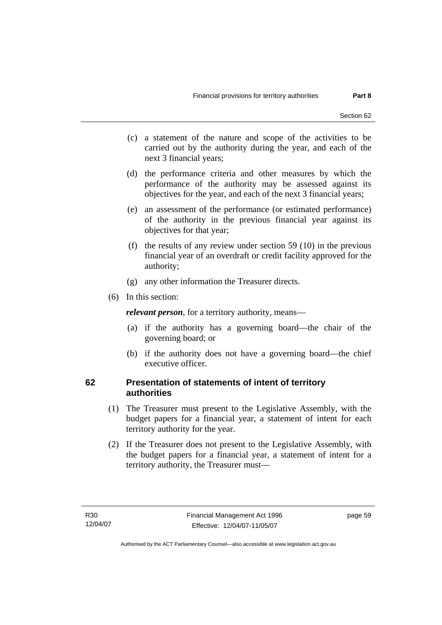- (c) a statement of the nature and scope of the activities to be carried out by the authority during the year, and each of the next 3 financial years;
- (d) the performance criteria and other measures by which the performance of the authority may be assessed against its objectives for the year, and each of the next 3 financial years;
- (e) an assessment of the performance (or estimated performance) of the authority in the previous financial year against its objectives for that year;
- (f) the results of any review under section 59 (10) in the previous financial year of an overdraft or credit facility approved for the authority;
- (g) any other information the Treasurer directs.
- (6) In this section:

*relevant person*, for a territory authority, means—

- (a) if the authority has a governing board—the chair of the governing board; or
- (b) if the authority does not have a governing board—the chief executive officer.

#### **62 Presentation of statements of intent of territory authorities**

- (1) The Treasurer must present to the Legislative Assembly, with the budget papers for a financial year, a statement of intent for each territory authority for the year.
- (2) If the Treasurer does not present to the Legislative Assembly, with the budget papers for a financial year, a statement of intent for a territory authority, the Treasurer must—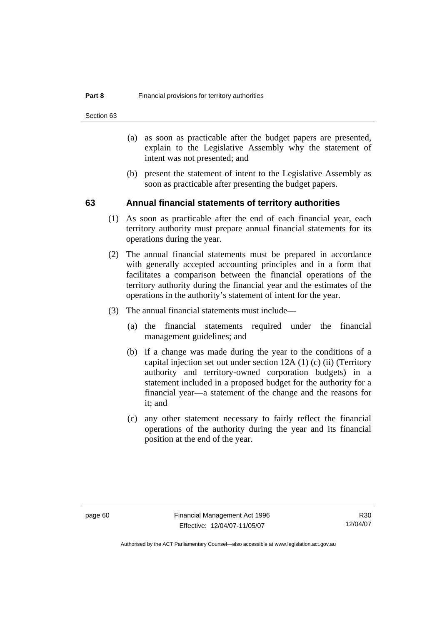Section 63

- (a) as soon as practicable after the budget papers are presented, explain to the Legislative Assembly why the statement of intent was not presented; and
- (b) present the statement of intent to the Legislative Assembly as soon as practicable after presenting the budget papers.

#### **63 Annual financial statements of territory authorities**

- (1) As soon as practicable after the end of each financial year, each territory authority must prepare annual financial statements for its operations during the year.
- (2) The annual financial statements must be prepared in accordance with generally accepted accounting principles and in a form that facilitates a comparison between the financial operations of the territory authority during the financial year and the estimates of the operations in the authority's statement of intent for the year.
- (3) The annual financial statements must include—
	- (a) the financial statements required under the financial management guidelines; and
	- (b) if a change was made during the year to the conditions of a capital injection set out under section 12A (1) (c) (ii) (Territory authority and territory-owned corporation budgets) in a statement included in a proposed budget for the authority for a financial year—a statement of the change and the reasons for it; and
	- (c) any other statement necessary to fairly reflect the financial operations of the authority during the year and its financial position at the end of the year.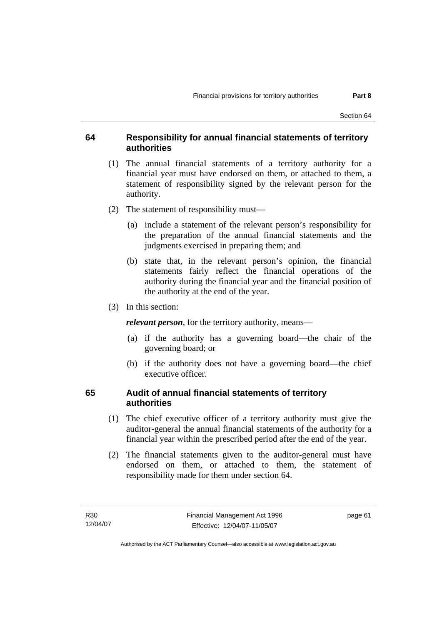#### **64 Responsibility for annual financial statements of territory authorities**

- (1) The annual financial statements of a territory authority for a financial year must have endorsed on them, or attached to them, a statement of responsibility signed by the relevant person for the authority.
- (2) The statement of responsibility must—
	- (a) include a statement of the relevant person's responsibility for the preparation of the annual financial statements and the judgments exercised in preparing them; and
	- (b) state that, in the relevant person's opinion, the financial statements fairly reflect the financial operations of the authority during the financial year and the financial position of the authority at the end of the year.
- (3) In this section:

*relevant person*, for the territory authority, means—

- (a) if the authority has a governing board—the chair of the governing board; or
- (b) if the authority does not have a governing board—the chief executive officer.

#### **65 Audit of annual financial statements of territory authorities**

- (1) The chief executive officer of a territory authority must give the auditor-general the annual financial statements of the authority for a financial year within the prescribed period after the end of the year.
- (2) The financial statements given to the auditor-general must have endorsed on them, or attached to them, the statement of responsibility made for them under section 64.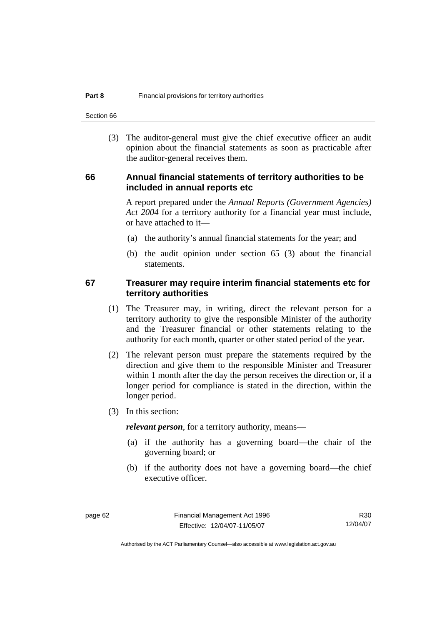Section 66

 (3) The auditor-general must give the chief executive officer an audit opinion about the financial statements as soon as practicable after the auditor-general receives them.

#### **66 Annual financial statements of territory authorities to be included in annual reports etc**

A report prepared under the *Annual Reports (Government Agencies) Act 2004* for a territory authority for a financial year must include, or have attached to it—

- (a) the authority's annual financial statements for the year; and
- (b) the audit opinion under section 65 (3) about the financial statements.

#### **67 Treasurer may require interim financial statements etc for territory authorities**

- (1) The Treasurer may, in writing, direct the relevant person for a territory authority to give the responsible Minister of the authority and the Treasurer financial or other statements relating to the authority for each month, quarter or other stated period of the year.
- (2) The relevant person must prepare the statements required by the direction and give them to the responsible Minister and Treasurer within 1 month after the day the person receives the direction or, if a longer period for compliance is stated in the direction, within the longer period.
- (3) In this section:

*relevant person*, for a territory authority, means—

- (a) if the authority has a governing board—the chair of the governing board; or
- (b) if the authority does not have a governing board—the chief executive officer.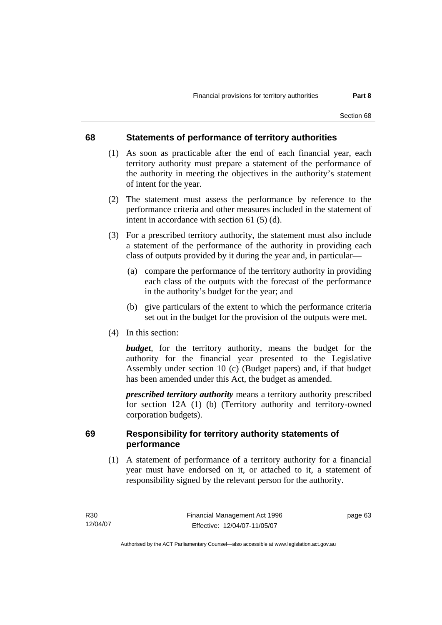### **68 Statements of performance of territory authorities**

- (1) As soon as practicable after the end of each financial year, each territory authority must prepare a statement of the performance of the authority in meeting the objectives in the authority's statement of intent for the year.
- (2) The statement must assess the performance by reference to the performance criteria and other measures included in the statement of intent in accordance with section 61 (5) (d).
- (3) For a prescribed territory authority, the statement must also include a statement of the performance of the authority in providing each class of outputs provided by it during the year and, in particular—
	- (a) compare the performance of the territory authority in providing each class of the outputs with the forecast of the performance in the authority's budget for the year; and
	- (b) give particulars of the extent to which the performance criteria set out in the budget for the provision of the outputs were met.
- (4) In this section:

*budget*, for the territory authority, means the budget for the authority for the financial year presented to the Legislative Assembly under section 10 (c) (Budget papers) and, if that budget has been amended under this Act, the budget as amended.

*prescribed territory authority* means a territory authority prescribed for section 12A (1) (b) (Territory authority and territory-owned corporation budgets).

### **69 Responsibility for territory authority statements of performance**

 (1) A statement of performance of a territory authority for a financial year must have endorsed on it, or attached to it, a statement of responsibility signed by the relevant person for the authority.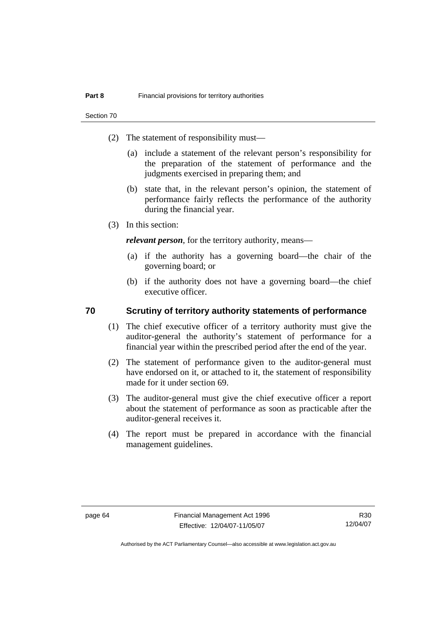Section 70

- (2) The statement of responsibility must—
	- (a) include a statement of the relevant person's responsibility for the preparation of the statement of performance and the judgments exercised in preparing them; and
	- (b) state that, in the relevant person's opinion, the statement of performance fairly reflects the performance of the authority during the financial year.
- (3) In this section:

*relevant person*, for the territory authority, means—

- (a) if the authority has a governing board—the chair of the governing board; or
- (b) if the authority does not have a governing board—the chief executive officer.

### **70 Scrutiny of territory authority statements of performance**

- (1) The chief executive officer of a territory authority must give the auditor-general the authority's statement of performance for a financial year within the prescribed period after the end of the year.
- (2) The statement of performance given to the auditor-general must have endorsed on it, or attached to it, the statement of responsibility made for it under section 69.
- (3) The auditor-general must give the chief executive officer a report about the statement of performance as soon as practicable after the auditor-general receives it.
- (4) The report must be prepared in accordance with the financial management guidelines.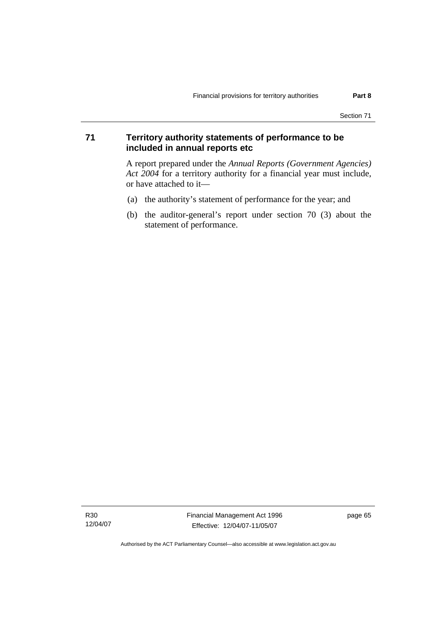### **71 Territory authority statements of performance to be included in annual reports etc**

A report prepared under the *Annual Reports (Government Agencies) Act 2004* for a territory authority for a financial year must include, or have attached to it—

- (a) the authority's statement of performance for the year; and
- (b) the auditor-general's report under section 70 (3) about the statement of performance.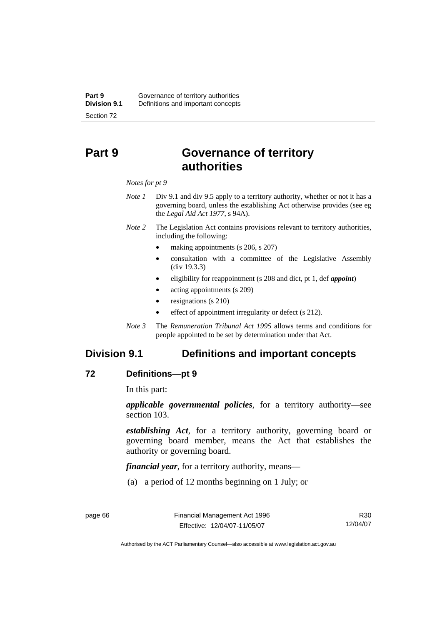# **Part 9 Governance of territory authorities**

#### *Notes for pt 9*

- *Note 1* Div 9.1 and div 9.5 apply to a territory authority, whether or not it has a governing board, unless the establishing Act otherwise provides (see eg the *Legal Aid Act 1977*, s 94A).
- *Note 2* The Legislation Act contains provisions relevant to territory authorities, including the following:
	- making appointments (s 206, s 207)
	- consultation with a committee of the Legislative Assembly (div 19.3.3)
	- eligibility for reappointment (s 208 and dict, pt 1, def *appoint*)
	- acting appointments (s 209)
	- resignations (s 210)
	- effect of appointment irregularity or defect (s 212).
- *Note 3* The *Remuneration Tribunal Act 1995* allows terms and conditions for people appointed to be set by determination under that Act.

# **Division 9.1 Definitions and important concepts**

### **72 Definitions—pt 9**

In this part:

*applicable governmental policies*, for a territory authority—see section 103.

*establishing Act*, for a territory authority, governing board or governing board member, means the Act that establishes the authority or governing board.

*financial year*, for a territory authority, means—

(a) a period of 12 months beginning on 1 July; or

R30 12/04/07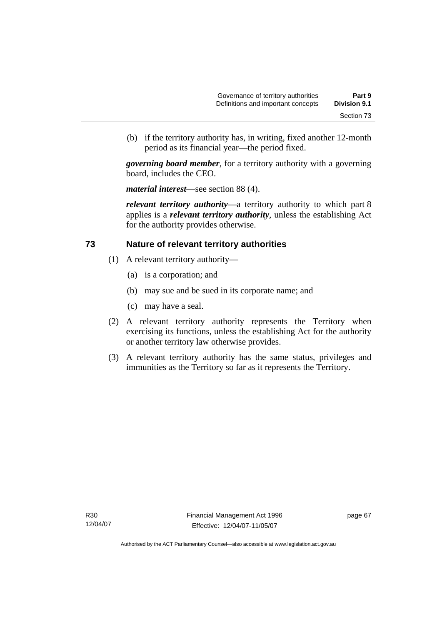(b) if the territory authority has, in writing, fixed another 12-month period as its financial year—the period fixed.

*governing board member*, for a territory authority with a governing board, includes the CEO.

*material interest*—see section 88 (4).

*relevant territory authority*—a territory authority to which part 8 applies is a *relevant territory authority*, unless the establishing Act for the authority provides otherwise.

### **73 Nature of relevant territory authorities**

- (1) A relevant territory authority—
	- (a) is a corporation; and
	- (b) may sue and be sued in its corporate name; and
	- (c) may have a seal.
- (2) A relevant territory authority represents the Territory when exercising its functions, unless the establishing Act for the authority or another territory law otherwise provides.
- (3) A relevant territory authority has the same status, privileges and immunities as the Territory so far as it represents the Territory.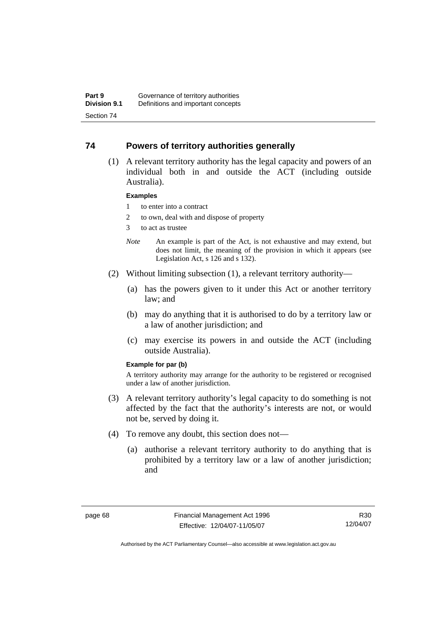### **74 Powers of territory authorities generally**

 (1) A relevant territory authority has the legal capacity and powers of an individual both in and outside the ACT (including outside Australia).

#### **Examples**

- 1 to enter into a contract
- 2 to own, deal with and dispose of property
- 3 to act as trustee
- *Note* An example is part of the Act, is not exhaustive and may extend, but does not limit, the meaning of the provision in which it appears (see Legislation Act, s 126 and s 132).
- (2) Without limiting subsection (1), a relevant territory authority—
	- (a) has the powers given to it under this Act or another territory law; and
	- (b) may do anything that it is authorised to do by a territory law or a law of another jurisdiction; and
	- (c) may exercise its powers in and outside the ACT (including outside Australia).

#### **Example for par (b)**

A territory authority may arrange for the authority to be registered or recognised under a law of another jurisdiction.

- (3) A relevant territory authority's legal capacity to do something is not affected by the fact that the authority's interests are not, or would not be, served by doing it.
- (4) To remove any doubt, this section does not—
	- (a) authorise a relevant territory authority to do anything that is prohibited by a territory law or a law of another jurisdiction; and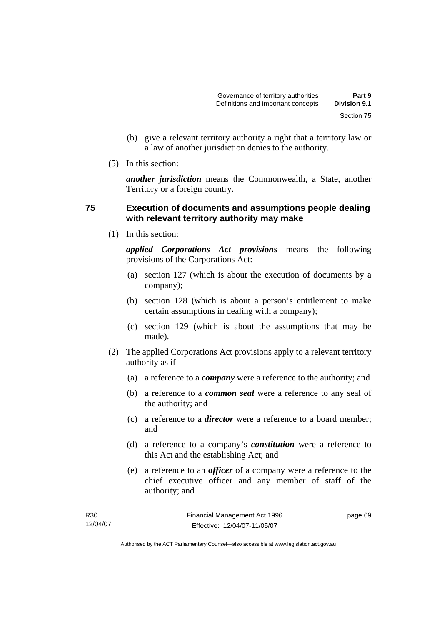- (b) give a relevant territory authority a right that a territory law or a law of another jurisdiction denies to the authority.
- (5) In this section:

*another jurisdiction* means the Commonwealth, a State, another Territory or a foreign country.

### **75 Execution of documents and assumptions people dealing with relevant territory authority may make**

(1) In this section:

*applied Corporations Act provisions* means the following provisions of the Corporations Act:

- (a) section 127 (which is about the execution of documents by a company);
- (b) section 128 (which is about a person's entitlement to make certain assumptions in dealing with a company);
- (c) section 129 (which is about the assumptions that may be made).
- (2) The applied Corporations Act provisions apply to a relevant territory authority as if—
	- (a) a reference to a *company* were a reference to the authority; and
	- (b) a reference to a *common seal* were a reference to any seal of the authority; and
	- (c) a reference to a *director* were a reference to a board member; and
	- (d) a reference to a company's *constitution* were a reference to this Act and the establishing Act; and
	- (e) a reference to an *officer* of a company were a reference to the chief executive officer and any member of staff of the authority; and

| R30      | Financial Management Act 1996 | page 69 |
|----------|-------------------------------|---------|
| 12/04/07 | Effective: 12/04/07-11/05/07  |         |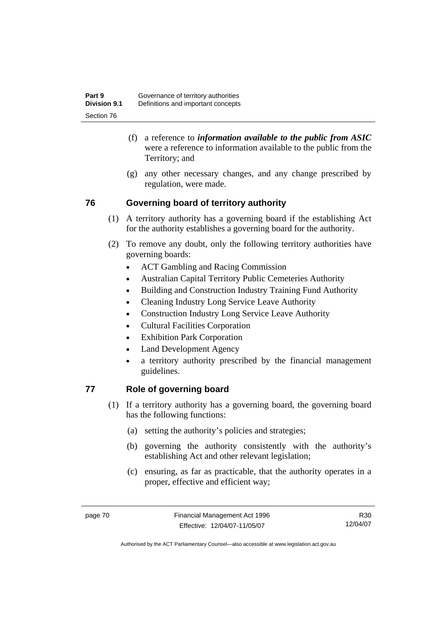- (f) a reference to *information available to the public from ASIC*  were a reference to information available to the public from the Territory; and
- (g) any other necessary changes, and any change prescribed by regulation, were made.

# **76 Governing board of territory authority**

- (1) A territory authority has a governing board if the establishing Act for the authority establishes a governing board for the authority.
- (2) To remove any doubt, only the following territory authorities have governing boards:
	- ACT Gambling and Racing Commission
	- Australian Capital Territory Public Cemeteries Authority
	- Building and Construction Industry Training Fund Authority
	- Cleaning Industry Long Service Leave Authority
	- Construction Industry Long Service Leave Authority
	- Cultural Facilities Corporation
	- Exhibition Park Corporation
	- Land Development Agency
	- a territory authority prescribed by the financial management guidelines.

# **77 Role of governing board**

- (1) If a territory authority has a governing board, the governing board has the following functions:
	- (a) setting the authority's policies and strategies;
	- (b) governing the authority consistently with the authority's establishing Act and other relevant legislation;
	- (c) ensuring, as far as practicable, that the authority operates in a proper, effective and efficient way;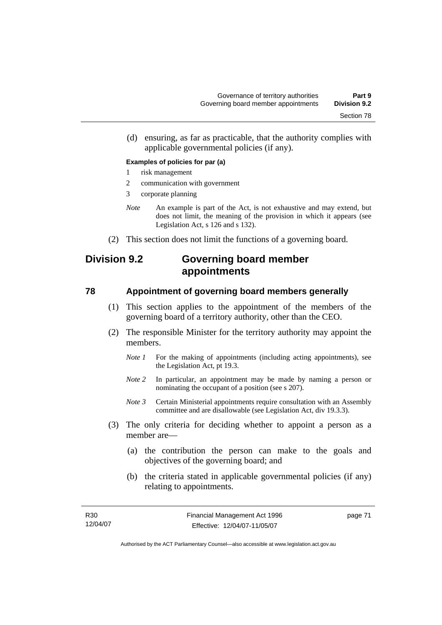(d) ensuring, as far as practicable, that the authority complies with applicable governmental policies (if any).

#### **Examples of policies for par (a)**

- 1 risk management
- 2 communication with government
- 3 corporate planning
- *Note* An example is part of the Act, is not exhaustive and may extend, but does not limit, the meaning of the provision in which it appears (see Legislation Act, s 126 and s 132).
- (2) This section does not limit the functions of a governing board.

# **Division 9.2 Governing board member appointments**

### **78 Appointment of governing board members generally**

- (1) This section applies to the appointment of the members of the governing board of a territory authority, other than the CEO.
- (2) The responsible Minister for the territory authority may appoint the members.
	- *Note 1* For the making of appointments (including acting appointments), see the Legislation Act, pt 19.3.
	- *Note 2* In particular, an appointment may be made by naming a person or nominating the occupant of a position (see s 207).
	- *Note 3* Certain Ministerial appointments require consultation with an Assembly committee and are disallowable (see Legislation Act, div 19.3.3).
- (3) The only criteria for deciding whether to appoint a person as a member are—
	- (a) the contribution the person can make to the goals and objectives of the governing board; and
	- (b) the criteria stated in applicable governmental policies (if any) relating to appointments.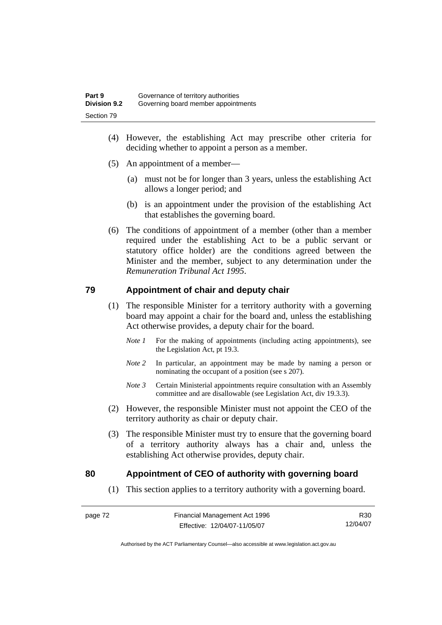- (4) However, the establishing Act may prescribe other criteria for deciding whether to appoint a person as a member.
- (5) An appointment of a member—
	- (a) must not be for longer than 3 years, unless the establishing Act allows a longer period; and
	- (b) is an appointment under the provision of the establishing Act that establishes the governing board.
- (6) The conditions of appointment of a member (other than a member required under the establishing Act to be a public servant or statutory office holder) are the conditions agreed between the Minister and the member, subject to any determination under the *Remuneration Tribunal Act 1995*.

### **79 Appointment of chair and deputy chair**

- (1) The responsible Minister for a territory authority with a governing board may appoint a chair for the board and, unless the establishing Act otherwise provides, a deputy chair for the board.
	- *Note 1* For the making of appointments (including acting appointments), see the Legislation Act, pt 19.3.
	- *Note 2* In particular, an appointment may be made by naming a person or nominating the occupant of a position (see s 207).
	- *Note 3* Certain Ministerial appointments require consultation with an Assembly committee and are disallowable (see Legislation Act, div 19.3.3).
- (2) However, the responsible Minister must not appoint the CEO of the territory authority as chair or deputy chair.
- (3) The responsible Minister must try to ensure that the governing board of a territory authority always has a chair and, unless the establishing Act otherwise provides, deputy chair.

### **80 Appointment of CEO of authority with governing board**

(1) This section applies to a territory authority with a governing board.

R30 12/04/07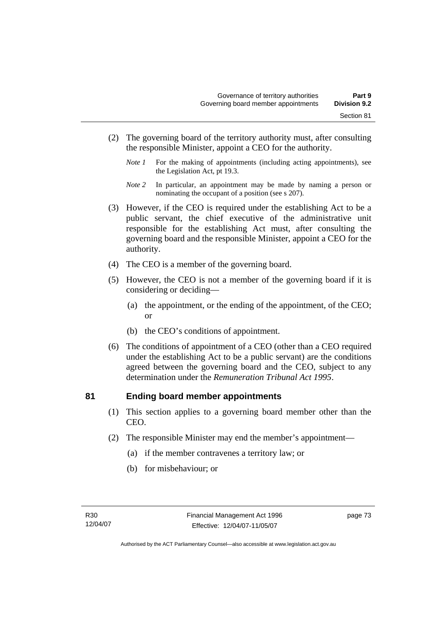- (2) The governing board of the territory authority must, after consulting the responsible Minister, appoint a CEO for the authority.
	- *Note 1* For the making of appointments (including acting appointments), see the Legislation Act, pt 19.3.
	- *Note 2* In particular, an appointment may be made by naming a person or nominating the occupant of a position (see s 207).
- (3) However, if the CEO is required under the establishing Act to be a public servant, the chief executive of the administrative unit responsible for the establishing Act must, after consulting the governing board and the responsible Minister, appoint a CEO for the authority.
- (4) The CEO is a member of the governing board.
- (5) However, the CEO is not a member of the governing board if it is considering or deciding—
	- (a) the appointment, or the ending of the appointment, of the CEO; or
	- (b) the CEO's conditions of appointment.
- (6) The conditions of appointment of a CEO (other than a CEO required under the establishing Act to be a public servant) are the conditions agreed between the governing board and the CEO, subject to any determination under the *Remuneration Tribunal Act 1995*.

### **81 Ending board member appointments**

- (1) This section applies to a governing board member other than the CEO.
- (2) The responsible Minister may end the member's appointment—
	- (a) if the member contravenes a territory law; or
	- (b) for misbehaviour; or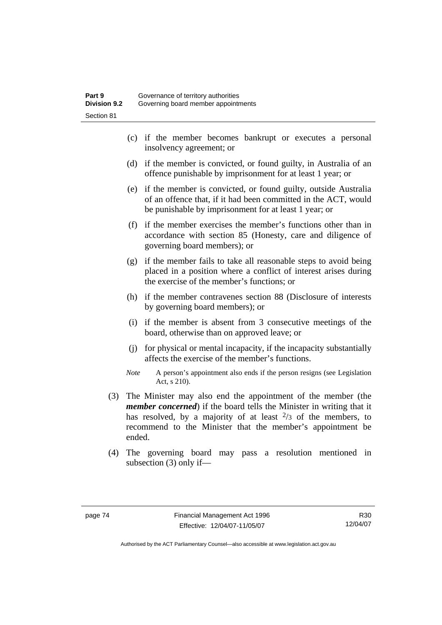- (c) if the member becomes bankrupt or executes a personal insolvency agreement; or
- (d) if the member is convicted, or found guilty, in Australia of an offence punishable by imprisonment for at least 1 year; or
- (e) if the member is convicted, or found guilty, outside Australia of an offence that, if it had been committed in the ACT, would be punishable by imprisonment for at least 1 year; or
- (f) if the member exercises the member's functions other than in accordance with section 85 (Honesty, care and diligence of governing board members); or
- (g) if the member fails to take all reasonable steps to avoid being placed in a position where a conflict of interest arises during the exercise of the member's functions; or
- (h) if the member contravenes section 88 (Disclosure of interests by governing board members); or
- (i) if the member is absent from 3 consecutive meetings of the board, otherwise than on approved leave; or
- (j) for physical or mental incapacity, if the incapacity substantially affects the exercise of the member's functions.
- *Note* A person's appointment also ends if the person resigns (see Legislation Act, s 210).
- (3) The Minister may also end the appointment of the member (the *member concerned*) if the board tells the Minister in writing that it has resolved, by a majority of at least  $\frac{2}{3}$  of the members, to recommend to the Minister that the member's appointment be ended.
- (4) The governing board may pass a resolution mentioned in subsection (3) only if—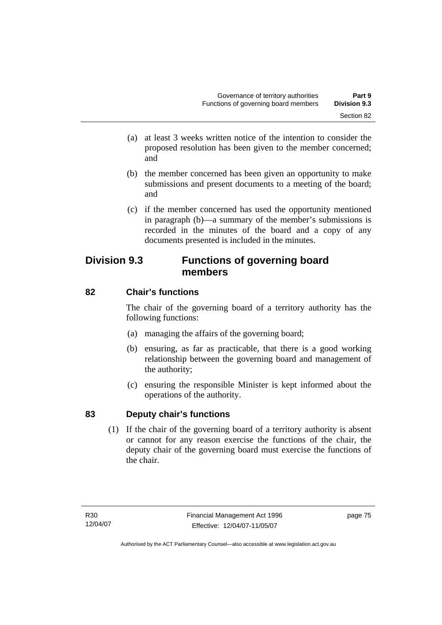- (a) at least 3 weeks written notice of the intention to consider the proposed resolution has been given to the member concerned; and
- (b) the member concerned has been given an opportunity to make submissions and present documents to a meeting of the board; and
- (c) if the member concerned has used the opportunity mentioned in paragraph (b)—a summary of the member's submissions is recorded in the minutes of the board and a copy of any documents presented is included in the minutes.

# **Division 9.3 Functions of governing board members**

# **82 Chair's functions**

The chair of the governing board of a territory authority has the following functions:

- (a) managing the affairs of the governing board;
- (b) ensuring, as far as practicable, that there is a good working relationship between the governing board and management of the authority;
- (c) ensuring the responsible Minister is kept informed about the operations of the authority.

# **83 Deputy chair's functions**

 (1) If the chair of the governing board of a territory authority is absent or cannot for any reason exercise the functions of the chair, the deputy chair of the governing board must exercise the functions of the chair.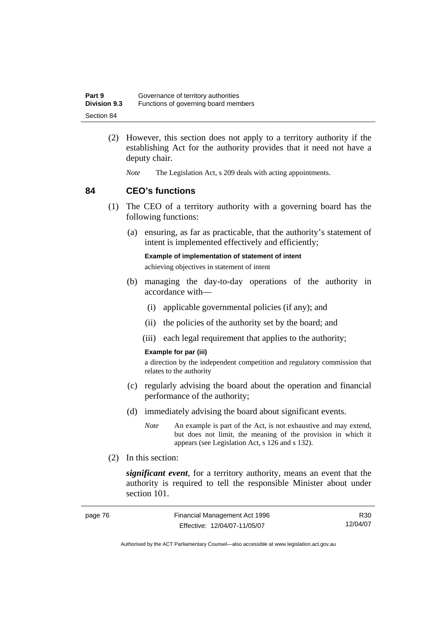| Part 9              | Governance of territory authorities  |
|---------------------|--------------------------------------|
| <b>Division 9.3</b> | Functions of governing board members |
| Section 84          |                                      |

- (2) However, this section does not apply to a territory authority if the establishing Act for the authority provides that it need not have a deputy chair.
	- *Note* The Legislation Act, s 209 deals with acting appointments.

### **84 CEO's functions**

- (1) The CEO of a territory authority with a governing board has the following functions:
	- (a) ensuring, as far as practicable, that the authority's statement of intent is implemented effectively and efficiently;

**Example of implementation of statement of intent** 

achieving objectives in statement of intent

- (b) managing the day-to-day operations of the authority in accordance with—
	- (i) applicable governmental policies (if any); and
	- (ii) the policies of the authority set by the board; and
	- (iii) each legal requirement that applies to the authority;

#### **Example for par (iii)**

a direction by the independent competition and regulatory commission that relates to the authority

- (c) regularly advising the board about the operation and financial performance of the authority;
- (d) immediately advising the board about significant events.
	- *Note* An example is part of the Act, is not exhaustive and may extend, but does not limit, the meaning of the provision in which it appears (see Legislation Act, s 126 and s 132).
- (2) In this section:

*significant event*, for a territory authority, means an event that the authority is required to tell the responsible Minister about under section 101.

| page 76 | Financial Management Act 1996 | R30      |
|---------|-------------------------------|----------|
|         | Effective: 12/04/07-11/05/07  | 12/04/07 |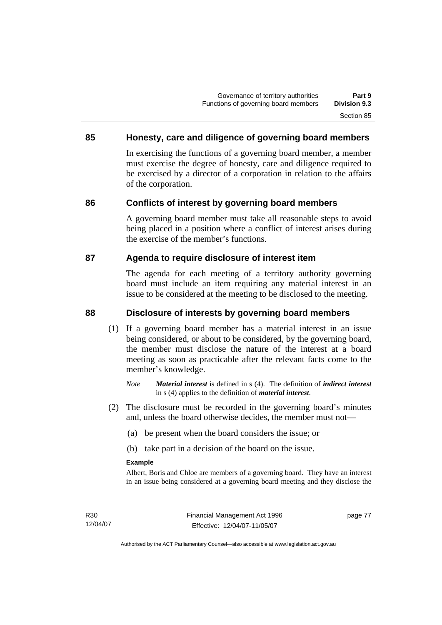### **85 Honesty, care and diligence of governing board members**

In exercising the functions of a governing board member, a member must exercise the degree of honesty, care and diligence required to be exercised by a director of a corporation in relation to the affairs of the corporation.

### **86 Conflicts of interest by governing board members**

A governing board member must take all reasonable steps to avoid being placed in a position where a conflict of interest arises during the exercise of the member's functions.

### **87 Agenda to require disclosure of interest item**

The agenda for each meeting of a territory authority governing board must include an item requiring any material interest in an issue to be considered at the meeting to be disclosed to the meeting.

### **88 Disclosure of interests by governing board members**

- (1) If a governing board member has a material interest in an issue being considered, or about to be considered, by the governing board, the member must disclose the nature of the interest at a board meeting as soon as practicable after the relevant facts come to the member's knowledge.
	- *Note Material interest* is defined in s (4). The definition of *indirect interest* in s (4) applies to the definition of *material interest*.
- (2) The disclosure must be recorded in the governing board's minutes and, unless the board otherwise decides, the member must not—
	- (a) be present when the board considers the issue; or
	- (b) take part in a decision of the board on the issue.

#### **Example**

Albert, Boris and Chloe are members of a governing board. They have an interest in an issue being considered at a governing board meeting and they disclose the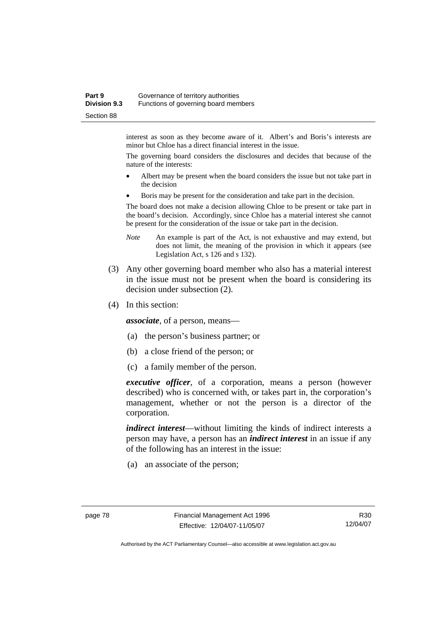#### **Part 9 Governance of territory authorities Division 9.3** Functions of governing board members Section 88

interest as soon as they become aware of it. Albert's and Boris's interests are minor but Chloe has a direct financial interest in the issue.

The governing board considers the disclosures and decides that because of the nature of the interests:

- Albert may be present when the board considers the issue but not take part in the decision
- Boris may be present for the consideration and take part in the decision.

The board does not make a decision allowing Chloe to be present or take part in the board's decision. Accordingly, since Chloe has a material interest she cannot be present for the consideration of the issue or take part in the decision.

- *Note* An example is part of the Act, is not exhaustive and may extend, but does not limit, the meaning of the provision in which it appears (see Legislation Act, s 126 and s 132).
- (3) Any other governing board member who also has a material interest in the issue must not be present when the board is considering its decision under subsection (2).
- (4) In this section:

*associate*, of a person, means—

- (a) the person's business partner; or
- (b) a close friend of the person; or
- (c) a family member of the person.

*executive officer*, of a corporation, means a person (however described) who is concerned with, or takes part in, the corporation's management, whether or not the person is a director of the corporation.

*indirect interest*—without limiting the kinds of indirect interests a person may have, a person has an *indirect interest* in an issue if any of the following has an interest in the issue:

(a) an associate of the person;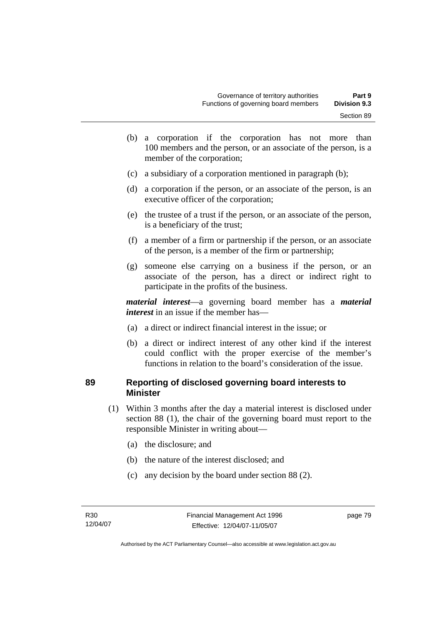- (b) a corporation if the corporation has not more than 100 members and the person, or an associate of the person, is a member of the corporation;
- (c) a subsidiary of a corporation mentioned in paragraph (b);
- (d) a corporation if the person, or an associate of the person, is an executive officer of the corporation;
- (e) the trustee of a trust if the person, or an associate of the person, is a beneficiary of the trust;
- (f) a member of a firm or partnership if the person, or an associate of the person, is a member of the firm or partnership;
- (g) someone else carrying on a business if the person, or an associate of the person, has a direct or indirect right to participate in the profits of the business.

*material interest*—a governing board member has a *material interest* in an issue if the member has—

- (a) a direct or indirect financial interest in the issue; or
- (b) a direct or indirect interest of any other kind if the interest could conflict with the proper exercise of the member's functions in relation to the board's consideration of the issue.

### **89 Reporting of disclosed governing board interests to Minister**

- (1) Within 3 months after the day a material interest is disclosed under section 88 (1), the chair of the governing board must report to the responsible Minister in writing about—
	- (a) the disclosure; and
	- (b) the nature of the interest disclosed; and
	- (c) any decision by the board under section 88 (2).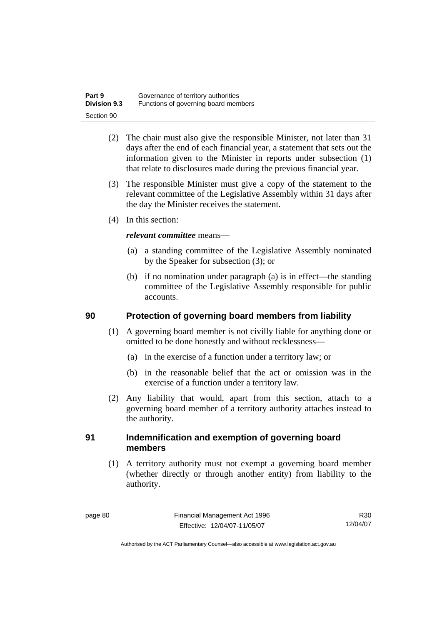| Part 9              | Governance of territory authorities  |
|---------------------|--------------------------------------|
| <b>Division 9.3</b> | Functions of governing board members |
| Section 90          |                                      |

- (2) The chair must also give the responsible Minister, not later than 31 days after the end of each financial year, a statement that sets out the information given to the Minister in reports under subsection (1) that relate to disclosures made during the previous financial year.
- (3) The responsible Minister must give a copy of the statement to the relevant committee of the Legislative Assembly within 31 days after the day the Minister receives the statement.
- (4) In this section:

### *relevant committee* means—

- (a) a standing committee of the Legislative Assembly nominated by the Speaker for subsection (3); or
- (b) if no nomination under paragraph (a) is in effect—the standing committee of the Legislative Assembly responsible for public accounts.

### **90 Protection of governing board members from liability**

- (1) A governing board member is not civilly liable for anything done or omitted to be done honestly and without recklessness—
	- (a) in the exercise of a function under a territory law; or
	- (b) in the reasonable belief that the act or omission was in the exercise of a function under a territory law.
- (2) Any liability that would, apart from this section, attach to a governing board member of a territory authority attaches instead to the authority.

### **91 Indemnification and exemption of governing board members**

 (1) A territory authority must not exempt a governing board member (whether directly or through another entity) from liability to the authority.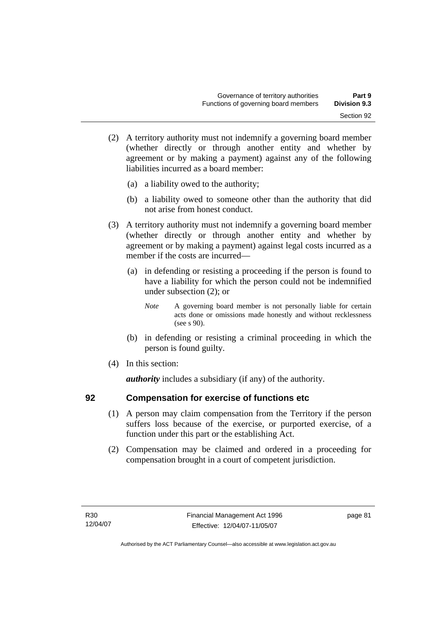- (2) A territory authority must not indemnify a governing board member (whether directly or through another entity and whether by agreement or by making a payment) against any of the following liabilities incurred as a board member:
	- (a) a liability owed to the authority;
	- (b) a liability owed to someone other than the authority that did not arise from honest conduct.
- (3) A territory authority must not indemnify a governing board member (whether directly or through another entity and whether by agreement or by making a payment) against legal costs incurred as a member if the costs are incurred—
	- (a) in defending or resisting a proceeding if the person is found to have a liability for which the person could not be indemnified under subsection (2); or
		- *Note* A governing board member is not personally liable for certain acts done or omissions made honestly and without recklessness (see s 90).
	- (b) in defending or resisting a criminal proceeding in which the person is found guilty.
- (4) In this section:

*authority* includes a subsidiary (if any) of the authority.

### **92 Compensation for exercise of functions etc**

- (1) A person may claim compensation from the Territory if the person suffers loss because of the exercise, or purported exercise, of a function under this part or the establishing Act.
- (2) Compensation may be claimed and ordered in a proceeding for compensation brought in a court of competent jurisdiction.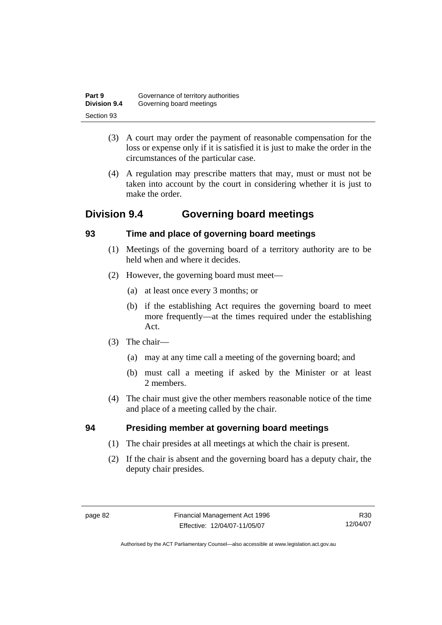| Part 9              | Governance of territory authorities |
|---------------------|-------------------------------------|
| <b>Division 9.4</b> | Governing board meetings            |
| Section 93          |                                     |

- (3) A court may order the payment of reasonable compensation for the loss or expense only if it is satisfied it is just to make the order in the circumstances of the particular case.
- (4) A regulation may prescribe matters that may, must or must not be taken into account by the court in considering whether it is just to make the order.

# **Division 9.4 Governing board meetings**

# **93 Time and place of governing board meetings**

- (1) Meetings of the governing board of a territory authority are to be held when and where it decides.
- (2) However, the governing board must meet—
	- (a) at least once every 3 months; or
	- (b) if the establishing Act requires the governing board to meet more frequently—at the times required under the establishing Act.
- (3) The chair—
	- (a) may at any time call a meeting of the governing board; and
	- (b) must call a meeting if asked by the Minister or at least 2 members.
- (4) The chair must give the other members reasonable notice of the time and place of a meeting called by the chair.

# **94 Presiding member at governing board meetings**

- (1) The chair presides at all meetings at which the chair is present.
- (2) If the chair is absent and the governing board has a deputy chair, the deputy chair presides.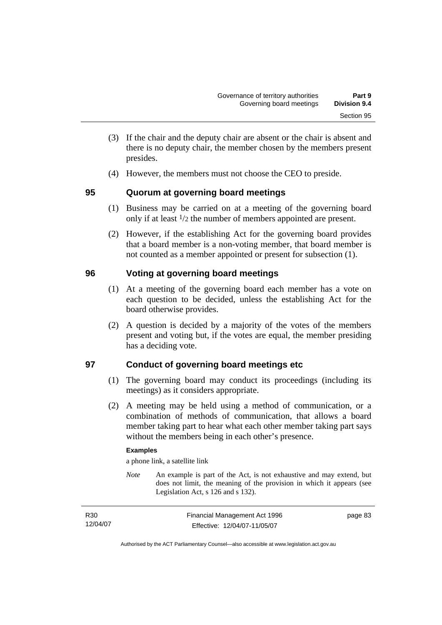- (3) If the chair and the deputy chair are absent or the chair is absent and there is no deputy chair, the member chosen by the members present presides.
- (4) However, the members must not choose the CEO to preside.

### **95 Quorum at governing board meetings**

- (1) Business may be carried on at a meeting of the governing board only if at least 1/2 the number of members appointed are present.
- (2) However, if the establishing Act for the governing board provides that a board member is a non-voting member, that board member is not counted as a member appointed or present for subsection (1).

# **96 Voting at governing board meetings**

- (1) At a meeting of the governing board each member has a vote on each question to be decided, unless the establishing Act for the board otherwise provides.
- (2) A question is decided by a majority of the votes of the members present and voting but, if the votes are equal, the member presiding has a deciding vote.

### **97 Conduct of governing board meetings etc**

- (1) The governing board may conduct its proceedings (including its meetings) as it considers appropriate.
- (2) A meeting may be held using a method of communication, or a combination of methods of communication, that allows a board member taking part to hear what each other member taking part says without the members being in each other's presence.

### **Examples**

a phone link, a satellite link

*Note* An example is part of the Act, is not exhaustive and may extend, but does not limit, the meaning of the provision in which it appears (see Legislation Act, s 126 and s 132).

| R <sub>30</sub> | Financial Management Act 1996 | page 83 |
|-----------------|-------------------------------|---------|
| 12/04/07        | Effective: 12/04/07-11/05/07  |         |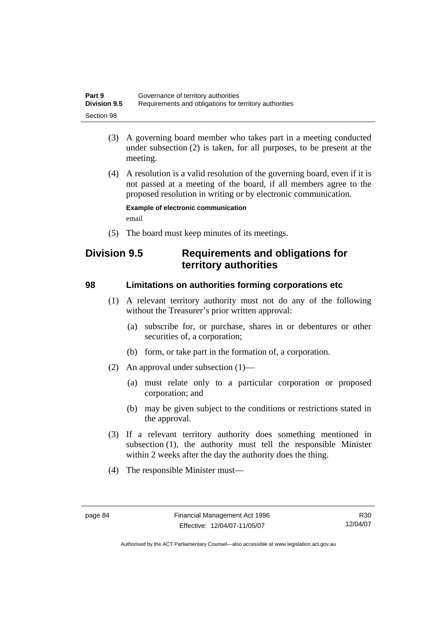| Part 9              | Governance of territory authorities                    |
|---------------------|--------------------------------------------------------|
| <b>Division 9.5</b> | Requirements and obligations for territory authorities |
| Section 98          |                                                        |

- (3) A governing board member who takes part in a meeting conducted under subsection (2) is taken, for all purposes, to be present at the meeting.
- (4) A resolution is a valid resolution of the governing board, even if it is not passed at a meeting of the board, if all members agree to the proposed resolution in writing or by electronic communication.

**Example of electronic communication**  email

(5) The board must keep minutes of its meetings.

# **Division 9.5 Requirements and obligations for territory authorities**

### **98 Limitations on authorities forming corporations etc**

- (1) A relevant territory authority must not do any of the following without the Treasurer's prior written approval:
	- (a) subscribe for, or purchase, shares in or debentures or other securities of, a corporation;
	- (b) form, or take part in the formation of, a corporation.
- (2) An approval under subsection (1)—
	- (a) must relate only to a particular corporation or proposed corporation; and
	- (b) may be given subject to the conditions or restrictions stated in the approval.
- (3) If a relevant territory authority does something mentioned in subsection (1), the authority must tell the responsible Minister within 2 weeks after the day the authority does the thing.
- (4) The responsible Minister must—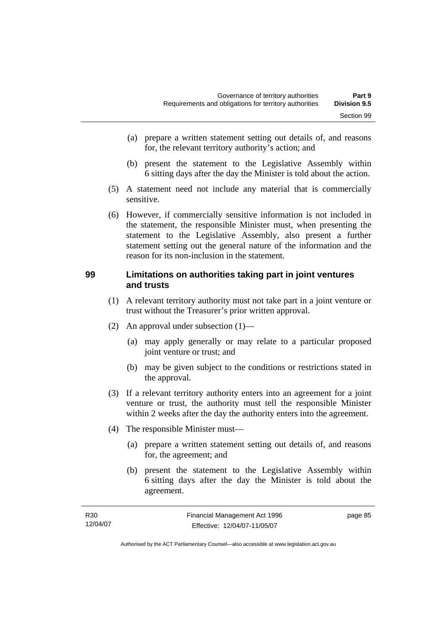- (a) prepare a written statement setting out details of, and reasons for, the relevant territory authority's action; and
- (b) present the statement to the Legislative Assembly within 6 sitting days after the day the Minister is told about the action.
- (5) A statement need not include any material that is commercially sensitive.
- (6) However, if commercially sensitive information is not included in the statement, the responsible Minister must, when presenting the statement to the Legislative Assembly, also present a further statement setting out the general nature of the information and the reason for its non-inclusion in the statement.

### **99 Limitations on authorities taking part in joint ventures and trusts**

- (1) A relevant territory authority must not take part in a joint venture or trust without the Treasurer's prior written approval.
- (2) An approval under subsection (1)—
	- (a) may apply generally or may relate to a particular proposed joint venture or trust; and
	- (b) may be given subject to the conditions or restrictions stated in the approval.
- (3) If a relevant territory authority enters into an agreement for a joint venture or trust, the authority must tell the responsible Minister within 2 weeks after the day the authority enters into the agreement.
- (4) The responsible Minister must—
	- (a) prepare a written statement setting out details of, and reasons for, the agreement; and
	- (b) present the statement to the Legislative Assembly within 6 sitting days after the day the Minister is told about the agreement.

| R30      | Financial Management Act 1996 | page 85 |
|----------|-------------------------------|---------|
| 12/04/07 | Effective: 12/04/07-11/05/07  |         |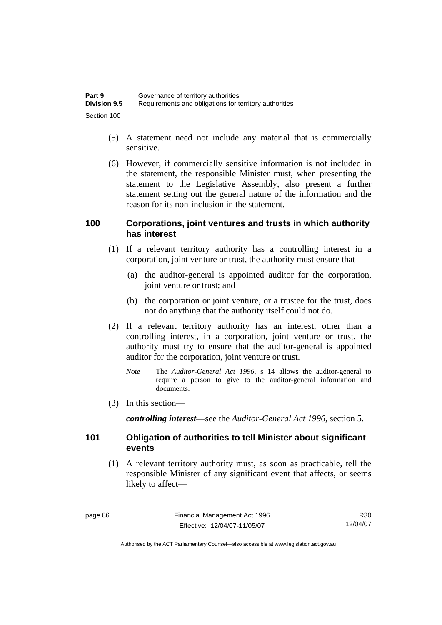| Part 9              | Governance of territory authorities                    |
|---------------------|--------------------------------------------------------|
| <b>Division 9.5</b> | Requirements and obligations for territory authorities |
| Section 100         |                                                        |

- (5) A statement need not include any material that is commercially sensitive.
- (6) However, if commercially sensitive information is not included in the statement, the responsible Minister must, when presenting the statement to the Legislative Assembly, also present a further statement setting out the general nature of the information and the reason for its non-inclusion in the statement.

### **100 Corporations, joint ventures and trusts in which authority has interest**

- (1) If a relevant territory authority has a controlling interest in a corporation, joint venture or trust, the authority must ensure that—
	- (a) the auditor-general is appointed auditor for the corporation, joint venture or trust; and
	- (b) the corporation or joint venture, or a trustee for the trust, does not do anything that the authority itself could not do.
- (2) If a relevant territory authority has an interest, other than a controlling interest, in a corporation, joint venture or trust, the authority must try to ensure that the auditor-general is appointed auditor for the corporation, joint venture or trust.
	- *Note* The *Auditor-General Act 1996*, s 14 allows the auditor-general to require a person to give to the auditor-general information and documents.
- (3) In this section—

*controlling interest*—see the *Auditor-General Act 1996*, section 5.

### **101 Obligation of authorities to tell Minister about significant events**

 (1) A relevant territory authority must, as soon as practicable, tell the responsible Minister of any significant event that affects, or seems likely to affect—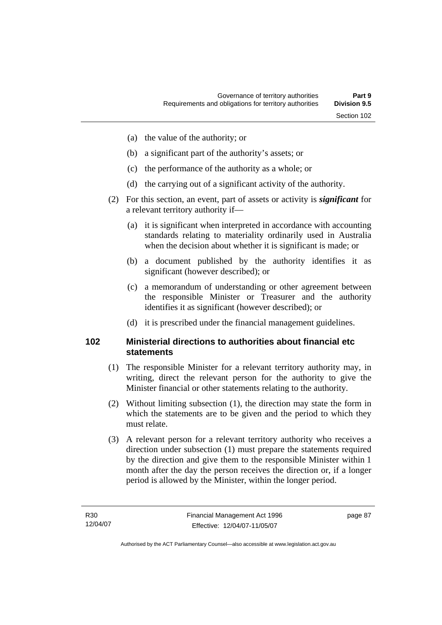- (a) the value of the authority; or
- (b) a significant part of the authority's assets; or
- (c) the performance of the authority as a whole; or
- (d) the carrying out of a significant activity of the authority.
- (2) For this section, an event, part of assets or activity is *significant* for a relevant territory authority if—
	- (a) it is significant when interpreted in accordance with accounting standards relating to materiality ordinarily used in Australia when the decision about whether it is significant is made; or
	- (b) a document published by the authority identifies it as significant (however described); or
	- (c) a memorandum of understanding or other agreement between the responsible Minister or Treasurer and the authority identifies it as significant (however described); or
	- (d) it is prescribed under the financial management guidelines.

### **102 Ministerial directions to authorities about financial etc statements**

- (1) The responsible Minister for a relevant territory authority may, in writing, direct the relevant person for the authority to give the Minister financial or other statements relating to the authority.
- (2) Without limiting subsection (1), the direction may state the form in which the statements are to be given and the period to which they must relate.
- (3) A relevant person for a relevant territory authority who receives a direction under subsection (1) must prepare the statements required by the direction and give them to the responsible Minister within 1 month after the day the person receives the direction or, if a longer period is allowed by the Minister, within the longer period.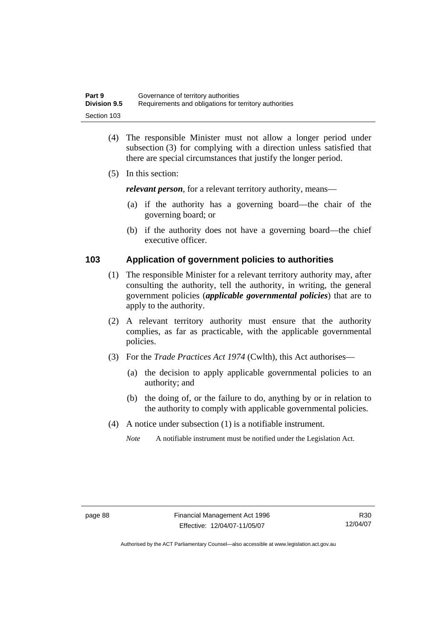| Part 9              | Governance of territory authorities                    |
|---------------------|--------------------------------------------------------|
| <b>Division 9.5</b> | Requirements and obligations for territory authorities |
| Section 103         |                                                        |

- (4) The responsible Minister must not allow a longer period under subsection (3) for complying with a direction unless satisfied that there are special circumstances that justify the longer period.
- (5) In this section:

*relevant person*, for a relevant territory authority, means—

- (a) if the authority has a governing board—the chair of the governing board; or
- (b) if the authority does not have a governing board—the chief executive officer.

### **103 Application of government policies to authorities**

- (1) The responsible Minister for a relevant territory authority may, after consulting the authority, tell the authority, in writing, the general government policies (*applicable governmental policies*) that are to apply to the authority.
- (2) A relevant territory authority must ensure that the authority complies, as far as practicable, with the applicable governmental policies.
- (3) For the *Trade Practices Act 1974* (Cwlth), this Act authorises—
	- (a) the decision to apply applicable governmental policies to an authority; and
	- (b) the doing of, or the failure to do, anything by or in relation to the authority to comply with applicable governmental policies.
- (4) A notice under subsection (1) is a notifiable instrument.

*Note* A notifiable instrument must be notified under the Legislation Act.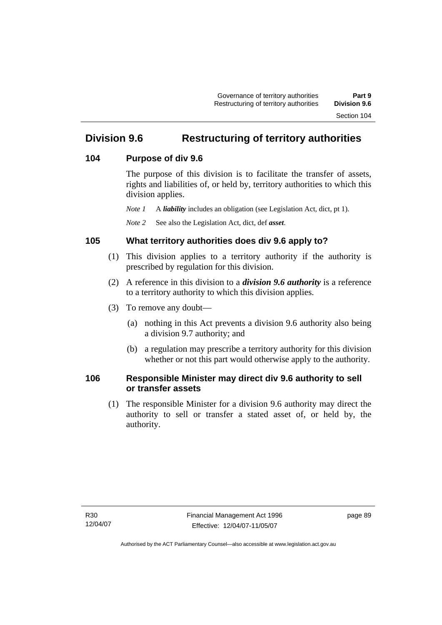# **Division 9.6 Restructuring of territory authorities**

### **104 Purpose of div 9.6**

The purpose of this division is to facilitate the transfer of assets, rights and liabilities of, or held by, territory authorities to which this division applies.

*Note 1* A *liability* includes an obligation (see Legislation Act, dict, pt 1).

*Note 2* See also the Legislation Act, dict, def *asset*.

# **105 What territory authorities does div 9.6 apply to?**

- (1) This division applies to a territory authority if the authority is prescribed by regulation for this division.
- (2) A reference in this division to a *division 9.6 authority* is a reference to a territory authority to which this division applies.
- (3) To remove any doubt—
	- (a) nothing in this Act prevents a division 9.6 authority also being a division 9.7 authority; and
	- (b) a regulation may prescribe a territory authority for this division whether or not this part would otherwise apply to the authority.

### **106 Responsible Minister may direct div 9.6 authority to sell or transfer assets**

 (1) The responsible Minister for a division 9.6 authority may direct the authority to sell or transfer a stated asset of, or held by, the authority.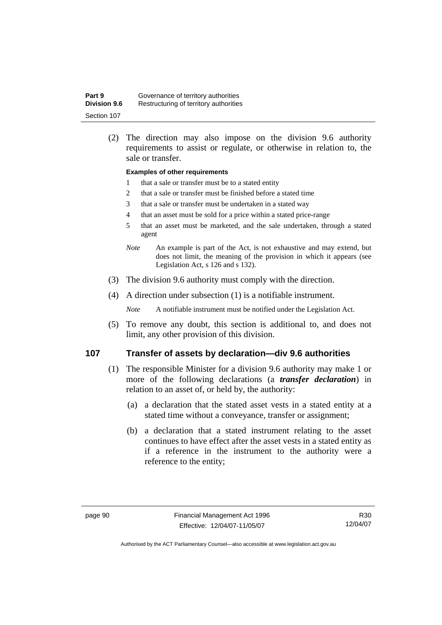| Part 9              | Governance of territory authorities    |
|---------------------|----------------------------------------|
| <b>Division 9.6</b> | Restructuring of territory authorities |
| Section 107         |                                        |

 (2) The direction may also impose on the division 9.6 authority requirements to assist or regulate, or otherwise in relation to, the sale or transfer.

#### **Examples of other requirements**

- 1 that a sale or transfer must be to a stated entity
- 2 that a sale or transfer must be finished before a stated time
- 3 that a sale or transfer must be undertaken in a stated way
- 4 that an asset must be sold for a price within a stated price-range
- 5 that an asset must be marketed, and the sale undertaken, through a stated agent
- *Note* An example is part of the Act, is not exhaustive and may extend, but does not limit, the meaning of the provision in which it appears (see Legislation Act, s 126 and s 132).
- (3) The division 9.6 authority must comply with the direction.
- (4) A direction under subsection (1) is a notifiable instrument.

*Note* A notifiable instrument must be notified under the Legislation Act.

 (5) To remove any doubt, this section is additional to, and does not limit, any other provision of this division.

### **107 Transfer of assets by declaration—div 9.6 authorities**

- (1) The responsible Minister for a division 9.6 authority may make 1 or more of the following declarations (a *transfer declaration*) in relation to an asset of, or held by, the authority:
	- (a) a declaration that the stated asset vests in a stated entity at a stated time without a conveyance, transfer or assignment;
	- (b) a declaration that a stated instrument relating to the asset continues to have effect after the asset vests in a stated entity as if a reference in the instrument to the authority were a reference to the entity;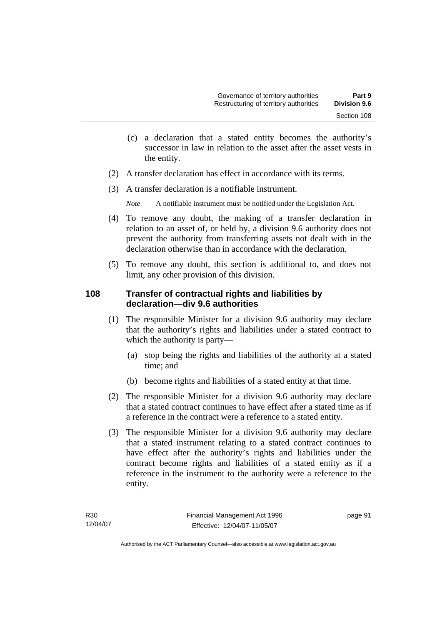- (c) a declaration that a stated entity becomes the authority's successor in law in relation to the asset after the asset vests in the entity.
- (2) A transfer declaration has effect in accordance with its terms.
- (3) A transfer declaration is a notifiable instrument.

*Note* A notifiable instrument must be notified under the Legislation Act.

- (4) To remove any doubt, the making of a transfer declaration in relation to an asset of, or held by, a division 9.6 authority does not prevent the authority from transferring assets not dealt with in the declaration otherwise than in accordance with the declaration.
- (5) To remove any doubt, this section is additional to, and does not limit, any other provision of this division.

### **108 Transfer of contractual rights and liabilities by declaration—div 9.6 authorities**

- (1) The responsible Minister for a division 9.6 authority may declare that the authority's rights and liabilities under a stated contract to which the authority is party—
	- (a) stop being the rights and liabilities of the authority at a stated time; and
	- (b) become rights and liabilities of a stated entity at that time.
- (2) The responsible Minister for a division 9.6 authority may declare that a stated contract continues to have effect after a stated time as if a reference in the contract were a reference to a stated entity.
- (3) The responsible Minister for a division 9.6 authority may declare that a stated instrument relating to a stated contract continues to have effect after the authority's rights and liabilities under the contract become rights and liabilities of a stated entity as if a reference in the instrument to the authority were a reference to the entity.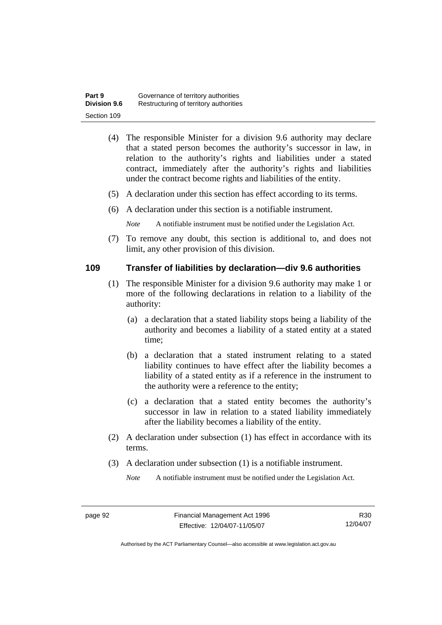| Part 9              | Governance of territory authorities    |
|---------------------|----------------------------------------|
| <b>Division 9.6</b> | Restructuring of territory authorities |
| Section 109         |                                        |

- (4) The responsible Minister for a division 9.6 authority may declare that a stated person becomes the authority's successor in law, in relation to the authority's rights and liabilities under a stated contract, immediately after the authority's rights and liabilities under the contract become rights and liabilities of the entity.
- (5) A declaration under this section has effect according to its terms.
- (6) A declaration under this section is a notifiable instrument.

*Note* A notifiable instrument must be notified under the Legislation Act.

 (7) To remove any doubt, this section is additional to, and does not limit, any other provision of this division.

### **109 Transfer of liabilities by declaration—div 9.6 authorities**

- (1) The responsible Minister for a division 9.6 authority may make 1 or more of the following declarations in relation to a liability of the authority:
	- (a) a declaration that a stated liability stops being a liability of the authority and becomes a liability of a stated entity at a stated time;
	- (b) a declaration that a stated instrument relating to a stated liability continues to have effect after the liability becomes a liability of a stated entity as if a reference in the instrument to the authority were a reference to the entity;
	- (c) a declaration that a stated entity becomes the authority's successor in law in relation to a stated liability immediately after the liability becomes a liability of the entity.
- (2) A declaration under subsection (1) has effect in accordance with its terms.
- (3) A declaration under subsection (1) is a notifiable instrument.

*Note* A notifiable instrument must be notified under the Legislation Act.

R30 12/04/07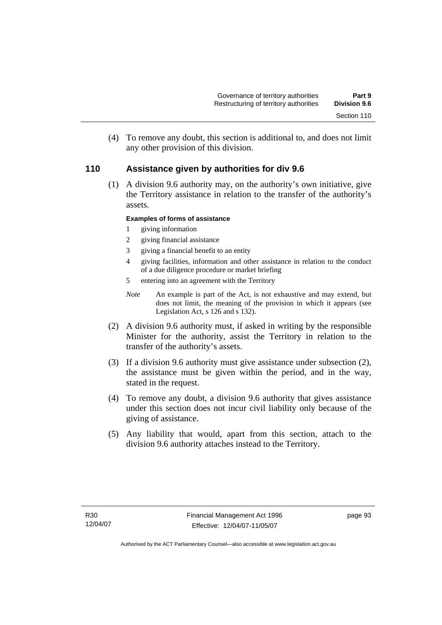(4) To remove any doubt, this section is additional to, and does not limit any other provision of this division.

### **110 Assistance given by authorities for div 9.6**

 (1) A division 9.6 authority may, on the authority's own initiative, give the Territory assistance in relation to the transfer of the authority's assets.

### **Examples of forms of assistance**

- 1 giving information
- 2 giving financial assistance
- 3 giving a financial benefit to an entity
- 4 giving facilities, information and other assistance in relation to the conduct of a due diligence procedure or market briefing
- 5 entering into an agreement with the Territory
- *Note* An example is part of the Act, is not exhaustive and may extend, but does not limit, the meaning of the provision in which it appears (see Legislation Act, s 126 and s 132).
- (2) A division 9.6 authority must, if asked in writing by the responsible Minister for the authority, assist the Territory in relation to the transfer of the authority's assets.
- (3) If a division 9.6 authority must give assistance under subsection (2), the assistance must be given within the period, and in the way, stated in the request.
- (4) To remove any doubt, a division 9.6 authority that gives assistance under this section does not incur civil liability only because of the giving of assistance.
- (5) Any liability that would, apart from this section, attach to the division 9.6 authority attaches instead to the Territory.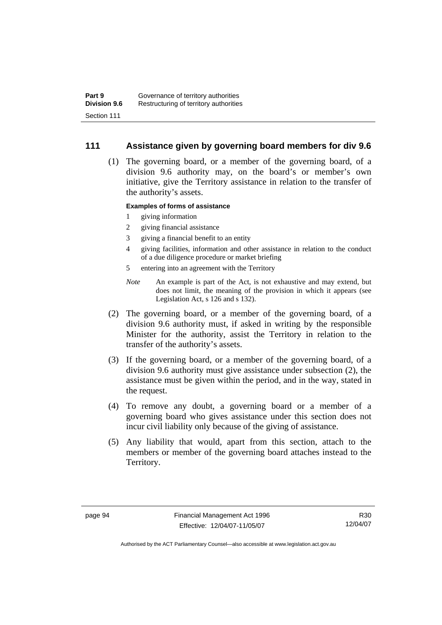### **111 Assistance given by governing board members for div 9.6**

 (1) The governing board, or a member of the governing board, of a division 9.6 authority may, on the board's or member's own initiative, give the Territory assistance in relation to the transfer of the authority's assets.

#### **Examples of forms of assistance**

- 1 giving information
- 2 giving financial assistance
- 3 giving a financial benefit to an entity
- 4 giving facilities, information and other assistance in relation to the conduct of a due diligence procedure or market briefing
- 5 entering into an agreement with the Territory
- *Note* An example is part of the Act, is not exhaustive and may extend, but does not limit, the meaning of the provision in which it appears (see Legislation Act, s 126 and s 132).
- (2) The governing board, or a member of the governing board, of a division 9.6 authority must, if asked in writing by the responsible Minister for the authority, assist the Territory in relation to the transfer of the authority's assets.
- (3) If the governing board, or a member of the governing board, of a division 9.6 authority must give assistance under subsection (2), the assistance must be given within the period, and in the way, stated in the request.
- (4) To remove any doubt, a governing board or a member of a governing board who gives assistance under this section does not incur civil liability only because of the giving of assistance.
- (5) Any liability that would, apart from this section, attach to the members or member of the governing board attaches instead to the Territory.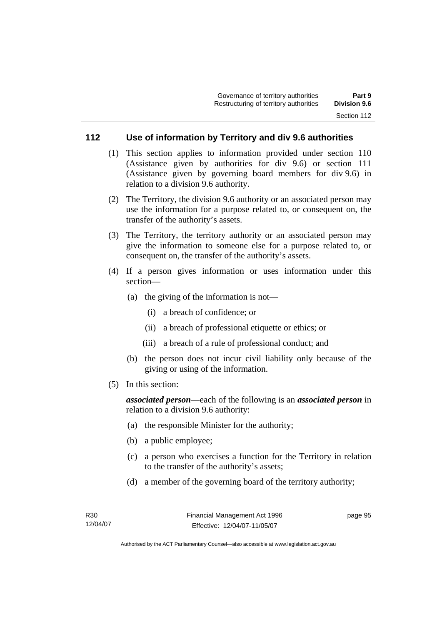### **112 Use of information by Territory and div 9.6 authorities**

- (1) This section applies to information provided under section 110 (Assistance given by authorities for div 9.6) or section 111 (Assistance given by governing board members for div 9.6) in relation to a division 9.6 authority.
- (2) The Territory, the division 9.6 authority or an associated person may use the information for a purpose related to, or consequent on, the transfer of the authority's assets.
- (3) The Territory, the territory authority or an associated person may give the information to someone else for a purpose related to, or consequent on, the transfer of the authority's assets.
- (4) If a person gives information or uses information under this section—
	- (a) the giving of the information is not—
		- (i) a breach of confidence; or
		- (ii) a breach of professional etiquette or ethics; or
		- (iii) a breach of a rule of professional conduct; and
	- (b) the person does not incur civil liability only because of the giving or using of the information.
- (5) In this section:

*associated person*—each of the following is an *associated person* in relation to a division 9.6 authority:

- (a) the responsible Minister for the authority;
- (b) a public employee;
- (c) a person who exercises a function for the Territory in relation to the transfer of the authority's assets;
- (d) a member of the governing board of the territory authority;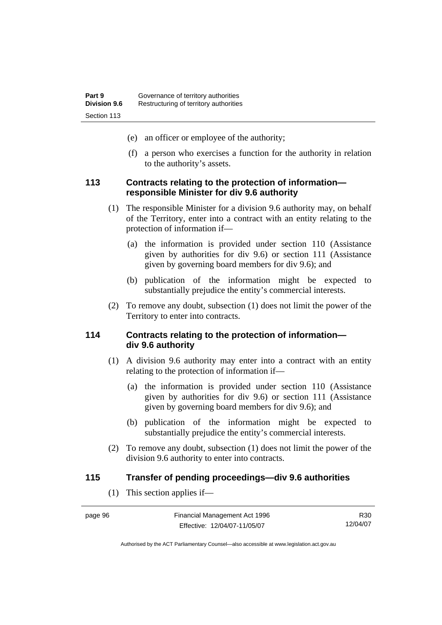- (e) an officer or employee of the authority;
- (f) a person who exercises a function for the authority in relation to the authority's assets.

### **113 Contracts relating to the protection of information responsible Minister for div 9.6 authority**

- (1) The responsible Minister for a division 9.6 authority may, on behalf of the Territory, enter into a contract with an entity relating to the protection of information if—
	- (a) the information is provided under section 110 (Assistance given by authorities for div 9.6) or section 111 (Assistance given by governing board members for div 9.6); and
	- (b) publication of the information might be expected to substantially prejudice the entity's commercial interests.
- (2) To remove any doubt, subsection (1) does not limit the power of the Territory to enter into contracts.

### **114 Contracts relating to the protection of information div 9.6 authority**

- (1) A division 9.6 authority may enter into a contract with an entity relating to the protection of information if—
	- (a) the information is provided under section 110 (Assistance given by authorities for div 9.6) or section 111 (Assistance given by governing board members for div 9.6); and
	- (b) publication of the information might be expected to substantially prejudice the entity's commercial interests.
- (2) To remove any doubt, subsection (1) does not limit the power of the division 9.6 authority to enter into contracts.

### **115 Transfer of pending proceedings—div 9.6 authorities**

(1) This section applies if—

| page 96 | Financial Management Act 1996 | R30      |
|---------|-------------------------------|----------|
|         | Effective: 12/04/07-11/05/07  | 12/04/07 |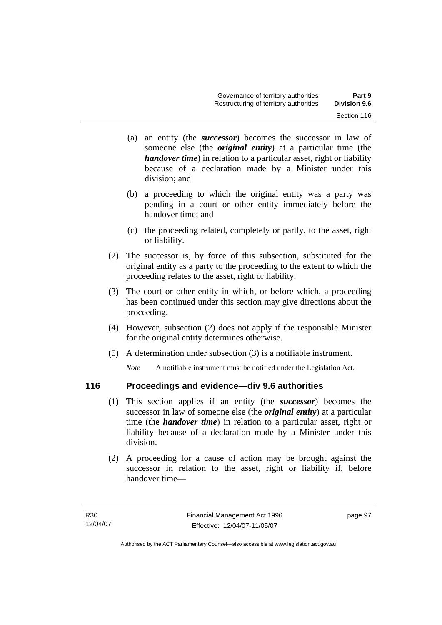- (a) an entity (the *successor*) becomes the successor in law of someone else (the *original entity*) at a particular time (the *handover time*) in relation to a particular asset, right or liability because of a declaration made by a Minister under this division; and
- (b) a proceeding to which the original entity was a party was pending in a court or other entity immediately before the handover time; and
- (c) the proceeding related, completely or partly, to the asset, right or liability.
- (2) The successor is, by force of this subsection, substituted for the original entity as a party to the proceeding to the extent to which the proceeding relates to the asset, right or liability.
- (3) The court or other entity in which, or before which, a proceeding has been continued under this section may give directions about the proceeding.
- (4) However, subsection (2) does not apply if the responsible Minister for the original entity determines otherwise.
- (5) A determination under subsection (3) is a notifiable instrument.

*Note* A notifiable instrument must be notified under the Legislation Act.

# **116 Proceedings and evidence—div 9.6 authorities**

- (1) This section applies if an entity (the *successor*) becomes the successor in law of someone else (the *original entity*) at a particular time (the *handover time*) in relation to a particular asset, right or liability because of a declaration made by a Minister under this division.
- (2) A proceeding for a cause of action may be brought against the successor in relation to the asset, right or liability if, before handover time—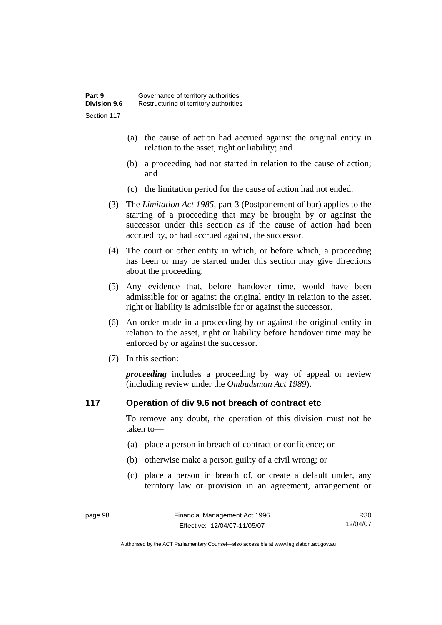- (a) the cause of action had accrued against the original entity in relation to the asset, right or liability; and
- (b) a proceeding had not started in relation to the cause of action; and
- (c) the limitation period for the cause of action had not ended.
- (3) The *Limitation Act 1985,* part 3 (Postponement of bar) applies to the starting of a proceeding that may be brought by or against the successor under this section as if the cause of action had been accrued by, or had accrued against, the successor.
- (4) The court or other entity in which, or before which, a proceeding has been or may be started under this section may give directions about the proceeding.
- (5) Any evidence that, before handover time, would have been admissible for or against the original entity in relation to the asset, right or liability is admissible for or against the successor.
- (6) An order made in a proceeding by or against the original entity in relation to the asset, right or liability before handover time may be enforced by or against the successor.
- (7) In this section:

*proceeding* includes a proceeding by way of appeal or review (including review under the *Ombudsman Act 1989*).

### **117 Operation of div 9.6 not breach of contract etc**

To remove any doubt, the operation of this division must not be taken to—

- (a) place a person in breach of contract or confidence; or
- (b) otherwise make a person guilty of a civil wrong; or
- (c) place a person in breach of, or create a default under, any territory law or provision in an agreement, arrangement or

R30 12/04/07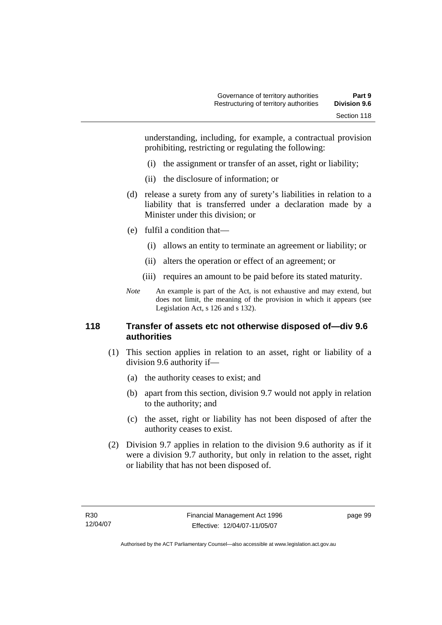understanding, including, for example, a contractual provision prohibiting, restricting or regulating the following:

- (i) the assignment or transfer of an asset, right or liability;
- (ii) the disclosure of information; or
- (d) release a surety from any of surety's liabilities in relation to a liability that is transferred under a declaration made by a Minister under this division; or
- (e) fulfil a condition that—
	- (i) allows an entity to terminate an agreement or liability; or
	- (ii) alters the operation or effect of an agreement; or
	- (iii) requires an amount to be paid before its stated maturity.
- *Note* An example is part of the Act, is not exhaustive and may extend, but does not limit, the meaning of the provision in which it appears (see Legislation Act, s 126 and s 132).

## **118 Transfer of assets etc not otherwise disposed of—div 9.6 authorities**

- (1) This section applies in relation to an asset, right or liability of a division 9.6 authority if—
	- (a) the authority ceases to exist; and
	- (b) apart from this section, division 9.7 would not apply in relation to the authority; and
	- (c) the asset, right or liability has not been disposed of after the authority ceases to exist.
- (2) Division 9.7 applies in relation to the division 9.6 authority as if it were a division 9.7 authority, but only in relation to the asset, right or liability that has not been disposed of.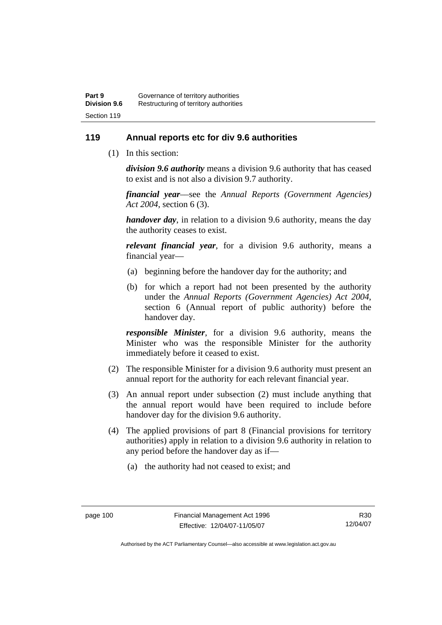# **119 Annual reports etc for div 9.6 authorities**

(1) In this section:

*division 9.6 authority* means a division 9.6 authority that has ceased to exist and is not also a division 9.7 authority.

*financial year*––see the *Annual Reports (Government Agencies) Act 2004*, section 6 (3).

*handover day*, in relation to a division 9.6 authority, means the day the authority ceases to exist.

*relevant financial year*, for a division 9.6 authority, means a financial year—

- (a) beginning before the handover day for the authority; and
- (b) for which a report had not been presented by the authority under the *Annual Reports (Government Agencies) Act 2004*, section 6 (Annual report of public authority) before the handover day.

*responsible Minister*, for a division 9.6 authority, means the Minister who was the responsible Minister for the authority immediately before it ceased to exist.

- (2) The responsible Minister for a division 9.6 authority must present an annual report for the authority for each relevant financial year.
- (3) An annual report under subsection (2) must include anything that the annual report would have been required to include before handover day for the division 9.6 authority.
- (4) The applied provisions of part 8 (Financial provisions for territory authorities) apply in relation to a division 9.6 authority in relation to any period before the handover day as if—
	- (a) the authority had not ceased to exist; and

R30 12/04/07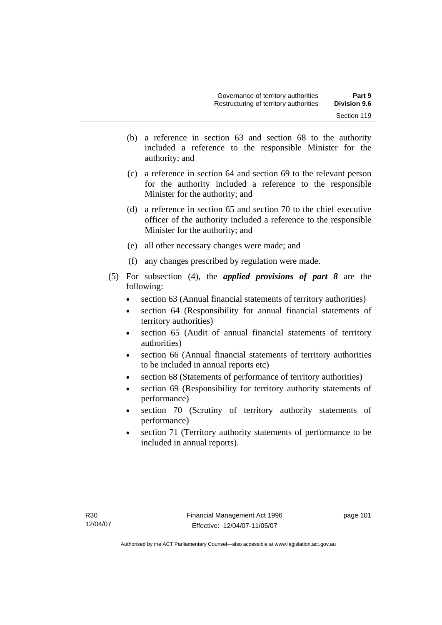- (b) a reference in section 63 and section 68 to the authority included a reference to the responsible Minister for the authority; and
- (c) a reference in section 64 and section 69 to the relevant person for the authority included a reference to the responsible Minister for the authority; and
- (d) a reference in section 65 and section 70 to the chief executive officer of the authority included a reference to the responsible Minister for the authority; and
- (e) all other necessary changes were made; and
- (f) any changes prescribed by regulation were made.
- (5) For subsection (4), the *applied provisions of part 8* are the following:
	- section 63 (Annual financial statements of territory authorities)
	- section 64 (Responsibility for annual financial statements of territory authorities)
	- section 65 (Audit of annual financial statements of territory authorities)
	- section 66 (Annual financial statements of territory authorities to be included in annual reports etc)
	- section 68 (Statements of performance of territory authorities)
	- section 69 (Responsibility for territory authority statements of performance)
	- section 70 (Scrutiny of territory authority statements of performance)
	- section 71 (Territory authority statements of performance to be included in annual reports).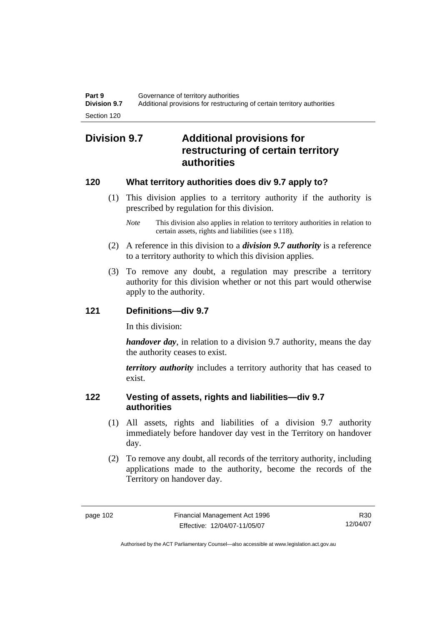# **Division 9.7 Additional provisions for restructuring of certain territory authorities**

# **120 What territory authorities does div 9.7 apply to?**

- (1) This division applies to a territory authority if the authority is prescribed by regulation for this division.
	- *Note* This division also applies in relation to territory authorities in relation to certain assets, rights and liabilities (see s 118).
- (2) A reference in this division to a *division 9.7 authority* is a reference to a territory authority to which this division applies.
- (3) To remove any doubt, a regulation may prescribe a territory authority for this division whether or not this part would otherwise apply to the authority.

# **121 Definitions—div 9.7**

In this division:

*handover day*, in relation to a division 9.7 authority, means the day the authority ceases to exist.

*territory authority* includes a territory authority that has ceased to exist.

# **122 Vesting of assets, rights and liabilities—div 9.7 authorities**

- (1) All assets, rights and liabilities of a division 9.7 authority immediately before handover day vest in the Territory on handover day.
- (2) To remove any doubt, all records of the territory authority, including applications made to the authority, become the records of the Territory on handover day.

R30 12/04/07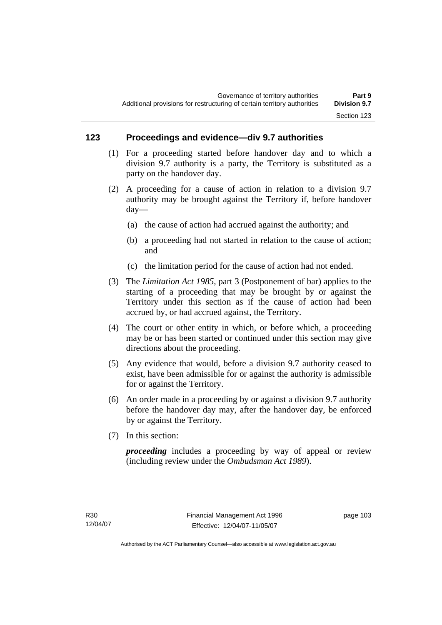# **123 Proceedings and evidence—div 9.7 authorities**

- (1) For a proceeding started before handover day and to which a division 9.7 authority is a party, the Territory is substituted as a party on the handover day.
- (2) A proceeding for a cause of action in relation to a division 9.7 authority may be brought against the Territory if, before handover day—
	- (a) the cause of action had accrued against the authority; and
	- (b) a proceeding had not started in relation to the cause of action; and
	- (c) the limitation period for the cause of action had not ended.
- (3) The *Limitation Act 1985,* part 3 (Postponement of bar) applies to the starting of a proceeding that may be brought by or against the Territory under this section as if the cause of action had been accrued by, or had accrued against, the Territory.
- (4) The court or other entity in which, or before which, a proceeding may be or has been started or continued under this section may give directions about the proceeding.
- (5) Any evidence that would, before a division 9.7 authority ceased to exist, have been admissible for or against the authority is admissible for or against the Territory.
- (6) An order made in a proceeding by or against a division 9.7 authority before the handover day may, after the handover day, be enforced by or against the Territory.
- (7) In this section:

*proceeding* includes a proceeding by way of appeal or review (including review under the *Ombudsman Act 1989*).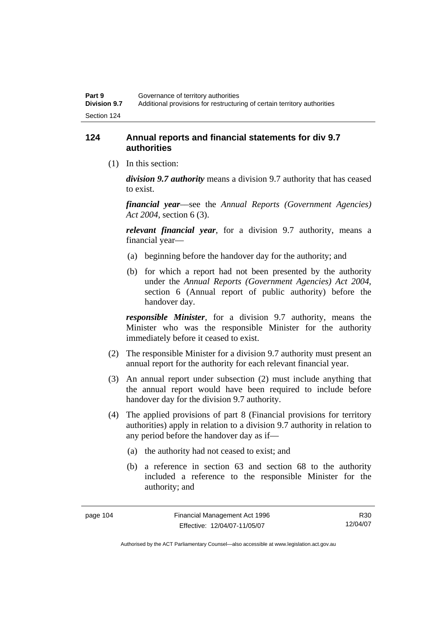# **124 Annual reports and financial statements for div 9.7 authorities**

(1) In this section:

*division 9.7 authority* means a division 9.7 authority that has ceased to exist.

*financial year*––see the *Annual Reports (Government Agencies) Act 2004*, section 6 (3).

*relevant financial year*, for a division 9.7 authority, means a financial year—

- (a) beginning before the handover day for the authority; and
- (b) for which a report had not been presented by the authority under the *Annual Reports (Government Agencies) Act 2004*, section 6 (Annual report of public authority) before the handover day.

*responsible Minister*, for a division 9.7 authority, means the Minister who was the responsible Minister for the authority immediately before it ceased to exist.

- (2) The responsible Minister for a division 9.7 authority must present an annual report for the authority for each relevant financial year.
- (3) An annual report under subsection (2) must include anything that the annual report would have been required to include before handover day for the division 9.7 authority.
- (4) The applied provisions of part 8 (Financial provisions for territory authorities) apply in relation to a division 9.7 authority in relation to any period before the handover day as if—
	- (a) the authority had not ceased to exist; and
	- (b) a reference in section 63 and section 68 to the authority included a reference to the responsible Minister for the authority; and

R30 12/04/07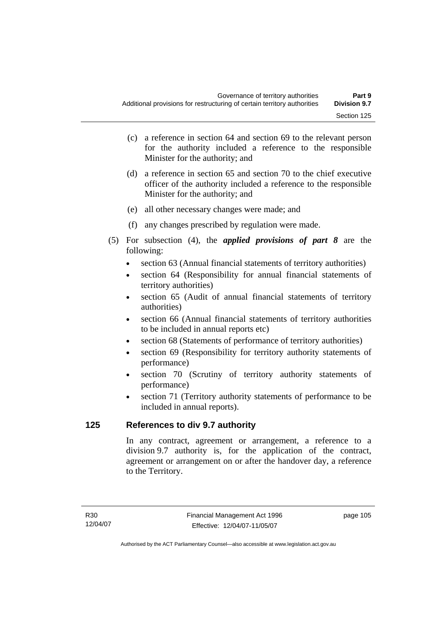- (c) a reference in section 64 and section 69 to the relevant person for the authority included a reference to the responsible Minister for the authority; and
- (d) a reference in section 65 and section 70 to the chief executive officer of the authority included a reference to the responsible Minister for the authority; and
- (e) all other necessary changes were made; and
- (f) any changes prescribed by regulation were made.
- (5) For subsection (4), the *applied provisions of part 8* are the following:
	- section 63 (Annual financial statements of territory authorities)
	- section 64 (Responsibility for annual financial statements of territory authorities)
	- section 65 (Audit of annual financial statements of territory authorities)
	- section 66 (Annual financial statements of territory authorities to be included in annual reports etc)
	- section 68 (Statements of performance of territory authorities)
	- section 69 (Responsibility for territory authority statements of performance)
	- section 70 (Scrutiny of territory authority statements of performance)
	- section 71 (Territory authority statements of performance to be included in annual reports).

# **125 References to div 9.7 authority**

In any contract, agreement or arrangement, a reference to a division 9.7 authority is, for the application of the contract, agreement or arrangement on or after the handover day, a reference to the Territory.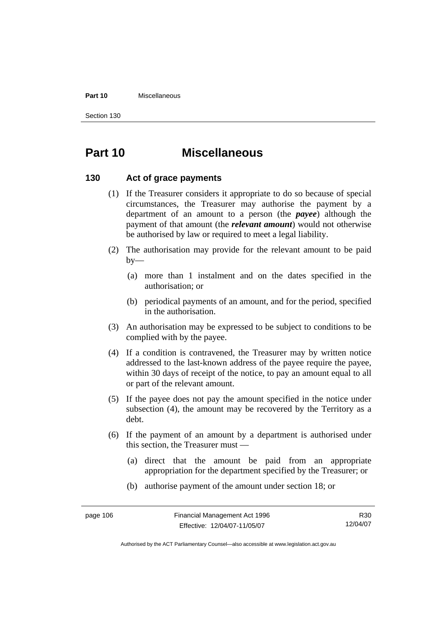#### **Part 10** Miscellaneous

Section 130

# **Part 10 Miscellaneous**

## **130 Act of grace payments**

- (1) If the Treasurer considers it appropriate to do so because of special circumstances, the Treasurer may authorise the payment by a department of an amount to a person (the *payee*) although the payment of that amount (the *relevant amount*) would not otherwise be authorised by law or required to meet a legal liability.
- (2) The authorisation may provide for the relevant amount to be paid  $by-$ 
	- (a) more than 1 instalment and on the dates specified in the authorisation; or
	- (b) periodical payments of an amount, and for the period, specified in the authorisation.
- (3) An authorisation may be expressed to be subject to conditions to be complied with by the payee.
- (4) If a condition is contravened, the Treasurer may by written notice addressed to the last-known address of the payee require the payee, within 30 days of receipt of the notice, to pay an amount equal to all or part of the relevant amount.
- (5) If the payee does not pay the amount specified in the notice under subsection (4), the amount may be recovered by the Territory as a debt.
- (6) If the payment of an amount by a department is authorised under this section, the Treasurer must —
	- (a) direct that the amount be paid from an appropriate appropriation for the department specified by the Treasurer; or
	- (b) authorise payment of the amount under section 18; or

R30 12/04/07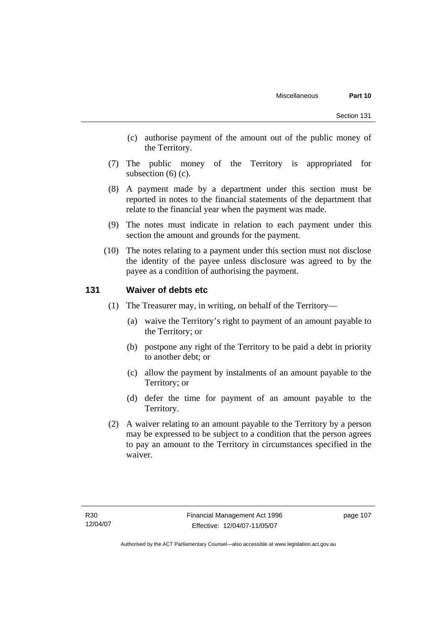- (c) authorise payment of the amount out of the public money of the Territory.
- (7) The public money of the Territory is appropriated for subsection  $(6)$  (c).
- (8) A payment made by a department under this section must be reported in notes to the financial statements of the department that relate to the financial year when the payment was made.
- (9) The notes must indicate in relation to each payment under this section the amount and grounds for the payment.
- (10) The notes relating to a payment under this section must not disclose the identity of the payee unless disclosure was agreed to by the payee as a condition of authorising the payment.

## **131 Waiver of debts etc**

- (1) The Treasurer may, in writing, on behalf of the Territory—
	- (a) waive the Territory's right to payment of an amount payable to the Territory; or
	- (b) postpone any right of the Territory to be paid a debt in priority to another debt; or
	- (c) allow the payment by instalments of an amount payable to the Territory; or
	- (d) defer the time for payment of an amount payable to the Territory.
- (2) A waiver relating to an amount payable to the Territory by a person may be expressed to be subject to a condition that the person agrees to pay an amount to the Territory in circumstances specified in the waiver.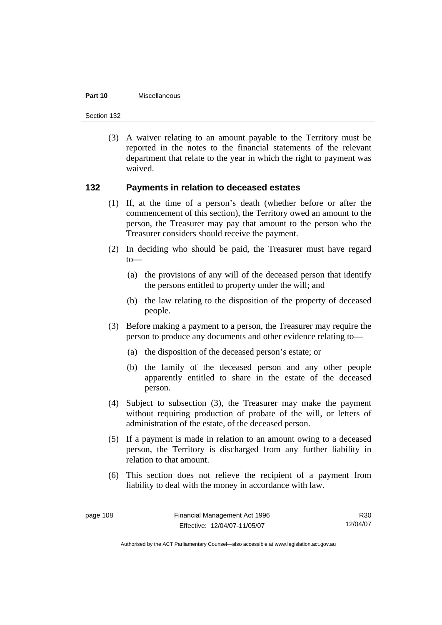#### **Part 10** Miscellaneous

Section 132

 (3) A waiver relating to an amount payable to the Territory must be reported in the notes to the financial statements of the relevant department that relate to the year in which the right to payment was waived.

## **132 Payments in relation to deceased estates**

- (1) If, at the time of a person's death (whether before or after the commencement of this section), the Territory owed an amount to the person, the Treasurer may pay that amount to the person who the Treasurer considers should receive the payment.
- (2) In deciding who should be paid, the Treasurer must have regard  $to$ —
	- (a) the provisions of any will of the deceased person that identify the persons entitled to property under the will; and
	- (b) the law relating to the disposition of the property of deceased people.
- (3) Before making a payment to a person, the Treasurer may require the person to produce any documents and other evidence relating to—
	- (a) the disposition of the deceased person's estate; or
	- (b) the family of the deceased person and any other people apparently entitled to share in the estate of the deceased person.
- (4) Subject to subsection (3), the Treasurer may make the payment without requiring production of probate of the will, or letters of administration of the estate, of the deceased person.
- (5) If a payment is made in relation to an amount owing to a deceased person, the Territory is discharged from any further liability in relation to that amount.
- (6) This section does not relieve the recipient of a payment from liability to deal with the money in accordance with law.

R30 12/04/07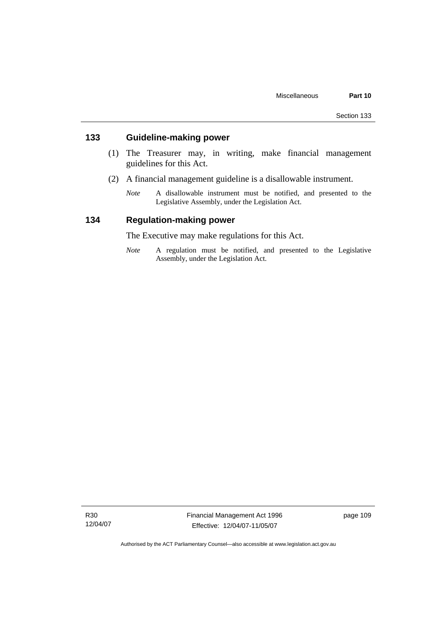# **133 Guideline-making power**

- (1) The Treasurer may, in writing, make financial management guidelines for this Act.
- (2) A financial management guideline is a disallowable instrument.
	- *Note* A disallowable instrument must be notified, and presented to the Legislative Assembly, under the Legislation Act.

# **134 Regulation-making power**

The Executive may make regulations for this Act.

*Note* A regulation must be notified, and presented to the Legislative Assembly, under the Legislation Act.

R30 12/04/07 Financial Management Act 1996 Effective: 12/04/07-11/05/07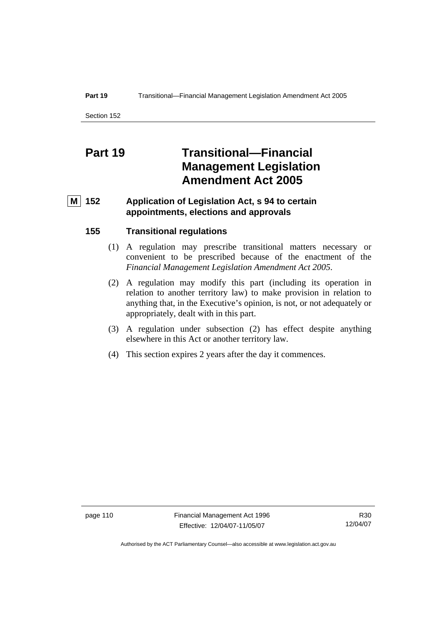#### **Part 19 Transitional—Financial Management Legislation Amendment Act 2005**

Section 152

# **Part 19 Transitional—Financial Management Legislation Amendment Act 2005**

# **M 152 Application of Legislation Act, s 94 to certain appointments, elections and approvals**

## **155 Transitional regulations**

- (1) A regulation may prescribe transitional matters necessary or convenient to be prescribed because of the enactment of the *Financial Management Legislation Amendment Act 2005*.
- (2) A regulation may modify this part (including its operation in relation to another territory law) to make provision in relation to anything that, in the Executive's opinion, is not, or not adequately or appropriately, dealt with in this part.
- (3) A regulation under subsection (2) has effect despite anything elsewhere in this Act or another territory law.
- (4) This section expires 2 years after the day it commences.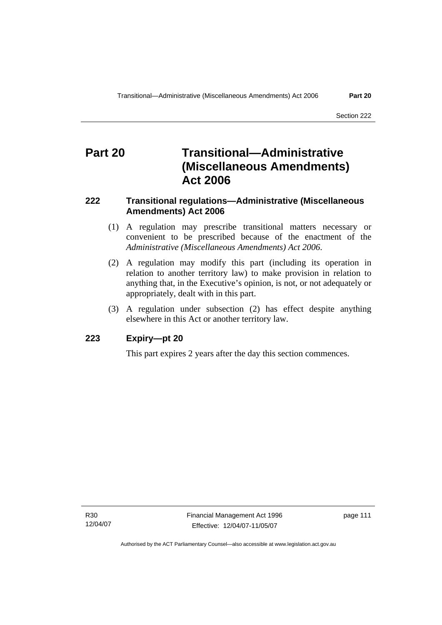# **Part 20 Transitional—Administrative (Miscellaneous Amendments) Act 2006**

# **222 Transitional regulations—Administrative (Miscellaneous Amendments) Act 2006**

- (1) A regulation may prescribe transitional matters necessary or convenient to be prescribed because of the enactment of the *Administrative (Miscellaneous Amendments) Act 2006*.
- (2) A regulation may modify this part (including its operation in relation to another territory law) to make provision in relation to anything that, in the Executive's opinion, is not, or not adequately or appropriately, dealt with in this part.
- (3) A regulation under subsection (2) has effect despite anything elsewhere in this Act or another territory law.

## **223 Expiry—pt 20**

This part expires 2 years after the day this section commences.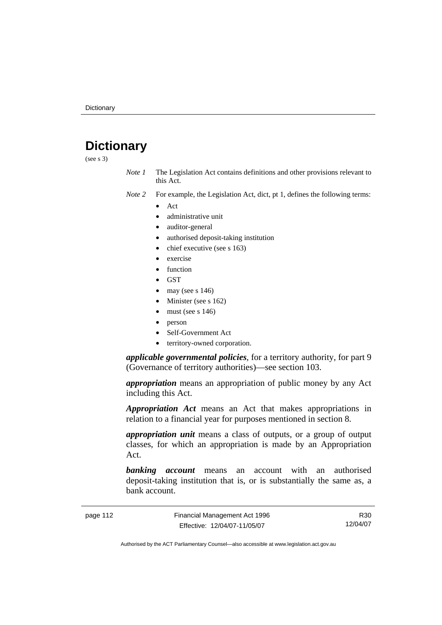# **Dictionary**

(see s 3)

*Note 1* The Legislation Act contains definitions and other provisions relevant to this Act.

*Note 2* For example, the Legislation Act, dict, pt 1, defines the following terms:

- Act
	- administrative unit
	- auditor-general
	- authorised deposit-taking institution
	- chief executive (see s 163)
	- exercise
	- **function**
	- GST
	- may (see s  $146$ )
	- Minister (see s 162)
	- must (see s  $146$ )
	- person
	- Self-Government Act
	- territory-owned corporation.

*applicable governmental policies*, for a territory authority, for part 9 (Governance of territory authorities)—see section 103.

*appropriation* means an appropriation of public money by any Act including this Act.

*Appropriation Act* means an Act that makes appropriations in relation to a financial year for purposes mentioned in section 8.

*appropriation unit* means a class of outputs, or a group of output classes, for which an appropriation is made by an Appropriation Act.

*banking account* means an account with an authorised deposit-taking institution that is, or is substantially the same as, a bank account.

page 112 Financial Management Act 1996 Effective: 12/04/07-11/05/07

R30 12/04/07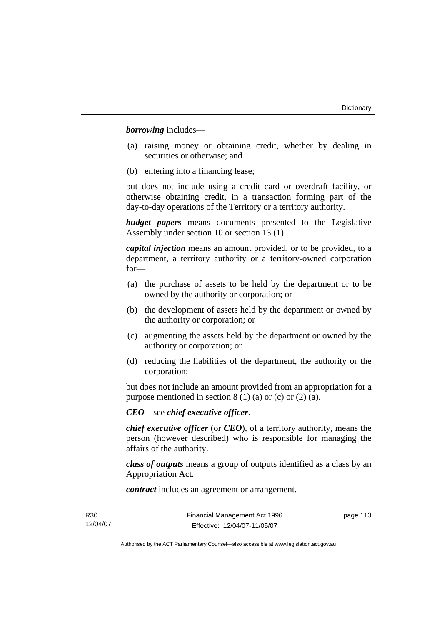*borrowing* includes—

- (a) raising money or obtaining credit, whether by dealing in securities or otherwise; and
- (b) entering into a financing lease;

but does not include using a credit card or overdraft facility, or otherwise obtaining credit, in a transaction forming part of the day-to-day operations of the Territory or a territory authority.

*budget papers* means documents presented to the Legislative Assembly under section 10 or section 13 (1).

*capital injection* means an amount provided, or to be provided, to a department, a territory authority or a territory-owned corporation for—

- (a) the purchase of assets to be held by the department or to be owned by the authority or corporation; or
- (b) the development of assets held by the department or owned by the authority or corporation; or
- (c) augmenting the assets held by the department or owned by the authority or corporation; or
- (d) reducing the liabilities of the department, the authority or the corporation;

but does not include an amount provided from an appropriation for a purpose mentioned in section  $8(1)(a)$  or (c) or (2) (a).

*CEO*—see *chief executive officer*.

*chief executive officer* (or *CEO*), of a territory authority, means the person (however described) who is responsible for managing the affairs of the authority.

*class of outputs* means a group of outputs identified as a class by an Appropriation Act.

*contract* includes an agreement or arrangement.

page 113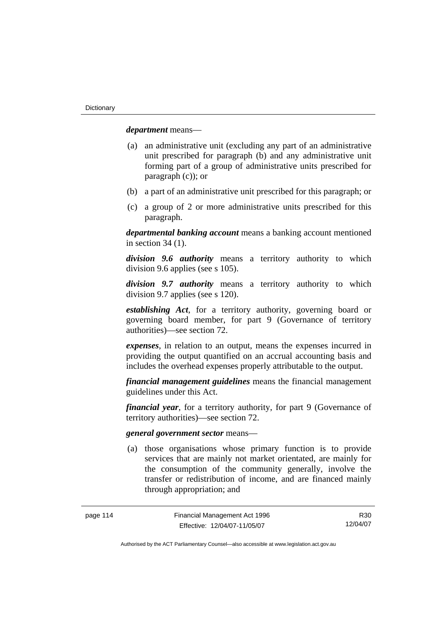*department* means—

- (a) an administrative unit (excluding any part of an administrative unit prescribed for paragraph (b) and any administrative unit forming part of a group of administrative units prescribed for paragraph (c)); or
- (b) a part of an administrative unit prescribed for this paragraph; or
- (c) a group of 2 or more administrative units prescribed for this paragraph.

*departmental banking account* means a banking account mentioned in section 34 (1).

*division 9.6 authority* means a territory authority to which division 9.6 applies (see s 105).

*division 9.7 authority* means a territory authority to which division 9.7 applies (see s 120).

*establishing Act*, for a territory authority, governing board or governing board member, for part 9 (Governance of territory authorities)—see section 72.

*expenses*, in relation to an output, means the expenses incurred in providing the output quantified on an accrual accounting basis and includes the overhead expenses properly attributable to the output.

*financial management guidelines* means the financial management guidelines under this Act.

*financial year*, for a territory authority, for part 9 (Governance of territory authorities)—see section 72.

#### *general government sector* means—

 (a) those organisations whose primary function is to provide services that are mainly not market orientated, are mainly for the consumption of the community generally, involve the transfer or redistribution of income, and are financed mainly through appropriation; and

R30 12/04/07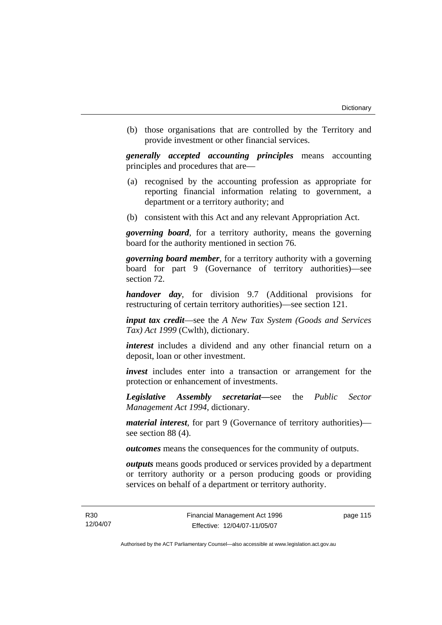(b) those organisations that are controlled by the Territory and provide investment or other financial services.

*generally accepted accounting principles* means accounting principles and procedures that are—

- (a) recognised by the accounting profession as appropriate for reporting financial information relating to government, a department or a territory authority; and
- (b) consistent with this Act and any relevant Appropriation Act.

*governing board*, for a territory authority, means the governing board for the authority mentioned in section 76.

*governing board member*, for a territory authority with a governing board for part 9 (Governance of territory authorities)—see section 72.

*handover day*, for division 9.7 (Additional provisions for restructuring of certain territory authorities)—see section 121.

*input tax credit*—see the *A New Tax System (Goods and Services Tax) Act 1999* (Cwlth), dictionary.

*interest* includes a dividend and any other financial return on a deposit, loan or other investment.

*invest* includes enter into a transaction or arrangement for the protection or enhancement of investments.

*Legislative Assembly secretariat***—**see the *Public Sector Management Act 1994*, dictionary.

*material interest*, for part 9 (Governance of territory authorities) see section 88 (4).

*outcomes* means the consequences for the community of outputs.

*outputs* means goods produced or services provided by a department or territory authority or a person producing goods or providing services on behalf of a department or territory authority.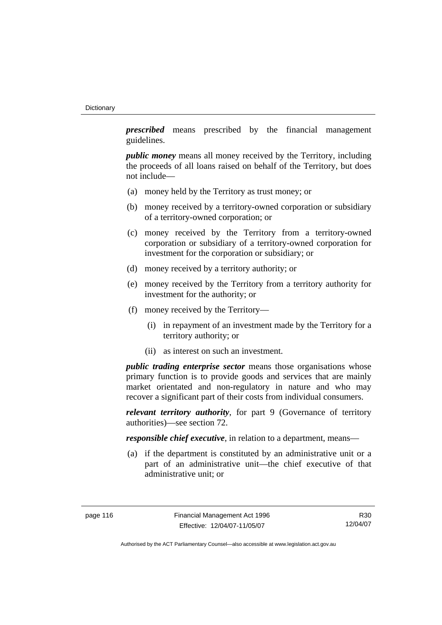*prescribed* means prescribed by the financial management guidelines.

*public money* means all money received by the Territory, including the proceeds of all loans raised on behalf of the Territory, but does not include—

- (a) money held by the Territory as trust money; or
- (b) money received by a territory-owned corporation or subsidiary of a territory-owned corporation; or
- (c) money received by the Territory from a territory-owned corporation or subsidiary of a territory-owned corporation for investment for the corporation or subsidiary; or
- (d) money received by a territory authority; or
- (e) money received by the Territory from a territory authority for investment for the authority; or
- (f) money received by the Territory—
	- (i) in repayment of an investment made by the Territory for a territory authority; or
	- (ii) as interest on such an investment.

*public trading enterprise sector* means those organisations whose primary function is to provide goods and services that are mainly market orientated and non-regulatory in nature and who may recover a significant part of their costs from individual consumers.

*relevant territory authority*, for part 9 (Governance of territory authorities)—see section 72.

*responsible chief executive*, in relation to a department, means—

 (a) if the department is constituted by an administrative unit or a part of an administrative unit—the chief executive of that administrative unit; or

R30 12/04/07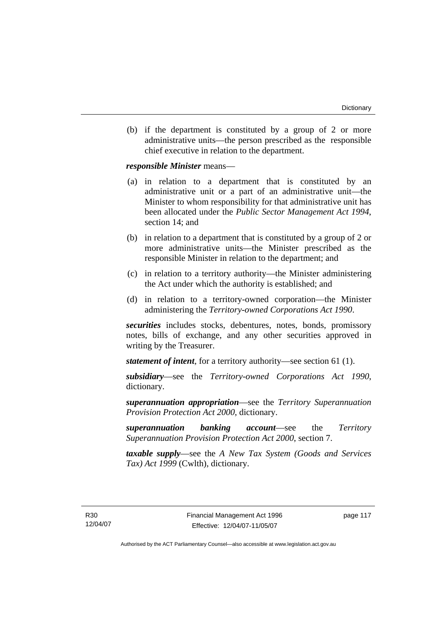(b) if the department is constituted by a group of 2 or more administrative units—the person prescribed as the responsible chief executive in relation to the department.

*responsible Minister* means—

- (a) in relation to a department that is constituted by an administrative unit or a part of an administrative unit—the Minister to whom responsibility for that administrative unit has been allocated under the *Public Sector Management Act 1994*, section 14; and
- (b) in relation to a department that is constituted by a group of 2 or more administrative units—the Minister prescribed as the responsible Minister in relation to the department; and
- (c) in relation to a territory authority—the Minister administering the Act under which the authority is established; and
- (d) in relation to a territory-owned corporation—the Minister administering the *Territory-owned Corporations Act 1990*.

*securities* includes stocks, debentures, notes, bonds, promissory notes, bills of exchange, and any other securities approved in writing by the Treasurer.

*statement of intent*, for a territory authority—see section 61 (1).

*subsidiary*—see the *Territory-owned Corporations Act 1990*, dictionary.

*superannuation appropriation*—see the *Territory Superannuation Provision Protection Act 2000*, dictionary.

*superannuation banking account*—see the *Territory Superannuation Provision Protection Act 2000*, section 7.

*taxable supply*—see the *A New Tax System (Goods and Services Tax) Act 1999* (Cwlth), dictionary.

R30 12/04/07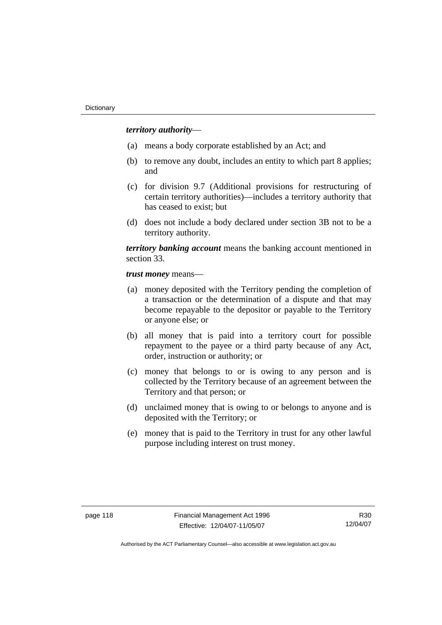## *territory authority*—

- (a) means a body corporate established by an Act; and
- (b) to remove any doubt, includes an entity to which part 8 applies; and
- (c) for division 9.7 (Additional provisions for restructuring of certain territory authorities)—includes a territory authority that has ceased to exist; but
- (d) does not include a body declared under section 3B not to be a territory authority.

*territory banking account* means the banking account mentioned in section 33.

*trust money* means—

- (a) money deposited with the Territory pending the completion of a transaction or the determination of a dispute and that may become repayable to the depositor or payable to the Territory or anyone else; or
- (b) all money that is paid into a territory court for possible repayment to the payee or a third party because of any Act, order, instruction or authority; or
- (c) money that belongs to or is owing to any person and is collected by the Territory because of an agreement between the Territory and that person; or
- (d) unclaimed money that is owing to or belongs to anyone and is deposited with the Territory; or
- (e) money that is paid to the Territory in trust for any other lawful purpose including interest on trust money.

R30 12/04/07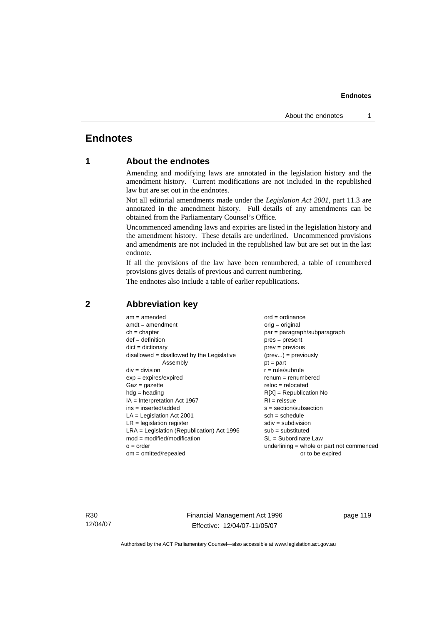# **Endnotes**

# **1 About the endnotes**

Amending and modifying laws are annotated in the legislation history and the amendment history. Current modifications are not included in the republished law but are set out in the endnotes.

Not all editorial amendments made under the *Legislation Act 2001*, part 11.3 are annotated in the amendment history. Full details of any amendments can be obtained from the Parliamentary Counsel's Office.

Uncommenced amending laws and expiries are listed in the legislation history and the amendment history. These details are underlined. Uncommenced provisions and amendments are not included in the republished law but are set out in the last endnote.

If all the provisions of the law have been renumbered, a table of renumbered provisions gives details of previous and current numbering.

The endnotes also include a table of earlier republications.

| $am = amended$                               | $ord = ordinance$                         |
|----------------------------------------------|-------------------------------------------|
| $amdt = amendment$                           | $orig = original$                         |
| $ch = chapter$                               | par = paragraph/subparagraph              |
| $def = definition$                           | $pres = present$                          |
| $dict = dictionary$                          | $prev = previous$                         |
| $disallowed = disallowed by the Legislative$ | $(\text{prev}) = \text{previously}$       |
| Assembly                                     | $pt = part$                               |
| $div = division$                             | $r = rule/subrule$                        |
| $exp = expires/expired$                      | $remum = renumbered$                      |
| $Gaz = gazette$                              | $reloc = relocated$                       |
| $hdg =$ heading                              | $R[X]$ = Republication No                 |
| $IA = Interpretation Act 1967$               | $RI = reissue$                            |
| $ins = inserted/added$                       | $s = section/subsection$                  |
| $LA =$ Legislation Act 2001                  | $sch = schedule$                          |
| $LR =$ legislation register                  | $sdiv = subdivision$                      |
| $LRA =$ Legislation (Republication) Act 1996 | $sub = substituted$                       |
| $mod = modified/modification$                | SL = Subordinate Law                      |
| $o = order$                                  | underlining = whole or part not commenced |
| $om = omitted/repealed$                      | or to be expired                          |
|                                              |                                           |

## **2 Abbreviation key**

R30 12/04/07 Financial Management Act 1996 Effective: 12/04/07-11/05/07

page 119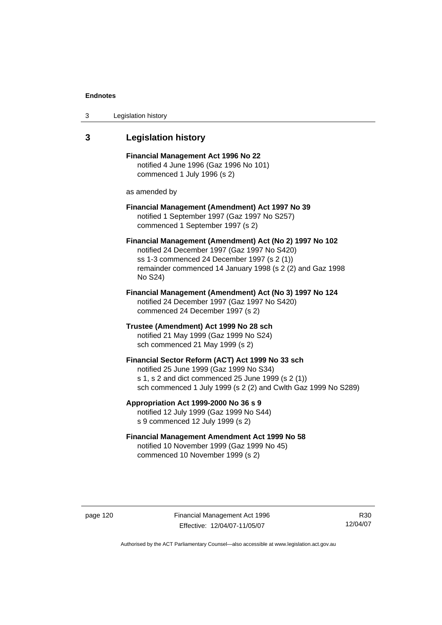| 3 | Legislation history |  |
|---|---------------------|--|
|---|---------------------|--|

## **3 Legislation history**

**Financial Management Act 1996 No 22**  notified 4 June 1996 (Gaz 1996 No 101) commenced 1 July 1996 (s 2)

as amended by

## **Financial Management (Amendment) Act 1997 No 39**  notified 1 September 1997 (Gaz 1997 No S257) commenced 1 September 1997 (s 2)

**Financial Management (Amendment) Act (No 2) 1997 No 102**  notified 24 December 1997 (Gaz 1997 No S420) ss 1-3 commenced 24 December 1997 (s 2 (1)) remainder commenced 14 January 1998 (s 2 (2) and Gaz 1998 No S24)

**Financial Management (Amendment) Act (No 3) 1997 No 124**  notified 24 December 1997 (Gaz 1997 No S420) commenced 24 December 1997 (s 2)

**Trustee (Amendment) Act 1999 No 28 sch**  notified 21 May 1999 (Gaz 1999 No S24) sch commenced 21 May 1999 (s 2)

#### **Financial Sector Reform (ACT) Act 1999 No 33 sch**  notified 25 June 1999 (Gaz 1999 No S34)

s 1, s 2 and dict commenced 25 June 1999 (s 2 (1)) sch commenced 1 July 1999 (s 2 (2) and Cwlth Gaz 1999 No S289)

#### **Appropriation Act 1999-2000 No 36 s 9**  notified 12 July 1999 (Gaz 1999 No S44)

s 9 commenced 12 July 1999 (s 2)

## **Financial Management Amendment Act 1999 No 58**  notified 10 November 1999 (Gaz 1999 No 45) commenced 10 November 1999 (s 2)

page 120 Financial Management Act 1996 Effective: 12/04/07-11/05/07

R30 12/04/07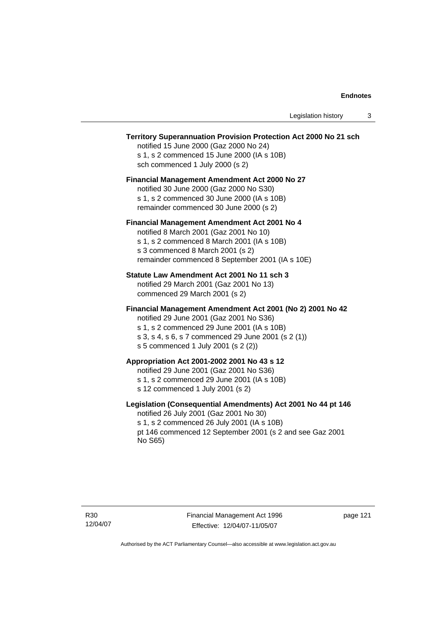### **Territory Superannuation Provision Protection Act 2000 No 21 sch**

notified 15 June 2000 (Gaz 2000 No 24) s 1, s 2 commenced 15 June 2000 (IA s 10B) sch commenced 1 July 2000 (s 2)

#### **Financial Management Amendment Act 2000 No 27**

notified 30 June 2000 (Gaz 2000 No S30) s 1, s 2 commenced 30 June 2000 (IA s 10B) remainder commenced 30 June 2000 (s 2)

#### **Financial Management Amendment Act 2001 No 4**

notified 8 March 2001 (Gaz 2001 No 10) s 1, s 2 commenced 8 March 2001 (IA s 10B) s 3 commenced 8 March 2001 (s 2) remainder commenced 8 September 2001 (IA s 10E)

### **Statute Law Amendment Act 2001 No 11 sch 3**

notified 29 March 2001 (Gaz 2001 No 13) commenced 29 March 2001 (s 2)

#### **Financial Management Amendment Act 2001 (No 2) 2001 No 42**

notified 29 June 2001 (Gaz 2001 No S36)

- s 1, s 2 commenced 29 June 2001 (IA s 10B)
- s 3, s 4, s 6, s 7 commenced 29 June 2001 (s 2 (1))
- s 5 commenced 1 July 2001 (s 2 (2))

## **Appropriation Act 2001-2002 2001 No 43 s 12**

notified 29 June 2001 (Gaz 2001 No S36)

- s 1, s 2 commenced 29 June 2001 (IA s 10B)
- s 12 commenced 1 July 2001 (s 2)

### **Legislation (Consequential Amendments) Act 2001 No 44 pt 146**

notified 26 July 2001 (Gaz 2001 No 30) s 1, s 2 commenced 26 July 2001 (IA s 10B) pt 146 commenced 12 September 2001 (s 2 and see Gaz 2001 No S65)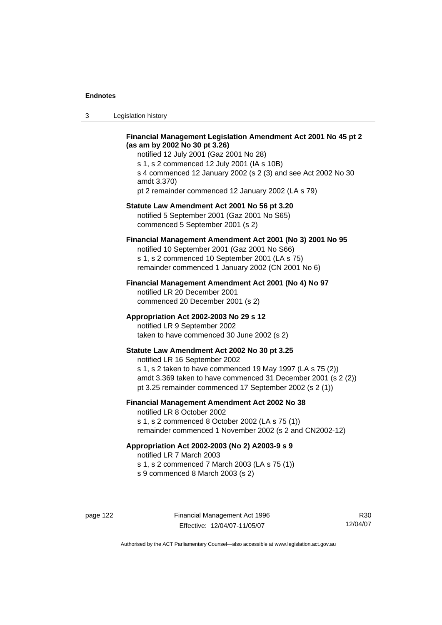3 Legislation history

## **Financial Management Legislation Amendment Act 2001 No 45 pt 2 (as am by 2002 No 30 pt 3.26)**

notified 12 July 2001 (Gaz 2001 No 28) s 1, s 2 commenced 12 July 2001 (IA s 10B) s 4 commenced 12 January 2002 (s 2 (3) and see Act 2002 No 30 amdt 3.370) pt 2 remainder commenced 12 January 2002 (LA s 79)

#### **Statute Law Amendment Act 2001 No 56 pt 3.20**

notified 5 September 2001 (Gaz 2001 No S65) commenced 5 September 2001 (s 2)

## **Financial Management Amendment Act 2001 (No 3) 2001 No 95**

notified 10 September 2001 (Gaz 2001 No S66) s 1, s 2 commenced 10 September 2001 (LA s 75) remainder commenced 1 January 2002 (CN 2001 No 6)

#### **Financial Management Amendment Act 2001 (No 4) No 97**

notified LR 20 December 2001 commenced 20 December 2001 (s 2)

#### **Appropriation Act 2002-2003 No 29 s 12**

notified LR 9 September 2002 taken to have commenced 30 June 2002 (s 2)

## **Statute Law Amendment Act 2002 No 30 pt 3.25**

notified LR 16 September 2002 s 1, s 2 taken to have commenced 19 May 1997 (LA s 75 (2)) amdt 3.369 taken to have commenced 31 December 2001 (s 2 (2)) pt 3.25 remainder commenced 17 September 2002 (s 2 (1))

### **Financial Management Amendment Act 2002 No 38**

notified LR 8 October 2002 s 1, s 2 commenced 8 October 2002 (LA s 75 (1))

remainder commenced 1 November 2002 (s 2 and CN2002-12)

#### **Appropriation Act 2002-2003 (No 2) A2003-9 s 9**

notified LR 7 March 2003

s 1, s 2 commenced 7 March 2003 (LA s 75 (1))

s 9 commenced 8 March 2003 (s 2)

R30 12/04/07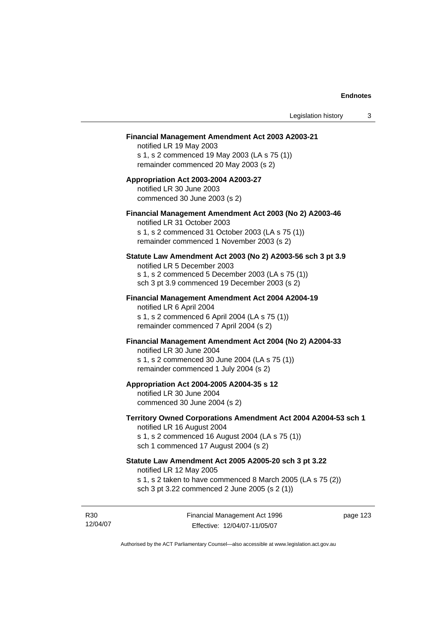#### **Financial Management Amendment Act 2003 A2003-21**

notified LR 19 May 2003 s 1, s 2 commenced 19 May 2003 (LA s 75 (1)) remainder commenced 20 May 2003 (s 2)

## **Appropriation Act 2003-2004 A2003-27**  notified LR 30 June 2003 commenced 30 June 2003 (s 2)

## **Financial Management Amendment Act 2003 (No 2) A2003-46**

notified LR 31 October 2003 s 1, s 2 commenced 31 October 2003 (LA s 75 (1)) remainder commenced 1 November 2003 (s 2)

#### **Statute Law Amendment Act 2003 (No 2) A2003-56 sch 3 pt 3.9**

notified LR 5 December 2003 s 1, s 2 commenced 5 December 2003 (LA s 75 (1)) sch 3 pt 3.9 commenced 19 December 2003 (s 2)

### **Financial Management Amendment Act 2004 A2004-19**  notified LR 6 April 2004

s 1, s 2 commenced 6 April 2004 (LA s 75 (1)) remainder commenced 7 April 2004 (s 2)

#### **Financial Management Amendment Act 2004 (No 2) A2004-33**

notified LR 30 June 2004 s 1, s 2 commenced 30 June 2004 (LA s 75 (1)) remainder commenced 1 July 2004 (s 2)

#### **Appropriation Act 2004-2005 A2004-35 s 12**

notified LR 30 June 2004 commenced 30 June 2004 (s 2)

#### **Territory Owned Corporations Amendment Act 2004 A2004-53 sch 1**  notified LR 16 August 2004

s 1, s 2 commenced 16 August 2004 (LA s 75 (1)) sch 1 commenced 17 August 2004 (s 2)

## **Statute Law Amendment Act 2005 A2005-20 sch 3 pt 3.22**

notified LR 12 May 2005

- s 1, s 2 taken to have commenced 8 March 2005 (LA s 75 (2))
- sch 3 pt 3.22 commenced 2 June 2005 (s 2 (1))

R30 12/04/07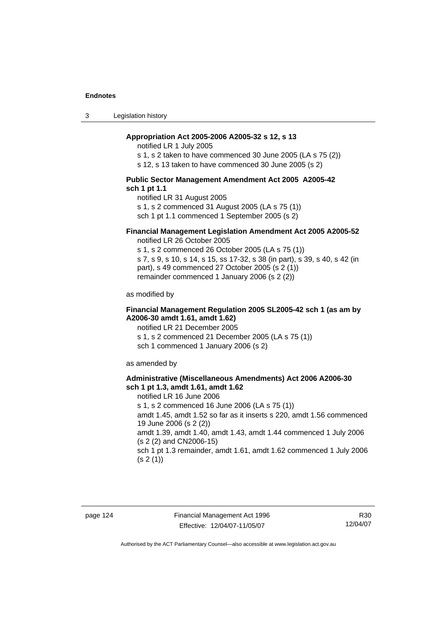3 Legislation history

### **Appropriation Act 2005-2006 A2005-32 s 12, s 13**

notified LR 1 July 2005

s 1, s 2 taken to have commenced 30 June 2005 (LA s 75 (2))

s 12, s 13 taken to have commenced 30 June 2005 (s 2)

#### **Public Sector Management Amendment Act 2005 A2005-42 sch 1 pt 1.1**

notified LR 31 August 2005 s 1, s 2 commenced 31 August 2005 (LA s 75 (1)) sch 1 pt 1.1 commenced 1 September 2005 (s 2)

## **Financial Management Legislation Amendment Act 2005 A2005-52**

notified LR 26 October 2005

s 1, s 2 commenced 26 October 2005 (LA s 75 (1)) s 7, s 9, s 10, s 14, s 15, ss 17-32, s 38 (in part), s 39, s 40, s 42 (in part), s 49 commenced 27 October 2005 (s 2 (1)) remainder commenced 1 January 2006 (s 2 (2))

as modified by

### **Financial Management Regulation 2005 SL2005-42 sch 1 (as am by A2006-30 amdt 1.61, amdt 1.62)**

notified LR 21 December 2005 s 1, s 2 commenced 21 December 2005 (LA s 75 (1)) sch 1 commenced 1 January 2006 (s 2)

as amended by

#### **Administrative (Miscellaneous Amendments) Act 2006 A2006-30 sch 1 pt 1.3, amdt 1.61, amdt 1.62**

notified LR 16 June 2006 s 1, s 2 commenced 16 June 2006 (LA s 75 (1)) amdt 1.45, amdt 1.52 so far as it inserts s 220, amdt 1.56 commenced 19 June 2006 (s 2 (2)) amdt 1.39, amdt 1.40, amdt 1.43, amdt 1.44 commenced 1 July 2006 (s 2 (2) and CN2006-15) sch 1 pt 1.3 remainder, amdt 1.61, amdt 1.62 commenced 1 July 2006  $(s 2(1))$ 

R30 12/04/07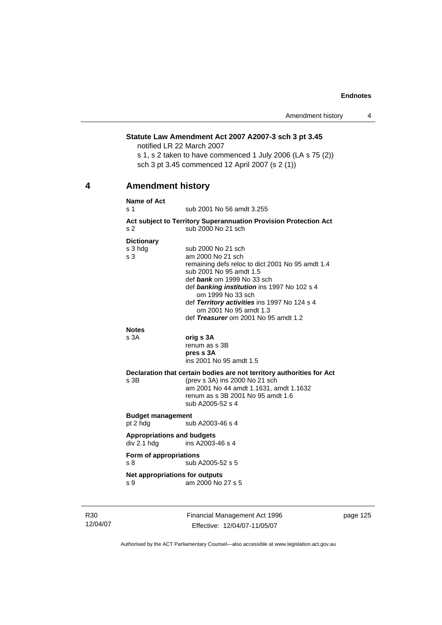#### **Statute Law Amendment Act 2007 A2007-3 sch 3 pt 3.45**

notified LR 22 March 2007

s 1, s 2 taken to have commenced 1 July 2006 (LA s 75 (2)) sch 3 pt 3.45 commenced 12 April 2007 (s 2 (1))

# **4 Amendment history**

#### **Name of Act**

s 1 sub 2001 No 56 amdt 3.255

#### **Act subject to Territory Superannuation Provision Protection Act** s 2 sub 2000 No 21 sch

#### **Dictionary**

| s 3 hdg                           | sub 2000 No 21 sch                                                     |
|-----------------------------------|------------------------------------------------------------------------|
| s 3                               | am 2000 No 21 sch                                                      |
|                                   | remaining defs reloc to dict 2001 No 95 amdt 1.4                       |
|                                   | sub 2001 No 95 amdt 1.5                                                |
|                                   | def bank om 1999 No 33 sch                                             |
|                                   | def banking institution ins 1997 No 102 s 4<br>om 1999 No 33 sch       |
|                                   | def Territory activities ins 1997 No 124 s 4<br>om 2001 No 95 amdt 1.3 |
|                                   | def Treasurer om 2001 No 95 amdt 1.2                                   |
| <b>Notes</b>                      |                                                                        |
| s 3A                              | orig s 3A                                                              |
|                                   | renum as s 3B                                                          |
|                                   | pres s 3A                                                              |
|                                   | ins 2001 No 95 amdt 1.5                                                |
|                                   | Declaration that certain bodies are not territory authorities for Act  |
| s 3B                              | (prev s 3A) ins 2000 No 21 sch                                         |
|                                   | am 2001 No 44 amdt 1.1631, amdt 1.1632                                 |
|                                   | renum as s 3B 2001 No 95 amdt 1.6                                      |
|                                   | sub A2005-52 s 4                                                       |
| <b>Budget management</b>          |                                                                        |
| pt 2 hdg                          | sub A2003-46 s 4                                                       |
| <b>Appropriations and budgets</b> |                                                                        |
| div 2.1 hdg                       | ins A2003-46 s 4                                                       |
| Form of appropriations            |                                                                        |
| s 8                               | sub A2005-52 s 5                                                       |
| Net appropriations for outputs    |                                                                        |
| s 9                               | am 2000 No 27 s 5                                                      |
|                                   |                                                                        |
|                                   |                                                                        |

R30 12/04/07 Financial Management Act 1996 Effective: 12/04/07-11/05/07

page 125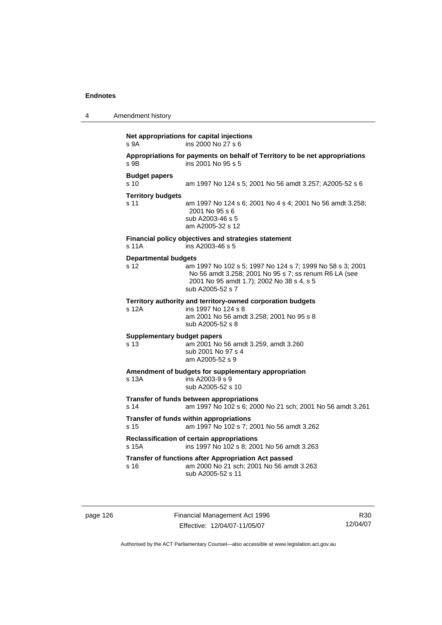| 4 | Amendment history                                     |                                                                                                                                                                                     |
|---|-------------------------------------------------------|-------------------------------------------------------------------------------------------------------------------------------------------------------------------------------------|
|   | s <sub>9A</sub>                                       | Net appropriations for capital injections<br>ins 2000 No 27 s 6                                                                                                                     |
|   | s 9B                                                  | Appropriations for payments on behalf of Territory to be net appropriations<br>ins 2001 No 95 s 5                                                                                   |
|   | <b>Budget papers</b><br>s <sub>10</sub>               | am 1997 No 124 s 5; 2001 No 56 amdt 3.257; A2005-52 s 6                                                                                                                             |
|   | <b>Territory budgets</b><br>s 11                      | am 1997 No 124 s 6; 2001 No 4 s 4; 2001 No 56 amdt 3.258;<br>2001 No 95 s 6<br>sub A2003-46 s 5<br>am A2005-32 s 12                                                                 |
|   | s 11A                                                 | Financial policy objectives and strategies statement<br>ins A2003-46 s 5                                                                                                            |
|   | <b>Departmental budgets</b><br>s 12                   | am 1997 No 102 s 5; 1997 No 124 s 7; 1999 No 58 s 3; 2001<br>No 56 amdt 3.258; 2001 No 95 s 7; ss renum R6 LA (see<br>2001 No 95 amdt 1.7); 2002 No 38 s 4, s 5<br>sub A2005-52 s 7 |
|   | s 12A                                                 | Territory authority and territory-owned corporation budgets<br>ins 1997 No 124 s 8<br>am 2001 No 56 amdt 3.258; 2001 No 95 s 8<br>sub A2005-52 s 8                                  |
|   | <b>Supplementary budget papers</b><br>s <sub>13</sub> | am 2001 No 56 amdt 3.259, amdt 3.260<br>sub 2001 No 97 s 4<br>am A2005-52 s 9                                                                                                       |
|   | s 13A                                                 | Amendment of budgets for supplementary appropriation<br>ins A2003-9 s 9<br>sub A2005-52 s 10                                                                                        |
|   | s 14                                                  | Transfer of funds between appropriations<br>am 1997 No 102 s 6; 2000 No 21 sch; 2001 No 56 amdt 3.261                                                                               |
|   | s <sub>15</sub>                                       | Transfer of funds within appropriations<br>am 1997 No 102 s 7; 2001 No 56 amdt 3.262                                                                                                |
|   | s 15A                                                 | Reclassification of certain appropriations<br>ins 1997 No 102 s 8; 2001 No 56 amdt 3.263                                                                                            |
|   | s 16                                                  | Transfer of functions after Appropriation Act passed<br>am 2000 No 21 sch; 2001 No 56 amdt 3.263<br>sub A2005-52 s 11                                                               |

page 126 Financial Management Act 1996 Effective: 12/04/07-11/05/07

R30 12/04/07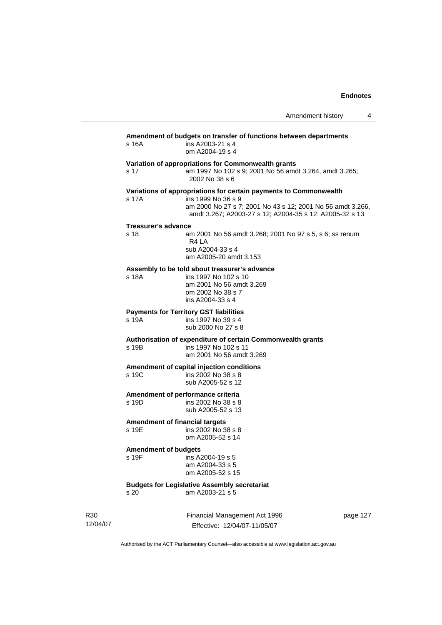| Amendment history |  |  |
|-------------------|--|--|
|-------------------|--|--|

| s 16A                       | Amendment of budgets on transfer of functions between departments<br>ins A2003-21 s 4<br>om A2004-19 s 4                                    |
|-----------------------------|---------------------------------------------------------------------------------------------------------------------------------------------|
| s 17                        | Variation of appropriations for Commonwealth grants<br>am 1997 No 102 s 9; 2001 No 56 amdt 3.264, amdt 3.265;<br>2002 No 38 s 6             |
|                             | Variations of appropriations for certain payments to Commonwealth                                                                           |
| s 17A                       | ins 1999 No 36 s 9<br>am 2000 No 27 s 7; 2001 No 43 s 12; 2001 No 56 amdt 3.266,<br>amdt 3.267; A2003-27 s 12; A2004-35 s 12; A2005-32 s 13 |
| <b>Treasurer's advance</b>  |                                                                                                                                             |
| s <sub>18</sub>             | am 2001 No 56 amdt 3.268; 2001 No 97 s 5, s 6; ss renum<br>R <sub>4</sub> L <sub>A</sub><br>sub A2004-33 s 4<br>am A2005-20 amdt 3.153      |
|                             | Assembly to be told about treasurer's advance                                                                                               |
| s 18A                       | ins 1997 No 102 s 10<br>am 2001 No 56 amdt 3.269<br>om 2002 No 38 s 7<br>ins A2004-33 s 4                                                   |
|                             | <b>Payments for Territory GST liabilities</b>                                                                                               |
| s 19A                       | ins 1997 No 39 s 4<br>sub 2000 No 27 s 8                                                                                                    |
| s 19B                       | Authorisation of expenditure of certain Commonwealth grants<br>ins 1997 No 102 s 11<br>am 2001 No 56 amdt 3.269                             |
|                             | Amendment of capital injection conditions                                                                                                   |
| s 19C                       | ins 2002 No 38 s 8<br>sub A2005-52 s 12                                                                                                     |
|                             | Amendment of performance criteria                                                                                                           |
| s 19D                       | ins 2002 No 38 s 8<br>sub A2005-52 s 13                                                                                                     |
|                             | <b>Amendment of financial targets</b>                                                                                                       |
| s 19E                       | ins 2002 No 38 s 8<br>om A2005-52 s 14                                                                                                      |
| <b>Amendment of budgets</b> |                                                                                                                                             |
| s 19F                       | ins A2004-19 s 5                                                                                                                            |
|                             | am A2004-33 s 5<br>om A2005-52 s 15                                                                                                         |
|                             | <b>Budgets for Legislative Assembly secretariat</b>                                                                                         |
| s <sub>20</sub>             | am A2003-21 s 5                                                                                                                             |

R30 12/04/07 Financial Management Act 1996 Effective: 12/04/07-11/05/07

page 127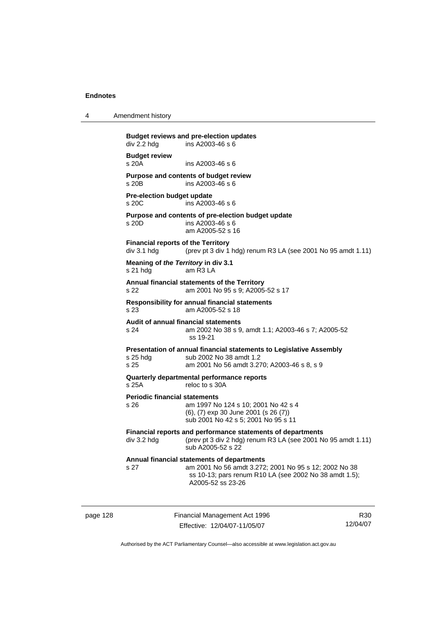| Amendment history |
|-------------------|
|                   |

**Budget reviews and pre-election updates**   $div 2.2$  hdg ins A2003-46 s 6 **Budget review**   $ins A2003-46 s 6$ **Purpose and contents of budget review**  s 20B ins A2003-46 s 6 **Pre-election budget update**  s 20C ins A2003-46 s 6 **Purpose and contents of pre-election budget update**  s 20D ins A2003-46 s 6 am A2005-52 s 16 **Financial reports of the Territory**  div 3.1 hdg (prev pt 3 div 1 hdg) renum R3 LA (see 2001 No 95 amdt 1.11) **Meaning of** *the Territory* **in div 3.1**  s 21 hdg am R3 LA **Annual financial statements of the Territory**  s 22 am 2001 No 95 s 9; A2005-52 s 17 **Responsibility for annual financial statements**  s 23 am A2005-52 s 18 **Audit of annual financial statements**  am 2002 No 38 s 9, amdt 1.1; A2003-46 s 7; A2005-52 ss 19-21 **Presentation of annual financial statements to Legislative Assembly**  s 25 hdg sub 2002 No 38 amdt 1.2 s 25 am 2001 No 56 amdt 3.270; A2003-46 s 8, s 9 **Quarterly departmental performance reports**  s 25A reloc to s 30A **Periodic financial statements** s 26 am 1997 No 124 s 10; 2001 No 42 s 4 (6), (7) exp 30 June 2001 (s 26 (7)) sub 2001 No 42 s 5; 2001 No 95 s 11 **Financial reports and performance statements of departments**  div 3.2 hdg (prev pt 3 div 2 hdg) renum R3 LA (see 2001 No 95 amdt 1.11) sub A2005-52 s 22 **Annual financial statements of departments**  s 27 am 2001 No 56 amdt 3.272; 2001 No 95 s 12; 2002 No 38 ss 10-13; pars renum R10 LA (see 2002 No 38 amdt 1.5); A2005-52 ss 23-26

page 128 Financial Management Act 1996 Effective: 12/04/07-11/05/07

R30 12/04/07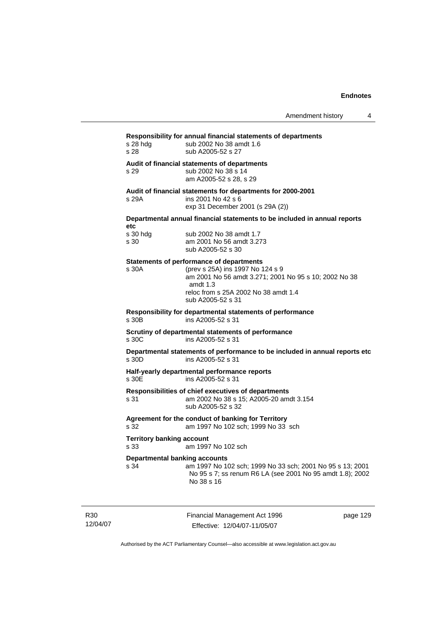**Responsibility for annual financial statements of departments**  s 28 hdg sub 2002 No 38 amdt 1.6 s 28 sub A2005-52 s 27 **Audit of financial statements of departments**  s 29 sub 2002 No 38 s 14 am A2005-52 s 28, s 29 **Audit of financial statements for departments for 2000-2001**  s 29A ins 2001 No 42 s 6 exp 31 December 2001 (s 29A (2)) **Departmental annual financial statements to be included in annual reports etc**  s 30 hdg sub 2002 No 38 amdt 1.7<br>s 30 sam 2001 No 56 amdt 3.27 am 2001 No 56 amdt 3.273 sub A2005-52 s 30 **Statements of performance of departments**  s 30A (prev s 25A) ins 1997 No 124 s 9 am 2001 No 56 amdt 3.271; 2001 No 95 s 10; 2002 No 38 amdt 1.3 reloc from s 25A 2002 No 38 amdt 1.4 sub A2005-52 s 31 **Responsibility for departmental statements of performance**  ins A2005-52 s 31 **Scrutiny of departmental statements of performance**  s 30C ins A2005-52 s 31 **Departmental statements of performance to be included in annual reports etc**  s 30D ins A2005-52 s 31 **Half-yearly departmental performance reports**   $ins$  A2005-52 s 31 **Responsibilities of chief executives of departments**  s 31 am 2002 No 38 s 15; A2005-20 amdt 3.154 sub A2005-52 s 32 **Agreement for the conduct of banking for Territory** s 32 am 1997 No 102 sch; 1999 No 33 sch **Territory banking account** s 33 am 1997 No 102 sch **Departmental banking accounts**  s 34 am 1997 No 102 sch; 1999 No 33 sch; 2001 No 95 s 13; 2001 No 95 s 7; ss renum R6 LA (see 2001 No 95 amdt 1.8); 2002 No 38 s 16

R30 12/04/07 Financial Management Act 1996 Effective: 12/04/07-11/05/07

page 129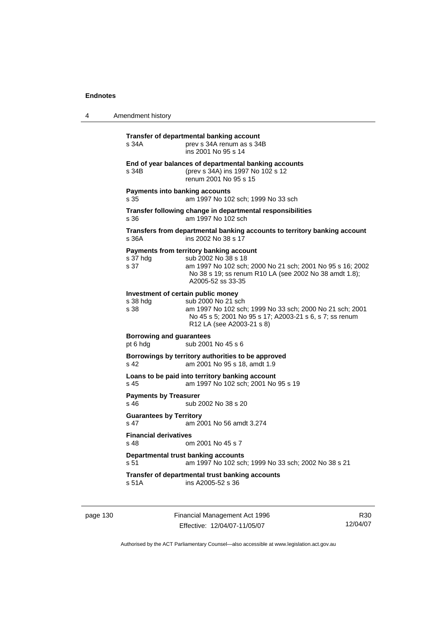| 4 | Amendment history                                                                                                                                                                                                                |
|---|----------------------------------------------------------------------------------------------------------------------------------------------------------------------------------------------------------------------------------|
|   | Transfer of departmental banking account<br>s 34A<br>prev s 34A renum as s 34B<br>ins 2001 No 95 s 14                                                                                                                            |
|   | End of year balances of departmental banking accounts<br>(prev s 34A) ins 1997 No 102 s 12<br>s 34B<br>renum 2001 No 95 s 15                                                                                                     |
|   | <b>Payments into banking accounts</b><br>s 35<br>am 1997 No 102 sch; 1999 No 33 sch                                                                                                                                              |
|   | Transfer following change in departmental responsibilities<br>am 1997 No 102 sch<br>s 36                                                                                                                                         |
|   | Transfers from departmental banking accounts to territory banking account<br>ins 2002 No 38 s 17<br>s 36A                                                                                                                        |
|   | Payments from territory banking account<br>s 37 hdg<br>sub 2002 No 38 s 18<br>s 37<br>am 1997 No 102 sch; 2000 No 21 sch; 2001 No 95 s 16; 2002<br>No 38 s 19; ss renum R10 LA (see 2002 No 38 amdt 1.8);<br>A2005-52 ss 33-35   |
|   | Investment of certain public money<br>sub 2000 No 21 sch<br>s 38 hdg<br>s 38<br>am 1997 No 102 sch; 1999 No 33 sch; 2000 No 21 sch; 2001<br>No 45 s 5; 2001 No 95 s 17; A2003-21 s 6, s 7; ss renum<br>R12 LA (see A2003-21 s 8) |
|   | <b>Borrowing and guarantees</b><br>pt 6 hdg<br>sub 2001 No 45 s 6                                                                                                                                                                |
|   | Borrowings by territory authorities to be approved<br>s 42<br>am 2001 No 95 s 18, amdt 1.9                                                                                                                                       |
|   | Loans to be paid into territory banking account<br>s 45<br>am 1997 No 102 sch; 2001 No 95 s 19                                                                                                                                   |
|   | <b>Payments by Treasurer</b><br>s 46<br>sub 2002 No 38 s 20                                                                                                                                                                      |
|   | <b>Guarantees by Territory</b><br>s 47<br>am 2001 No 56 amdt 3.274                                                                                                                                                               |
|   | <b>Financial derivatives</b><br>om 2001 No 45 s 7<br>s 48                                                                                                                                                                        |
|   | Departmental trust banking accounts<br>am 1997 No 102 sch; 1999 No 33 sch; 2002 No 38 s 21<br>s 51                                                                                                                               |
|   | Transfer of departmental trust banking accounts<br>s 51A<br>ins A2005-52 s 36                                                                                                                                                    |
|   |                                                                                                                                                                                                                                  |

page 130 Financial Management Act 1996 Effective: 12/04/07-11/05/07

R30 12/04/07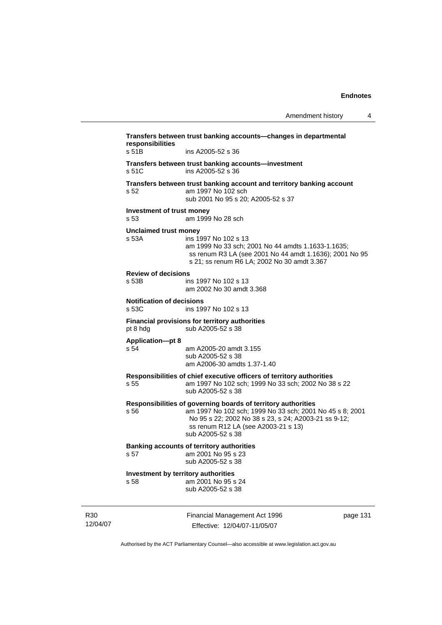| Transfers between trust banking accounts-changes in departmental<br>responsibilities |                                                                                                                                                                                                                                               |          |
|--------------------------------------------------------------------------------------|-----------------------------------------------------------------------------------------------------------------------------------------------------------------------------------------------------------------------------------------------|----------|
| s 51B                                                                                | ins A2005-52 s 36                                                                                                                                                                                                                             |          |
| s 51C                                                                                | Transfers between trust banking accounts—investment<br>ins A2005-52 s 36                                                                                                                                                                      |          |
| s 52                                                                                 | Transfers between trust banking account and territory banking account<br>am 1997 No 102 sch<br>sub 2001 No 95 s 20; A2005-52 s 37                                                                                                             |          |
| Investment of trust money<br>s 53                                                    | am 1999 No 28 sch                                                                                                                                                                                                                             |          |
| <b>Unclaimed trust money</b><br>s 53A                                                | ins 1997 No 102 s 13<br>am 1999 No 33 sch; 2001 No 44 amdts 1.1633-1.1635;<br>ss renum R3 LA (see 2001 No 44 amdt 1.1636); 2001 No 95<br>s 21; ss renum R6 LA; 2002 No 30 amdt 3.367                                                          |          |
| <b>Review of decisions</b><br>s 53B                                                  | ins 1997 No 102 s 13<br>am 2002 No 30 amdt 3.368                                                                                                                                                                                              |          |
| <b>Notification of decisions</b><br>s 53C                                            | ins 1997 No 102 s 13                                                                                                                                                                                                                          |          |
| pt 8 hdg                                                                             | <b>Financial provisions for territory authorities</b><br>sub A2005-52 s 38                                                                                                                                                                    |          |
| <b>Application-pt 8</b><br>s 54                                                      | am A2005-20 amdt 3.155<br>sub A2005-52 s 38<br>am A2006-30 amdts 1.37-1.40                                                                                                                                                                    |          |
| s 55                                                                                 | Responsibilities of chief executive officers of territory authorities<br>am 1997 No 102 sch; 1999 No 33 sch; 2002 No 38 s 22<br>sub A2005-52 s 38                                                                                             |          |
| s 56                                                                                 | Responsibilities of governing boards of territory authorities<br>am 1997 No 102 sch; 1999 No 33 sch; 2001 No 45 s 8; 2001<br>No 95 s 22; 2002 No 38 s 23, s 24; A2003-21 ss 9-12;<br>ss renum R12 LA (see A2003-21 s 13)<br>sub A2005-52 s 38 |          |
|                                                                                      | <b>Banking accounts of territory authorities</b><br>s 57 am 2001 No 95 s 23<br>sub A2005-52 s 38                                                                                                                                              |          |
| Investment by territory authorities<br>s 58                                          | am 2001 No 95 s 24<br>sub A2005-52 s 38                                                                                                                                                                                                       |          |
|                                                                                      | Financial Management Act 1996<br>Effective: 12/04/07-11/05/07                                                                                                                                                                                 | page 131 |

Authorised by the ACT Parliamentary Counsel—also accessible at www.legislation.act.gov.au

R30 12/04/07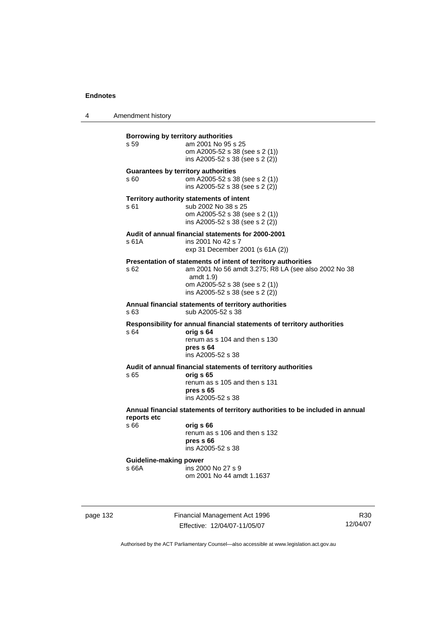4 Amendment history

| Borrowing by territory authorities<br>s 59         | am 2001 No 95 s 25<br>om A2005-52 s 38 (see s 2 (1))<br>ins A2005-52 s 38 (see s 2 (2))                                                                                                                  |
|----------------------------------------------------|----------------------------------------------------------------------------------------------------------------------------------------------------------------------------------------------------------|
| <b>Guarantees by territory authorities</b><br>s 60 | om A2005-52 s 38 (see s 2 (1))<br>ins A2005-52 s 38 (see s 2 (2))                                                                                                                                        |
| s 61                                               | Territory authority statements of intent<br>sub 2002 No 38 s 25<br>om A2005-52 s 38 (see s 2 (1))<br>ins A2005-52 s 38 (see s 2 (2))                                                                     |
| s 61A                                              | Audit of annual financial statements for 2000-2001<br>ins 2001 No 42 s 7<br>exp 31 December 2001 (s 61A (2))                                                                                             |
| s 62                                               | Presentation of statements of intent of territory authorities<br>am 2001 No 56 amdt 3.275; R8 LA (see also 2002 No 38<br>amdt $1.9$<br>om A2005-52 s 38 (see s 2 (1))<br>ins A2005-52 s 38 (see s 2 (2)) |
| s 63                                               | Annual financial statements of territory authorities<br>sub A2005-52 s 38                                                                                                                                |
| s 64                                               | Responsibility for annual financial statements of territory authorities<br>orig s 64<br>renum as s 104 and then s 130<br>pres s 64<br>ins A2005-52 s 38                                                  |
| s 65                                               | Audit of annual financial statements of territory authorities<br>orig s 65<br>renum as s 105 and then s 131<br>pres s 65<br>ins A2005-52 s 38                                                            |
| reports etc                                        | Annual financial statements of territory authorities to be included in annual                                                                                                                            |
| s 66                                               | orig s 66<br>renum as s 106 and then s 132<br>pres <sub>66</sub><br>ins A2005-52 s 38                                                                                                                    |
| <b>Guideline-making power</b><br>s 66A             | ins 2000 No 27 s 9<br>om 2001 No 44 amdt 1.1637                                                                                                                                                          |
|                                                    |                                                                                                                                                                                                          |

page 132 Financial Management Act 1996 Effective: 12/04/07-11/05/07

R30 12/04/07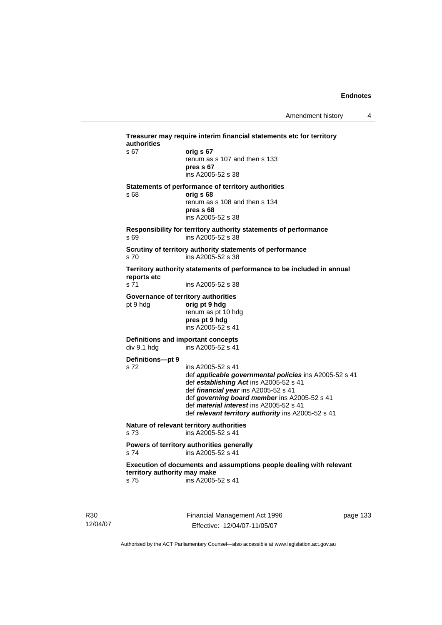| authorities<br>s 67          | orig s 67                                                                      |
|------------------------------|--------------------------------------------------------------------------------|
|                              | renum as s 107 and then s 133                                                  |
|                              | pres s 67                                                                      |
|                              | ins A2005-52 s 38                                                              |
|                              | Statements of performance of territory authorities                             |
| s 68                         | orig s 68<br>renum as s 108 and then s 134                                     |
|                              | pres s 68                                                                      |
|                              | ins A2005-52 s 38                                                              |
|                              | Responsibility for territory authority statements of performance               |
| s 69                         | ins A2005-52 s 38                                                              |
|                              | Scrutiny of territory authority statements of performance                      |
| s <sub>70</sub>              | ins A2005-52 s 38                                                              |
| reports etc                  | Territory authority statements of performance to be included in annual         |
| s 71                         | ins A2005-52 s 38                                                              |
|                              | Governance of territory authorities                                            |
| pt 9 hdg                     | orig pt 9 hdg                                                                  |
|                              | renum as pt 10 hdg<br>pres pt 9 hdg                                            |
|                              | ins A2005-52 s 41                                                              |
|                              | <b>Definitions and important concepts</b>                                      |
| div 9.1 hdg                  | ins A2005-52 s 41                                                              |
| Definitions-pt 9             |                                                                                |
| s 72                         | ins A2005-52 s 41                                                              |
|                              | def applicable governmental policies ins A2005-52 s 41                         |
|                              | def establishing Act ins A2005-52 s 41<br>def financial year ins A2005-52 s 41 |
|                              | def governing board member ins A2005-52 s 41                                   |
|                              | def material interest ins A2005-52 s 41                                        |
|                              | def relevant territory authority ins A2005-52 s 41                             |
|                              | Nature of relevant territory authorities                                       |
| s 73                         | ins A2005-52 s 41                                                              |
|                              | Powers of territory authorities generally                                      |
| s 74                         | ins A2005-52 s 41                                                              |
|                              | Execution of documents and assumptions people dealing with relevant            |
| territory authority may make |                                                                                |

R30 12/04/07 Financial Management Act 1996 Effective: 12/04/07-11/05/07

page 133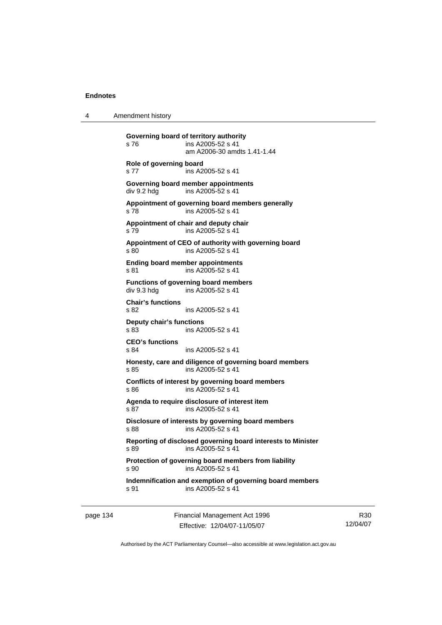4 Amendment history

**Governing board of territory authority**  s 76 ins A2005-52 s 41 am A2006-30 amdts 1.41-1.44 **Role of governing board**  s 77 ins A2005-52 s 41 **Governing board member appointments**  div 9.2 hdg ins A2005-52 s 41 **Appointment of governing board members generally**  s 78 ins A2005-52 s 41 **Appointment of chair and deputy chair**  s 79 ins A2005-52 s 41 **Appointment of CEO of authority with governing board**  s 80 ins A2005-52 s 41 **Ending board member appointments**  s 81 ins A2005-52 s 41 **Functions of governing board members**  div 9.3 hdg ins A2005-52 s 41 **Chair's functions**  s 82 ins A2005-52 s 41 **Deputy chair's functions**  ins A2005-52 s 41 **CEO's functions**  s 84 ins A2005-52 s 41 **Honesty, care and diligence of governing board members**  s 85 ins A2005-52 s 41 **Conflicts of interest by governing board members**  s 86 ins A2005-52 s 41 **Agenda to require disclosure of interest item**  s 87 ins A2005-52 s 41 **Disclosure of interests by governing board members**  s 88 ins A2005-52 s 41 **Reporting of disclosed governing board interests to Minister**  s 89 ins A2005-52 s 41 **Protection of governing board members from liability**  s 90 ins A2005-52 s 41 **Indemnification and exemption of governing board members**  s 91 ins A2005-52 s 41

page 134 Financial Management Act 1996 Effective: 12/04/07-11/05/07

R30 12/04/07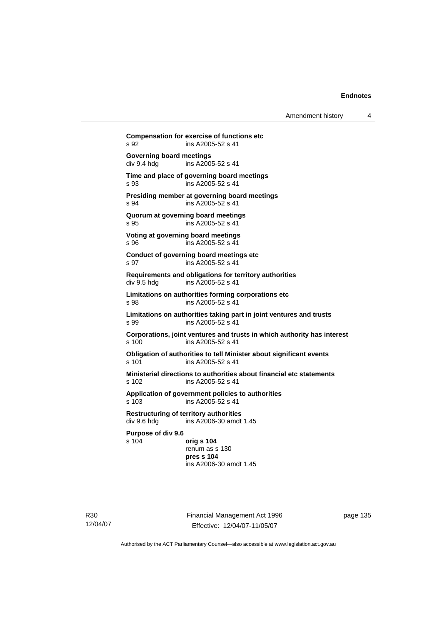Amendment history 4

**Compensation for exercise of functions etc**  s 92 ins A2005-52 s 41 **Governing board meetings**<br>div 9.4 hdg ins A200 ins A2005-52 s 41 **Time and place of governing board meetings**  s 93 ins A2005-52 s 41 **Presiding member at governing board meetings**  s 94 ins A2005-52 s 41 **Quorum at governing board meetings**  s 95 ins A2005-52 s 41 **Voting at governing board meetings**  s 96 ins A2005-52 s 41 **Conduct of governing board meetings etc**  s 97 ins A2005-52 s 41 **Requirements and obligations for territory authorities**  div 9.5 hdg ins A2005-52 s 41 **Limitations on authorities forming corporations etc**  s 98 ins A2005-52 s 41 **Limitations on authorities taking part in joint ventures and trusts**  s 99 ins A2005-52 s 41 **Corporations, joint ventures and trusts in which authority has interest**  s 100 ins A2005-52 s 41 **Obligation of authorities to tell Minister about significant events**  s 101 ins A2005-52 s 41 **Ministerial directions to authorities about financial etc statements**  s 102 ins A2005-52 s 41 **Application of government policies to authorities**  s 103 ins A2005-52 s 41 **Restructuring of territory authorities**  ins  $A2006-30$  amdt 1.45 **Purpose of div 9.6**  s 104 **orig s 104** renum as s 130 **pres s 104**  ins A2006-30 amdt 1.45

R30 12/04/07 Financial Management Act 1996 Effective: 12/04/07-11/05/07

page 135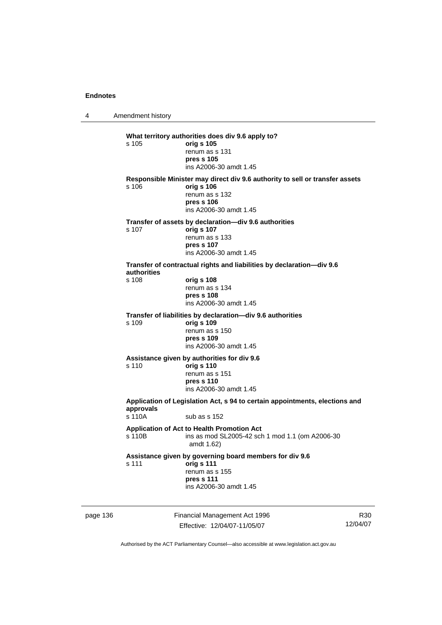4 Amendment history

|          | s 105                                                                                                              | What territory authorities does div 9.6 apply to?<br>orig s 105<br>renum as s 131<br>pres s 105<br>ins A2006-30 amdt 1.45                            |   |
|----------|--------------------------------------------------------------------------------------------------------------------|------------------------------------------------------------------------------------------------------------------------------------------------------|---|
|          | s 106                                                                                                              | Responsible Minister may direct div 9.6 authority to sell or transfer assets<br>orig s 106<br>renum as s 132<br>pres s 106<br>ins A2006-30 amdt 1.45 |   |
|          | s 107                                                                                                              | Transfer of assets by declaration—div 9.6 authorities<br>orig s 107<br>renum as s 133<br>pres s 107<br>ins A2006-30 amdt 1.45                        |   |
|          | authorities<br>s 108                                                                                               | Transfer of contractual rights and liabilities by declaration-div 9.6<br>orig s 108<br>renum as s 134<br>pres s 108<br>ins A2006-30 amdt 1.45        |   |
|          | s 109                                                                                                              | Transfer of liabilities by declaration-div 9.6 authorities<br>orig s 109<br>renum as s 150<br>pres s 109<br>ins A2006-30 amdt 1.45                   |   |
|          | s 110                                                                                                              | Assistance given by authorities for div 9.6<br>orig s 110<br>renum as s 151<br>pres s 110<br>ins A2006-30 amdt 1.45                                  |   |
|          | Application of Legislation Act, s 94 to certain appointments, elections and<br>approvals<br>s 110A<br>sub as s 152 |                                                                                                                                                      |   |
|          | s 110B                                                                                                             | Application of Act to Health Promotion Act<br>ins as mod SL2005-42 sch 1 mod 1.1 (om A2006-30<br>amdt 1.62)                                          |   |
|          | s 111                                                                                                              | Assistance given by governing board members for div 9.6<br>orig s 111<br>renum as s 155<br>pres s 111<br>ins A2006-30 amdt 1.45                      |   |
| page 136 |                                                                                                                    | Financial Management Act 1996                                                                                                                        | R |

Effective: 12/04/07-11/05/07

R30 12/04/07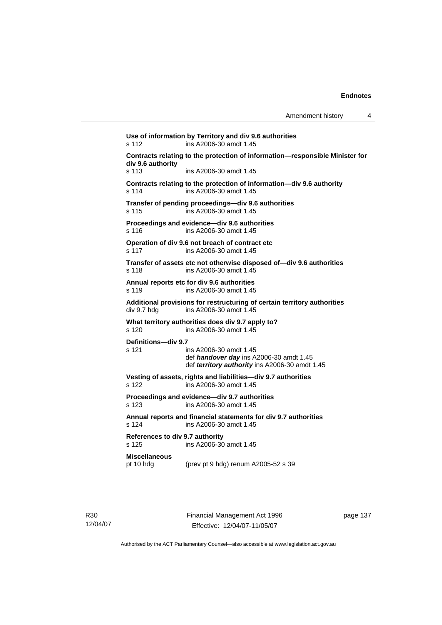| Amendment history |  |
|-------------------|--|
|-------------------|--|

**Use of information by Territory and div 9.6 authorities**  s 112 ins A2006-30 amdt 1.45 **Contracts relating to the protection of information—responsible Minister for div 9.6 authority**  s 113 ins A2006-30 amdt 1.45 **Contracts relating to the protection of information—div 9.6 authority**  s 114 ins A2006-30 amdt 1.45 **Transfer of pending proceedings—div 9.6 authorities**  s 115 ins A2006-30 amdt 1.45 **Proceedings and evidence—div 9.6 authorities**  s 116 ins A2006-30 amdt 1.45 **Operation of div 9.6 not breach of contract etc**  s 117 ins A2006-30 amdt 1.45 **Transfer of assets etc not otherwise disposed of—div 9.6 authorities**  s 118 ins A2006-30 amdt 1.45 **Annual reports etc for div 9.6 authorities**  s 119 ins A2006-30 amdt 1.45 **Additional provisions for restructuring of certain territory authorities**  div 9.7 hdg ins A2006-30 amdt 1.45 **What territory authorities does div 9.7 apply to?**  s 120 ins A2006-30 amdt 1.45 **Definitions—div 9.7**  s 121 ins A2006-30 amdt 1.45 def *handover day* ins A2006-30 amdt 1.45 def *territory authority* ins A2006-30 amdt 1.45 **Vesting of assets, rights and liabilities—div 9.7 authorities**  s 122 ins A2006-30 amdt 1.45 **Proceedings and evidence—div 9.7 authorities**  s 123 ins A2006-30 amdt 1.45 **Annual reports and financial statements for div 9.7 authorities**  s 124 ins A2006-30 amdt 1.45 **References to div 9.7 authority**  ins A2006-30 amdt 1.45 **Miscellaneous**  pt 10 hdg (prev pt 9 hdg) renum A2005-52 s 39

Financial Management Act 1996 Effective: 12/04/07-11/05/07

page 137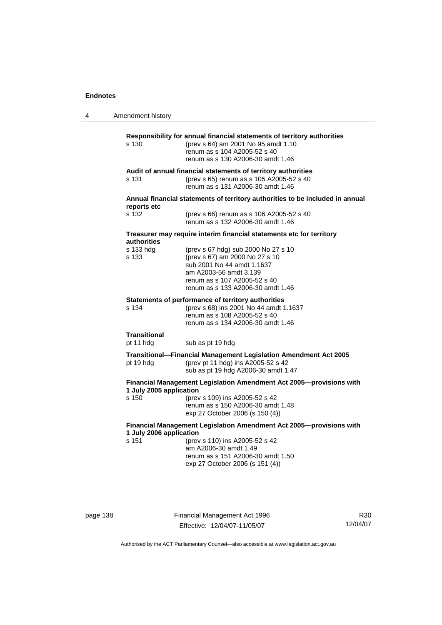4 Amendment history

| s 130                                                                                          | Responsibility for annual financial statements of territory authorities<br>(prev s 64) am 2001 No 95 amdt 1.10<br>renum as s 104 A2005-52 s 40<br>renum as s 130 A2006-30 amdt 1.46                |  |  |
|------------------------------------------------------------------------------------------------|----------------------------------------------------------------------------------------------------------------------------------------------------------------------------------------------------|--|--|
| s 131                                                                                          | Audit of annual financial statements of territory authorities<br>(prev s 65) renum as s 105 A2005-52 s 40<br>renum as s 131 A2006-30 amdt 1.46                                                     |  |  |
| Annual financial statements of territory authorities to be included in annual                  |                                                                                                                                                                                                    |  |  |
| reports etc<br>s 132                                                                           | (prev s 66) renum as s 106 A2005-52 s 40<br>renum as s 132 A2006-30 amdt 1.46                                                                                                                      |  |  |
| Treasurer may require interim financial statements etc for territory<br>authorities            |                                                                                                                                                                                                    |  |  |
| s 133 hdg<br>s 133                                                                             | (prev s 67 hdg) sub 2000 No 27 s 10<br>(prev s 67) am 2000 No 27 s 10<br>sub 2001 No 44 amdt 1.1637<br>am A2003-56 amdt 3.139<br>renum as s 107 A2005-52 s 40<br>renum as s 133 A2006-30 amdt 1.46 |  |  |
| s 134                                                                                          | Statements of performance of territory authorities<br>(prev s 68) ins 2001 No 44 amdt 1.1637<br>renum as s 108 A2005-52 s 40<br>renum as s 134 A2006-30 amdt 1.46                                  |  |  |
| <b>Transitional</b><br>pt 11 hdg                                                               | sub as pt 19 hdg                                                                                                                                                                                   |  |  |
| pt 19 hdg                                                                                      | Transitional-Financial Management Legislation Amendment Act 2005<br>(prev pt 11 hdg) ins A2005-52 s 42<br>sub as pt 19 hdg A2006-30 amdt 1.47                                                      |  |  |
| Financial Management Legislation Amendment Act 2005-provisions with<br>1 July 2005 application |                                                                                                                                                                                                    |  |  |
| s 150                                                                                          | (prev s 109) ins A2005-52 s 42<br>renum as s 150 A2006-30 amdt 1.48<br>exp 27 October 2006 (s 150 (4))                                                                                             |  |  |
| Financial Management Legislation Amendment Act 2005-provisions with<br>1 July 2006 application |                                                                                                                                                                                                    |  |  |
| s 151                                                                                          | (prev s 110) ins A2005-52 s 42<br>am A2006-30 amdt 1.49<br>renum as s 151 A2006-30 amdt 1.50<br>exp 27 October 2006 (s 151 (4))                                                                    |  |  |

page 138 Financial Management Act 1996 Effective: 12/04/07-11/05/07

R30 12/04/07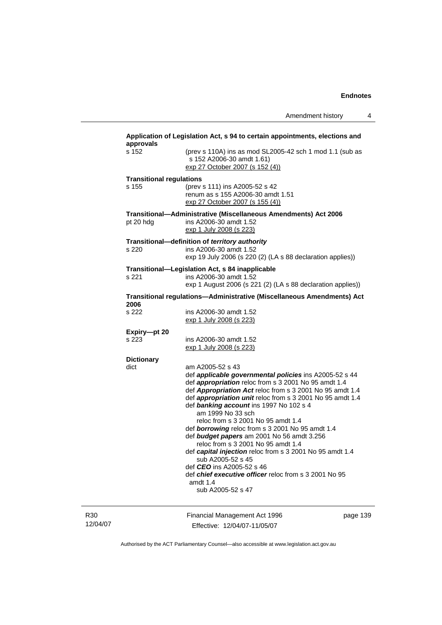| approvals<br>s 152              | (prev s 110A) ins as mod SL2005-42 sch 1 mod 1.1 (sub as<br>s 152 A2006-30 amdt 1.61)<br>exp 27 October 2007 (s 152 (4))                                                                                                                                                                                                                                                                                                                                                                                                                                                                   |  |  |
|---------------------------------|--------------------------------------------------------------------------------------------------------------------------------------------------------------------------------------------------------------------------------------------------------------------------------------------------------------------------------------------------------------------------------------------------------------------------------------------------------------------------------------------------------------------------------------------------------------------------------------------|--|--|
| <b>Transitional regulations</b> |                                                                                                                                                                                                                                                                                                                                                                                                                                                                                                                                                                                            |  |  |
| s 155                           | (prev s 111) ins A2005-52 s 42<br>renum as s 155 A2006-30 amdt 1.51<br>exp 27 October 2007 (s 155 (4))                                                                                                                                                                                                                                                                                                                                                                                                                                                                                     |  |  |
| pt 20 hdg                       | Transitional-Administrative (Miscellaneous Amendments) Act 2006<br>ins A2006-30 amdt 1.52<br>exp 1 July 2008 (s 223)                                                                                                                                                                                                                                                                                                                                                                                                                                                                       |  |  |
|                                 | Transitional-definition of territory authority                                                                                                                                                                                                                                                                                                                                                                                                                                                                                                                                             |  |  |
| s 220                           | ins A2006-30 amdt 1.52<br>exp 19 July 2006 (s 220 (2) (LA s 88 declaration applies))                                                                                                                                                                                                                                                                                                                                                                                                                                                                                                       |  |  |
| s 221                           | Transitional-Legislation Act, s 84 inapplicable<br>ins A2006-30 amdt 1.52<br>exp 1 August 2006 (s 221 (2) (LA s 88 declaration applies))                                                                                                                                                                                                                                                                                                                                                                                                                                                   |  |  |
| 2006                            | Transitional regulations-Administrative (Miscellaneous Amendments) Act                                                                                                                                                                                                                                                                                                                                                                                                                                                                                                                     |  |  |
| s 222                           | ins A2006-30 amdt 1.52<br>exp 1 July 2008 (s 223)                                                                                                                                                                                                                                                                                                                                                                                                                                                                                                                                          |  |  |
| Expiry-pt 20                    |                                                                                                                                                                                                                                                                                                                                                                                                                                                                                                                                                                                            |  |  |
| s 223                           | ins A2006-30 amdt 1.52<br>exp 1 July 2008 (s 223)                                                                                                                                                                                                                                                                                                                                                                                                                                                                                                                                          |  |  |
| <b>Dictionary</b>               |                                                                                                                                                                                                                                                                                                                                                                                                                                                                                                                                                                                            |  |  |
| dict                            | am A2005-52 s 43<br>def applicable governmental policies ins A2005-52 s 44<br>def appropriation reloc from s 3 2001 No 95 amdt 1.4<br>def Appropriation Act reloc from s 3 2001 No 95 amdt 1.4<br>def appropriation unit reloc from s 3 2001 No 95 amdt 1.4<br>def banking account ins 1997 No 102 s 4<br>am 1999 No 33 sch<br>reloc from s 3 2001 No 95 amdt 1.4<br>def borrowing reloc from s 3 2001 No 95 amdt 1.4<br>def budget papers am 2001 No 56 amdt 3.256<br>reloc from s 3 2001 No 95 amdt 1.4<br>def capital injection reloc from s 3 2001 No 95 amdt 1.4<br>sub A2005-52 s 45 |  |  |
|                                 | def CEO ins A2005-52 s 46<br>def chief executive officer reloc from s 3 2001 No 95<br>amdt 1.4<br>sub A2005-52 s 47                                                                                                                                                                                                                                                                                                                                                                                                                                                                        |  |  |
|                                 | Financial Managament Ast 1000                                                                                                                                                                                                                                                                                                                                                                                                                                                                                                                                                              |  |  |

12/04/07

R30

Financial Management Act 1996 Effective: 12/04/07-11/05/07

page 139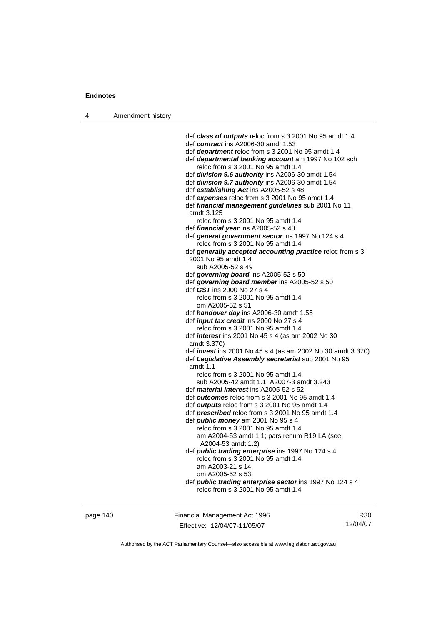4 Amendment history

 def *class of outputs* reloc from s 3 2001 No 95 amdt 1.4 def *contract* ins A2006-30 amdt 1.53 def *department* reloc from s 3 2001 No 95 amdt 1.4 def *departmental banking account* am 1997 No 102 sch reloc from s 3 2001 No 95 amdt 1.4 def *division 9.6 authority* ins A2006-30 amdt 1.54 def *division 9.7 authority* ins A2006-30 amdt 1.54 def *establishing Act* ins A2005-52 s 48 def *expenses* reloc from s 3 2001 No 95 amdt 1.4 def *financial management guidelines* sub 2001 No 11 amdt 3.125 reloc from s 3 2001 No 95 amdt 1.4 def *financial year* ins A2005-52 s 48 def *general government sector* ins 1997 No 124 s 4 reloc from s 3 2001 No 95 amdt 1.4 def *generally accepted accounting practice* reloc from s 3 2001 No 95 amdt 1.4 sub A2005-52 s 49 def *governing board* ins A2005-52 s 50 def *governing board member* ins A2005-52 s 50 def *GST* ins 2000 No 27 s 4 reloc from s 3 2001 No 95 amdt 1.4 om A2005-52 s 51 def *handover day* ins A2006-30 amdt 1.55 def *input tax credit* ins 2000 No 27 s 4 reloc from s 3 2001 No 95 amdt 1.4 def *interest* ins 2001 No 45 s 4 (as am 2002 No 30 amdt 3.370) def *invest* ins 2001 No 45 s 4 (as am 2002 No 30 amdt 3.370) def *Legislative Assembly secretariat* sub 2001 No 95 amdt 1.1 reloc from s 3 2001 No 95 amdt 1.4 sub A2005-42 amdt 1.1; A2007-3 amdt 3.243 def *material interest* ins A2005-52 s 52 def *outcomes* reloc from s 3 2001 No 95 amdt 1.4 def *outputs* reloc from s 3 2001 No 95 amdt 1.4 def *prescribed* reloc from s 3 2001 No 95 amdt 1.4 def *public money* am 2001 No 95 s 4 reloc from s 3 2001 No 95 amdt 1.4 am A2004-53 amdt 1.1; pars renum R19 LA (see A2004-53 amdt 1.2) def *public trading enterprise* ins 1997 No 124 s 4 reloc from s 3 2001 No 95 amdt 1.4 am A2003-21 s 14 om A2005-52 s 53 def *public trading enterprise sector* ins 1997 No 124 s 4 reloc from s 3 2001 No 95 amdt 1.4

page 140 Financial Management Act 1996 Effective: 12/04/07-11/05/07

R30 12/04/07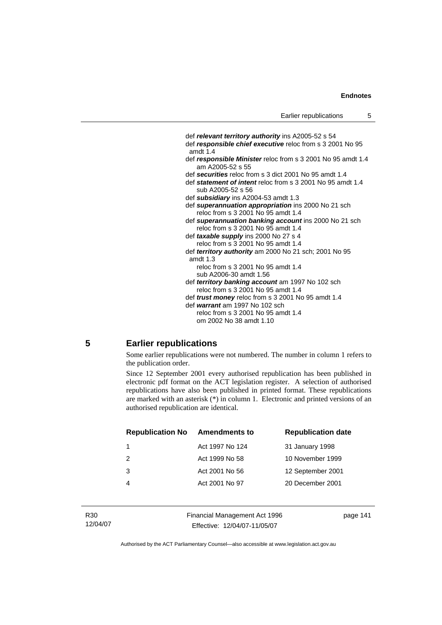def *relevant territory authority* ins A2005-52 s 54 def *responsible chief executive* reloc from s 3 2001 No 95 amdt 1.4 def *responsible Minister* reloc from s 3 2001 No 95 amdt 1.4 am A2005-52 s 55 def *securities* reloc from s 3 dict 2001 No 95 amdt 1.4 def *statement of intent* reloc from s 3 2001 No 95 amdt 1.4 sub A2005-52 s 56 def *subsidiary* ins A2004-53 amdt 1.3 def *superannuation appropriation* ins 2000 No 21 sch reloc from s 3 2001 No 95 amdt 1.4 def *superannuation banking account* ins 2000 No 21 sch reloc from s 3 2001 No 95 amdt 1.4 def *taxable supply* ins 2000 No 27 s 4 reloc from s 3 2001 No 95 amdt 1.4 def *territory authority* am 2000 No 21 sch; 2001 No 95 amdt 1.3 reloc from s 3 2001 No 95 amdt 1.4 sub A2006-30 amdt 1.56 def *territory banking account* am 1997 No 102 sch reloc from s 3 2001 No 95 amdt 1.4 def *trust money* reloc from s 3 2001 No 95 amdt 1.4 def *warrant* am 1997 No 102 sch reloc from s 3 2001 No 95 amdt 1.4 om 2002 No 38 amdt 1.10

### **5 Earlier republications**

Some earlier republications were not numbered. The number in column 1 refers to the publication order.

Since 12 September 2001 every authorised republication has been published in electronic pdf format on the ACT legislation register. A selection of authorised republications have also been published in printed format. These republications are marked with an asterisk (\*) in column 1. Electronic and printed versions of an authorised republication are identical.

| <b>Republication No</b> | <b>Amendments to</b> | <b>Republication date</b> |
|-------------------------|----------------------|---------------------------|
|                         | Act 1997 No 124      | 31 January 1998           |
| $\mathcal{P}$           | Act 1999 No 58       | 10 November 1999          |
| 3                       | Act 2001 No 56       | 12 September 2001         |
|                         | Act 2001 No 97       | 20 December 2001          |
|                         |                      |                           |

Financial Management Act 1996 Effective: 12/04/07-11/05/07

page 141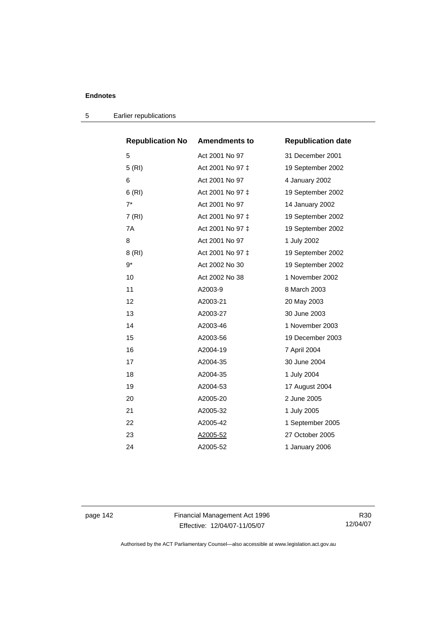| <b>Republication No</b> | <b>Amendments to</b> | <b>Republication date</b> |
|-------------------------|----------------------|---------------------------|
| 5                       | Act 2001 No 97       | 31 December 2001          |
| 5(RI)                   | Act 2001 No 97 ‡     | 19 September 2002         |
| 6                       | Act 2001 No 97       | 4 January 2002            |
| 6(RI)                   | Act 2001 No 97 ‡     | 19 September 2002         |
| $7^*$                   | Act 2001 No 97       | 14 January 2002           |
| 7 (RI)                  | Act 2001 No 97 ‡     | 19 September 2002         |
| 7A                      | Act 2001 No 97 ‡     | 19 September 2002         |
| 8                       | Act 2001 No 97       | 1 July 2002               |
| 8 (RI)                  | Act 2001 No 97 ‡     | 19 September 2002         |
| $9*$                    | Act 2002 No 30       | 19 September 2002         |
| 10                      | Act 2002 No 38       | 1 November 2002           |
| 11                      | A2003-9              | 8 March 2003              |
| 12                      | A2003-21             | 20 May 2003               |
| 13                      | A2003-27             | 30 June 2003              |
| 14                      | A2003-46             | 1 November 2003           |
| 15                      | A2003-56             | 19 December 2003          |
| 16                      | A2004-19             | 7 April 2004              |
| 17                      | A2004-35             | 30 June 2004              |
| 18                      | A2004-35             | 1 July 2004               |
| 19                      | A2004-53             | 17 August 2004            |
| 20                      | A2005-20             | 2 June 2005               |
| 21                      | A2005-32             | 1 July 2005               |
| 22                      | A2005-42             | 1 September 2005          |
| 23                      | A2005-52             | 27 October 2005           |
| 24                      | A2005-52             | 1 January 2006            |

5 Earlier republications

page 142 Financial Management Act 1996 Effective: 12/04/07-11/05/07

R30 12/04/07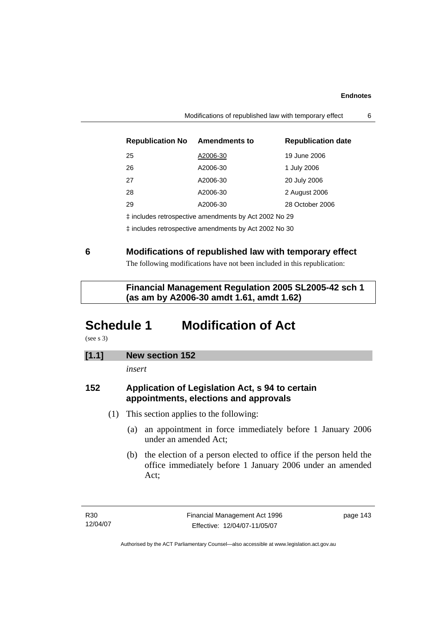| <b>Republication No Amendments to</b>                 |          | <b>Republication date</b> |  |
|-------------------------------------------------------|----------|---------------------------|--|
| 25                                                    | A2006-30 | 19 June 2006              |  |
| 26                                                    | A2006-30 | 1 July 2006               |  |
| 27                                                    | A2006-30 | 20 July 2006              |  |
| 28                                                    | A2006-30 | 2 August 2006             |  |
| 29                                                    | A2006-30 | 28 October 2006           |  |
| ‡ includes retrospective amendments by Act 2002 No 29 |          |                           |  |

‡ includes retrospective amendments by Act 2002 No 30

**6 Modifications of republished law with temporary effect** 

The following modifications have not been included in this republication:

 **Financial Management Regulation 2005 SL2005-42 sch 1 (as am by A2006-30 amdt 1.61, amdt 1.62)** 

# **Schedule 1 Modification of Act**

(see s 3)

# **[1.1] New section 152**

*insert* 

# **152 Application of Legislation Act, s 94 to certain appointments, elections and approvals**

- (1) This section applies to the following:
	- (a) an appointment in force immediately before 1 January 2006 under an amended Act;
	- (b) the election of a person elected to office if the person held the office immediately before 1 January 2006 under an amended Act;

page 143